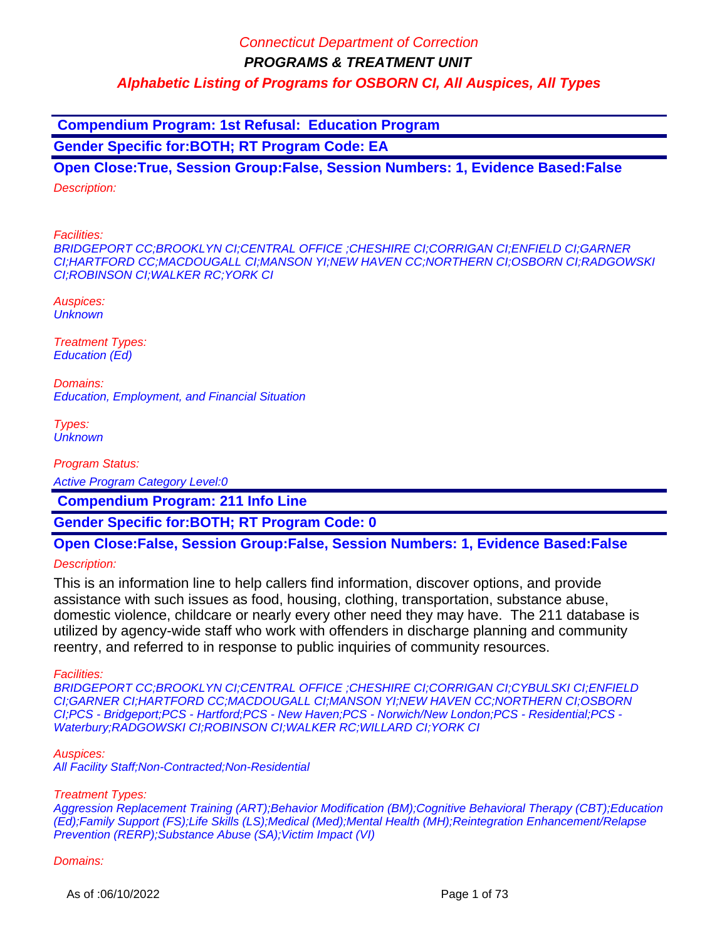**Compendium Program: 1st Refusal: Education Program**

**Gender Specific for:BOTH; RT Program Code: EA**

**Open Close:True, Session Group:False, Session Numbers: 1, Evidence Based:False** Description:

Facilities:

BRIDGEPORT CC;BROOKLYN CI;CENTRAL OFFICE ;CHESHIRE CI;CORRIGAN CI;ENFIELD CI;GARNER CI;HARTFORD CC;MACDOUGALL CI;MANSON YI;NEW HAVEN CC;NORTHERN CI;OSBORN CI;RADGOWSKI CI;ROBINSON CI;WALKER RC;YORK CI

Auspices: **Unknown** 

Treatment Types: Education (Ed)

Domains: Education, Employment, and Financial Situation

Types: **Unknown** 

Program Status:

Active Program Category Level:0

 **Compendium Program: 211 Info Line**

**Gender Specific for:BOTH; RT Program Code: 0**

# **Open Close:False, Session Group:False, Session Numbers: 1, Evidence Based:False**

Description:

This is an information line to help callers find information, discover options, and provide assistance with such issues as food, housing, clothing, transportation, substance abuse, domestic violence, childcare or nearly every other need they may have. The 211 database is utilized by agency-wide staff who work with offenders in discharge planning and community reentry, and referred to in response to public inquiries of community resources.

Facilities:

BRIDGEPORT CC;BROOKLYN CI;CENTRAL OFFICE ;CHESHIRE CI;CORRIGAN CI;CYBULSKI CI;ENFIELD CI;GARNER CI;HARTFORD CC;MACDOUGALL CI;MANSON YI;NEW HAVEN CC;NORTHERN CI;OSBORN CI;PCS - Bridgeport;PCS - Hartford;PCS - New Haven;PCS - Norwich/New London;PCS - Residential;PCS - Waterbury;RADGOWSKI CI;ROBINSON CI;WALKER RC;WILLARD CI;YORK CI

Auspices:

All Facility Staff;Non-Contracted;Non-Residential

## Treatment Types:

Aggression Replacement Training (ART);Behavior Modification (BM);Cognitive Behavioral Therapy (CBT);Education (Ed);Family Support (FS);Life Skills (LS);Medical (Med);Mental Health (MH);Reintegration Enhancement/Relapse Prevention (RERP);Substance Abuse (SA);Victim Impact (VI)

#### Domains: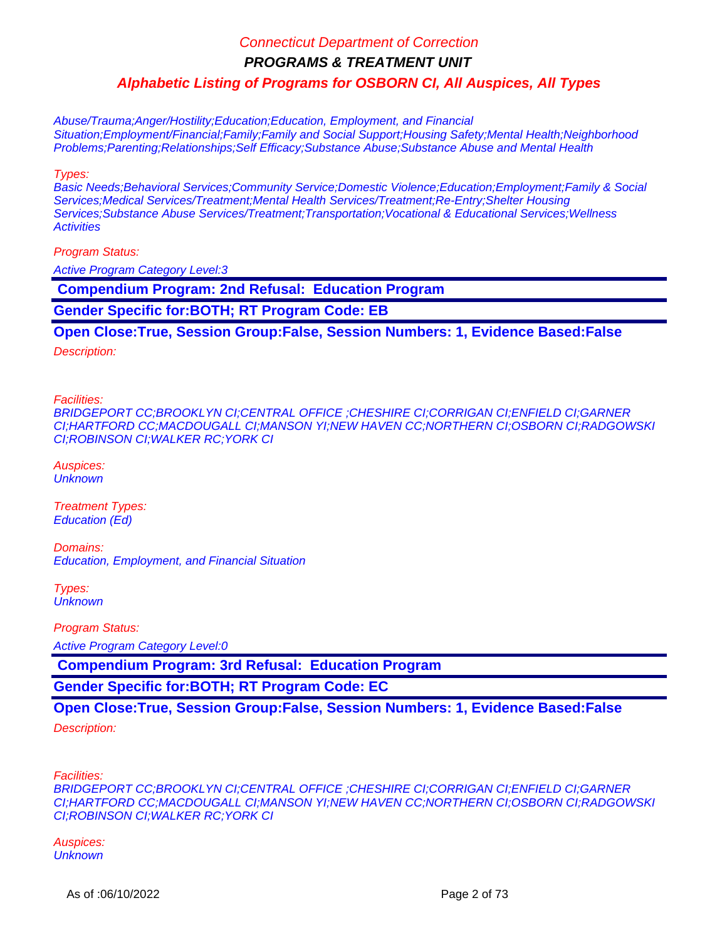## Connecticut Department of Correction

**PROGRAMS & TREATMENT UNIT**

**Alphabetic Listing of Programs for OSBORN CI, All Auspices, All Types**

Abuse/Trauma;Anger/Hostility;Education;Education, Employment, and Financial Situation;Employment/Financial;Family;Family and Social Support;Housing Safety;Mental Health;Neighborhood Problems;Parenting;Relationships;Self Efficacy;Substance Abuse;Substance Abuse and Mental Health

Types:

Basic Needs;Behavioral Services;Community Service;Domestic Violence;Education;Employment;Family & Social Services;Medical Services/Treatment;Mental Health Services/Treatment;Re-Entry;Shelter Housing Services;Substance Abuse Services/Treatment;Transportation;Vocational & Educational Services;Wellness **Activities** 

Program Status:

Active Program Category Level:3

 **Compendium Program: 2nd Refusal: Education Program**

**Gender Specific for:BOTH; RT Program Code: EB**

**Open Close:True, Session Group:False, Session Numbers: 1, Evidence Based:False**

Description:

Facilities:

BRIDGEPORT CC;BROOKLYN CI;CENTRAL OFFICE ;CHESHIRE CI;CORRIGAN CI;ENFIELD CI;GARNER CI;HARTFORD CC;MACDOUGALL CI;MANSON YI;NEW HAVEN CC;NORTHERN CI;OSBORN CI;RADGOWSKI CI;ROBINSON CI;WALKER RC;YORK CI

Auspices: **Unknown** 

Treatment Types: Education (Ed)

Domains: Education, Employment, and Financial Situation

Types: **Unknown** 

Program Status:

Active Program Category Level:0

 **Compendium Program: 3rd Refusal: Education Program**

**Gender Specific for:BOTH; RT Program Code: EC**

**Open Close:True, Session Group:False, Session Numbers: 1, Evidence Based:False**

Description:

Facilities:

BRIDGEPORT CC;BROOKLYN CI;CENTRAL OFFICE ;CHESHIRE CI;CORRIGAN CI;ENFIELD CI;GARNER CI;HARTFORD CC;MACDOUGALL CI;MANSON YI;NEW HAVEN CC;NORTHERN CI;OSBORN CI;RADGOWSKI CI;ROBINSON CI;WALKER RC;YORK CI

Auspices: **Unknown**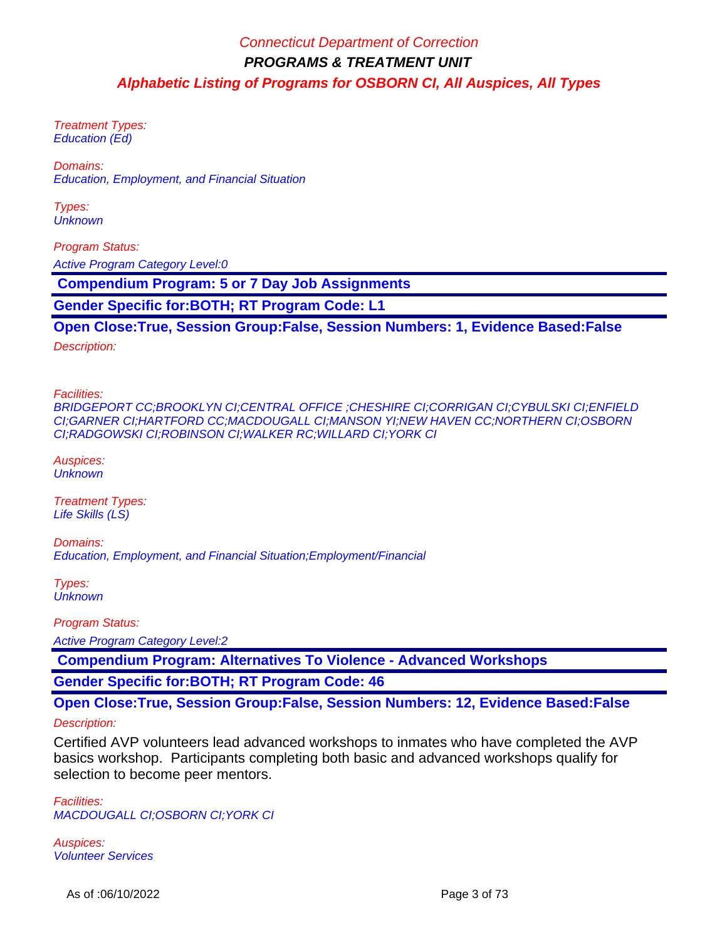Treatment Types: Education (Ed)

Domains: Education, Employment, and Financial Situation

Types: **Unknown** 

Program Status: Active Program Category Level:0

 **Compendium Program: 5 or 7 Day Job Assignments**

**Gender Specific for:BOTH; RT Program Code: L1**

**Open Close:True, Session Group:False, Session Numbers: 1, Evidence Based:False**

Description:

Facilities:

BRIDGEPORT CC;BROOKLYN CI;CENTRAL OFFICE ;CHESHIRE CI;CORRIGAN CI;CYBULSKI CI;ENFIELD CI;GARNER CI;HARTFORD CC;MACDOUGALL CI;MANSON YI;NEW HAVEN CC;NORTHERN CI;OSBORN CI;RADGOWSKI CI;ROBINSON CI;WALKER RC;WILLARD CI;YORK CI

Auspices: **Unknown** 

Treatment Types: Life Skills (LS)

Domains: Education, Employment, and Financial Situation;Employment/Financial

Types: **Unknown** 

Program Status:

Active Program Category Level:2

 **Compendium Program: Alternatives To Violence - Advanced Workshops**

**Gender Specific for:BOTH; RT Program Code: 46**

**Open Close:True, Session Group:False, Session Numbers: 12, Evidence Based:False**

Description:

Certified AVP volunteers lead advanced workshops to inmates who have completed the AVP basics workshop. Participants completing both basic and advanced workshops qualify for selection to become peer mentors.

Facilities: MACDOUGALL CI;OSBORN CI;YORK CI

Auspices: Volunteer Services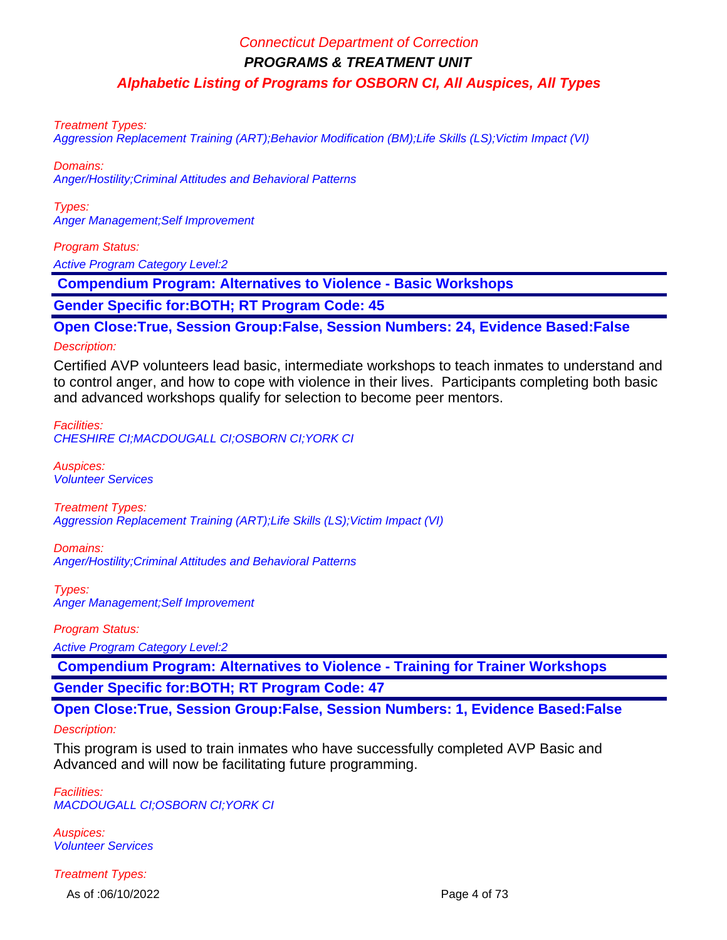Treatment Types:

Aggression Replacement Training (ART);Behavior Modification (BM);Life Skills (LS);Victim Impact (VI)

Domains:

Anger/Hostility;Criminal Attitudes and Behavioral Patterns

Types: Anger Management;Self Improvement

Program Status:

Active Program Category Level:2

 **Compendium Program: Alternatives to Violence - Basic Workshops**

**Gender Specific for:BOTH; RT Program Code: 45**

**Open Close:True, Session Group:False, Session Numbers: 24, Evidence Based:False**

## Description:

Certified AVP volunteers lead basic, intermediate workshops to teach inmates to understand and to control anger, and how to cope with violence in their lives. Participants completing both basic and advanced workshops qualify for selection to become peer mentors.

Facilities:

CHESHIRE CI;MACDOUGALL CI;OSBORN CI;YORK CI

Auspices: Volunteer Services

Treatment Types: Aggression Replacement Training (ART);Life Skills (LS);Victim Impact (VI)

Domains: Anger/Hostility;Criminal Attitudes and Behavioral Patterns

Types: Anger Management;Self Improvement

Program Status:

Active Program Category Level:2

 **Compendium Program: Alternatives to Violence - Training for Trainer Workshops Gender Specific for:BOTH; RT Program Code: 47**

**Open Close:True, Session Group:False, Session Numbers: 1, Evidence Based:False**

## Description:

This program is used to train inmates who have successfully completed AVP Basic and Advanced and will now be facilitating future programming.

Facilities: MACDOUGALL CI;OSBORN CI;YORK CI

Auspices: Volunteer Services

Treatment Types:

As of :06/10/2022 Page 4 of 73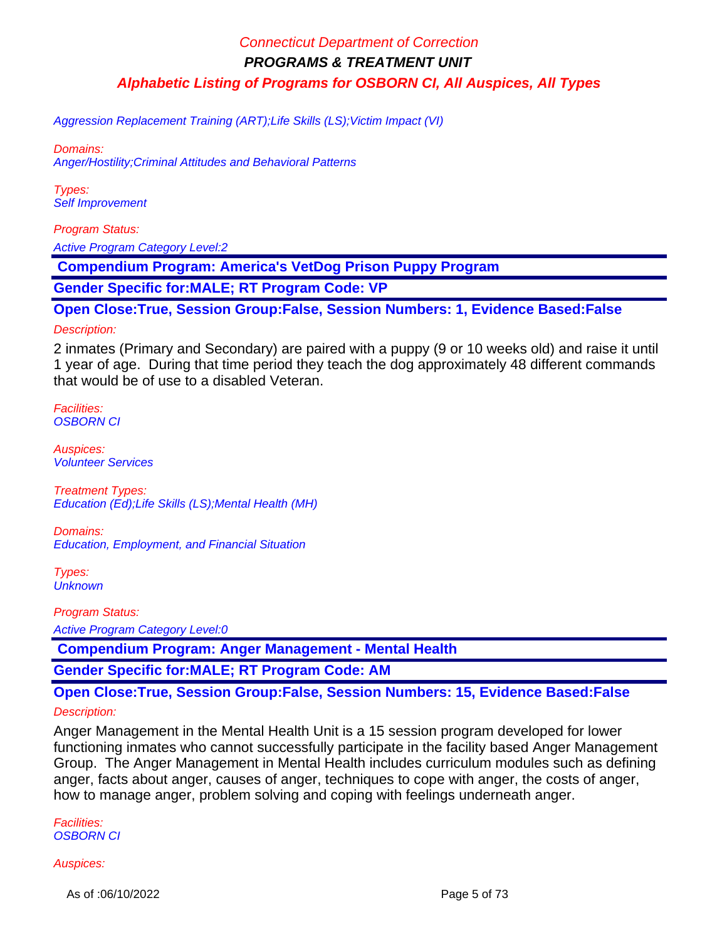Aggression Replacement Training (ART);Life Skills (LS);Victim Impact (VI)

Domains: Anger/Hostility;Criminal Attitudes and Behavioral Patterns

Types: Self Improvement

Program Status:

Active Program Category Level:2

 **Compendium Program: America's VetDog Prison Puppy Program**

**Gender Specific for:MALE; RT Program Code: VP**

**Open Close:True, Session Group:False, Session Numbers: 1, Evidence Based:False**

## Description:

2 inmates (Primary and Secondary) are paired with a puppy (9 or 10 weeks old) and raise it until 1 year of age. During that time period they teach the dog approximately 48 different commands that would be of use to a disabled Veteran.

Facilities: OSBORN CI

Auspices: Volunteer Services

Treatment Types: Education (Ed);Life Skills (LS);Mental Health (MH)

Domains: Education, Employment, and Financial Situation

Types: **Unknown** 

Program Status:

Active Program Category Level:0

 **Compendium Program: Anger Management - Mental Health**

**Gender Specific for:MALE; RT Program Code: AM**

**Open Close:True, Session Group:False, Session Numbers: 15, Evidence Based:False**

Description:

Anger Management in the Mental Health Unit is a 15 session program developed for lower functioning inmates who cannot successfully participate in the facility based Anger Management Group. The Anger Management in Mental Health includes curriculum modules such as defining anger, facts about anger, causes of anger, techniques to cope with anger, the costs of anger, how to manage anger, problem solving and coping with feelings underneath anger.

Facilities: OSBORN CI

Auspices:

As of :06/10/2022 Page 5 of 73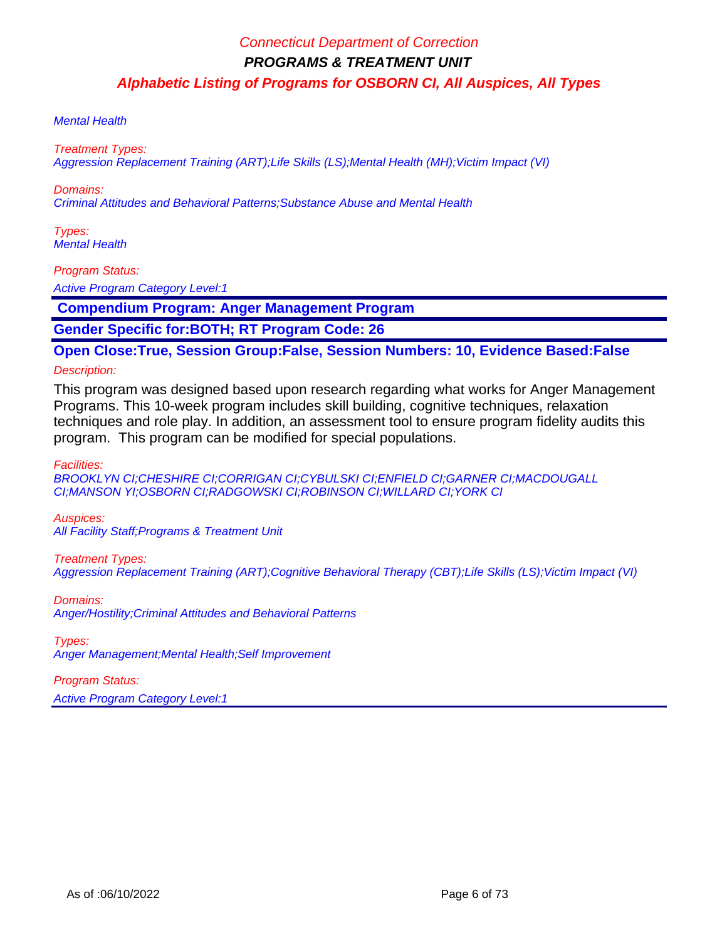## Mental Health

Treatment Types: Aggression Replacement Training (ART);Life Skills (LS);Mental Health (MH);Victim Impact (VI)

Domains:

Criminal Attitudes and Behavioral Patterns;Substance Abuse and Mental Health

Types: Mental Health

Program Status:

**Active Program Category Level:1** 

 **Compendium Program: Anger Management Program**

**Gender Specific for:BOTH; RT Program Code: 26**

**Open Close:True, Session Group:False, Session Numbers: 10, Evidence Based:False**

Description:

This program was designed based upon research regarding what works for Anger Management Programs. This 10-week program includes skill building, cognitive techniques, relaxation techniques and role play. In addition, an assessment tool to ensure program fidelity audits this program. This program can be modified for special populations.

Facilities:

BROOKLYN CI;CHESHIRE CI;CORRIGAN CI;CYBULSKI CI;ENFIELD CI;GARNER CI;MACDOUGALL CI;MANSON YI;OSBORN CI;RADGOWSKI CI;ROBINSON CI;WILLARD CI;YORK CI

Auspices: All Facility Staff;Programs & Treatment Unit

Treatment Types: Aggression Replacement Training (ART);Cognitive Behavioral Therapy (CBT);Life Skills (LS);Victim Impact (VI)

Domains: Anger/Hostility;Criminal Attitudes and Behavioral Patterns

Types: Anger Management;Mental Health;Self Improvement

Program Status: Active Program Category Level:1

As of :06/10/2022 Page 6 of 73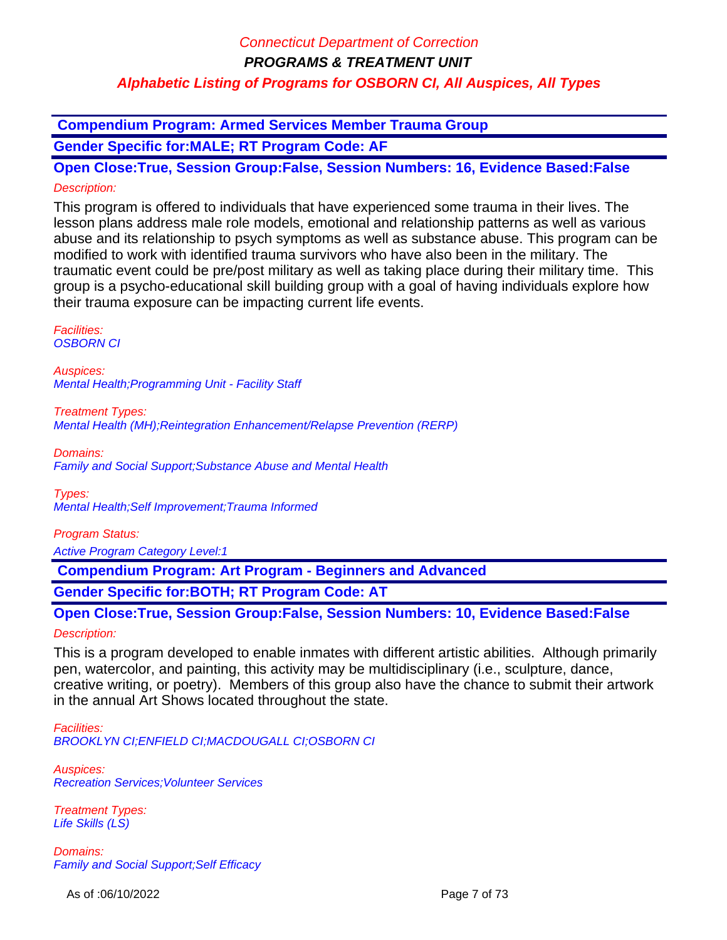**Compendium Program: Armed Services Member Trauma Group**

**Gender Specific for:MALE; RT Program Code: AF**

**Open Close:True, Session Group:False, Session Numbers: 16, Evidence Based:False** Description:

This program is offered to individuals that have experienced some trauma in their lives. The lesson plans address male role models, emotional and relationship patterns as well as various abuse and its relationship to psych symptoms as well as substance abuse. This program can be modified to work with identified trauma survivors who have also been in the military. The traumatic event could be pre/post military as well as taking place during their military time. This group is a psycho-educational skill building group with a goal of having individuals explore how their trauma exposure can be impacting current life events.

Facilities: OSBORN CI

Auspices: Mental Health;Programming Unit - Facility Staff

Treatment Types: Mental Health (MH);Reintegration Enhancement/Relapse Prevention (RERP)

Domains: Family and Social Support;Substance Abuse and Mental Health

Types: Mental Health;Self Improvement;Trauma Informed

Program Status:

Active Program Category Level:1

 **Compendium Program: Art Program - Beginners and Advanced**

**Gender Specific for:BOTH; RT Program Code: AT**

**Open Close:True, Session Group:False, Session Numbers: 10, Evidence Based:False** Description:

This is a program developed to enable inmates with different artistic abilities. Although primarily pen, watercolor, and painting, this activity may be multidisciplinary (i.e., sculpture, dance, creative writing, or poetry). Members of this group also have the chance to submit their artwork in the annual Art Shows located throughout the state.

Facilities: BROOKLYN CI;ENFIELD CI;MACDOUGALL CI;OSBORN CI

Auspices: Recreation Services;Volunteer Services

Treatment Types: Life Skills (LS)

Domains: Family and Social Support;Self Efficacy

As of :06/10/2022 Page 7 of 73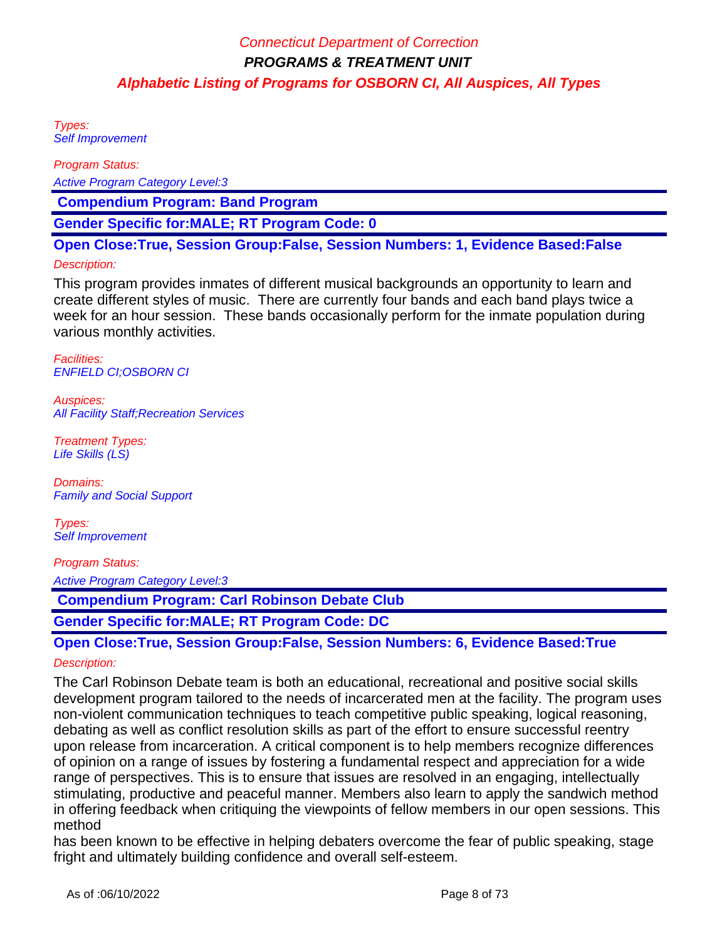Types: Self Improvement

Program Status:

Active Program Category Level:3

 **Compendium Program: Band Program**

**Gender Specific for:MALE; RT Program Code: 0**

**Open Close:True, Session Group:False, Session Numbers: 1, Evidence Based:False**

## Description:

This program provides inmates of different musical backgrounds an opportunity to learn and create different styles of music. There are currently four bands and each band plays twice a week for an hour session. These bands occasionally perform for the inmate population during various monthly activities.

Facilities: ENFIELD CI;OSBORN CI

Auspices: **All Facility Staff; Recreation Services** 

Treatment Types: Life Skills (LS)

Domains: Family and Social Support

Types: Self Improvement

Program Status: Active Program Category Level:3

 **Compendium Program: Carl Robinson Debate Club**

**Gender Specific for:MALE; RT Program Code: DC**

**Open Close:True, Session Group:False, Session Numbers: 6, Evidence Based:True** Description:

The Carl Robinson Debate team is both an educational, recreational and positive social skills development program tailored to the needs of incarcerated men at the facility. The program uses non-violent communication techniques to teach competitive public speaking, logical reasoning, debating as well as conflict resolution skills as part of the effort to ensure successful reentry upon release from incarceration. A critical component is to help members recognize differences of opinion on a range of issues by fostering a fundamental respect and appreciation for a wide range of perspectives. This is to ensure that issues are resolved in an engaging, intellectually stimulating, productive and peaceful manner. Members also learn to apply the sandwich method in offering feedback when critiquing the viewpoints of fellow members in our open sessions. This method

has been known to be effective in helping debaters overcome the fear of public speaking, stage fright and ultimately building confidence and overall self-esteem.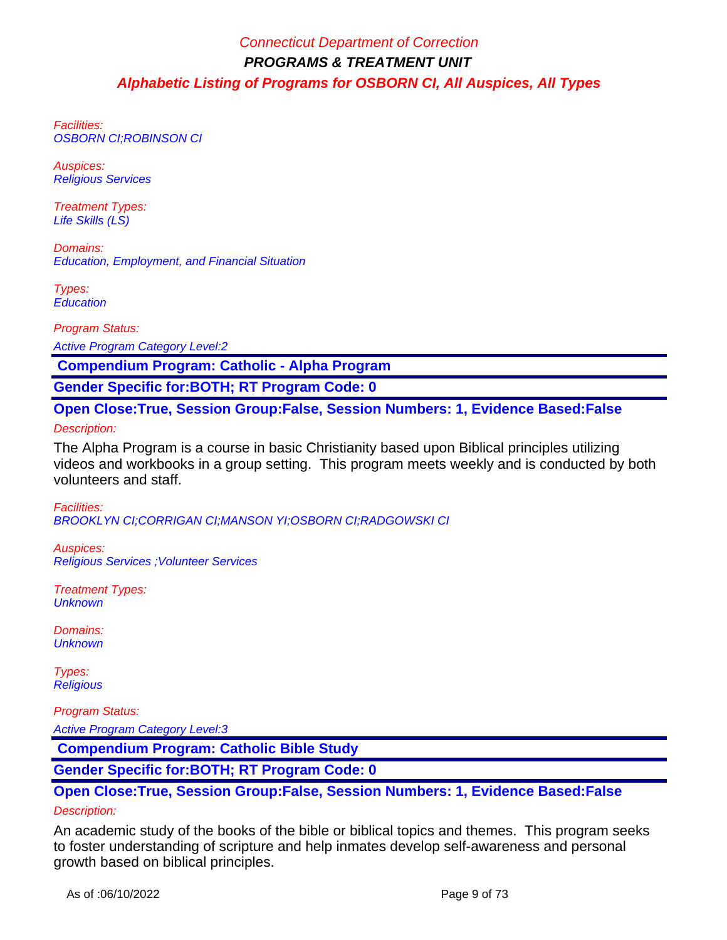Facilities: OSBORN CI;ROBINSON CI

Auspices: Religious Services

Treatment Types: Life Skills (LS)

Domains: Education, Employment, and Financial Situation

Types: **Education** 

Program Status:

Active Program Category Level:2

 **Compendium Program: Catholic - Alpha Program**

**Gender Specific for:BOTH; RT Program Code: 0**

**Open Close:True, Session Group:False, Session Numbers: 1, Evidence Based:False**

Description:

The Alpha Program is a course in basic Christianity based upon Biblical principles utilizing videos and workbooks in a group setting. This program meets weekly and is conducted by both volunteers and staff.

Facilities: BROOKLYN CI;CORRIGAN CI;MANSON YI;OSBORN CI;RADGOWSKI CI

Auspices: Religious Services ;Volunteer Services

Treatment Types: **Unknown** 

Domains: **Unknown** 

Types: **Religious** 

Program Status:

Active Program Category Level:3

 **Compendium Program: Catholic Bible Study**

**Gender Specific for:BOTH; RT Program Code: 0**

**Open Close:True, Session Group:False, Session Numbers: 1, Evidence Based:False**

## Description:

An academic study of the books of the bible or biblical topics and themes. This program seeks to foster understanding of scripture and help inmates develop self-awareness and personal growth based on biblical principles.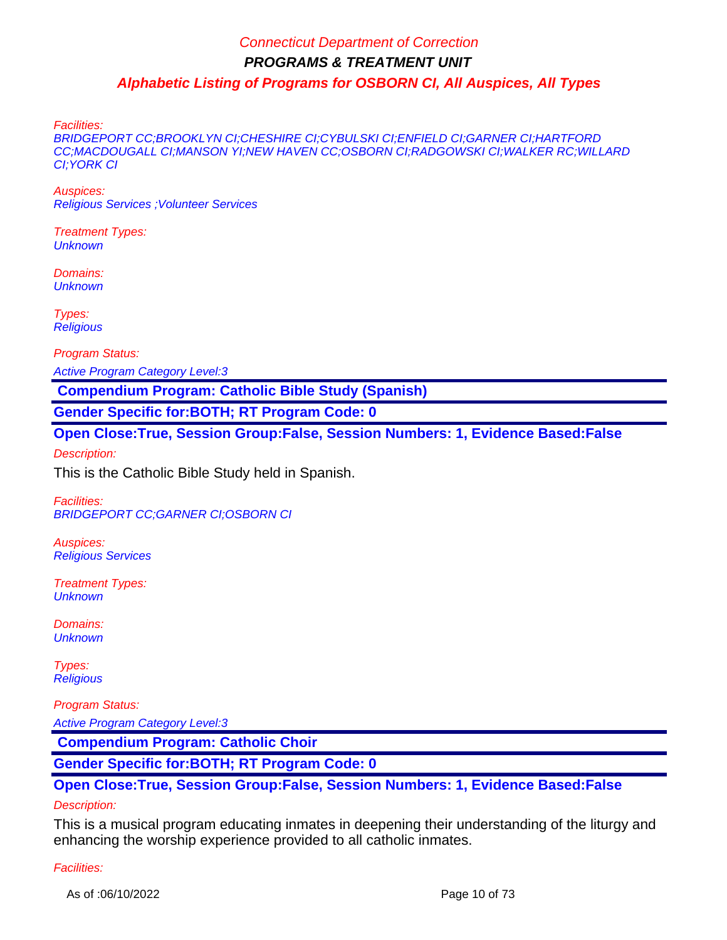Facilities:

BRIDGEPORT CC;BROOKLYN CI;CHESHIRE CI;CYBULSKI CI;ENFIELD CI;GARNER CI;HARTFORD CC;MACDOUGALL CI;MANSON YI;NEW HAVEN CC;OSBORN CI;RADGOWSKI CI;WALKER RC;WILLARD CI;YORK CI

Auspices: Religious Services ;Volunteer Services

Treatment Types: **Unknown** 

Domains: **Unknown** 

Types: **Religious** 

Program Status:

Active Program Category Level:3

 **Compendium Program: Catholic Bible Study (Spanish)**

**Gender Specific for:BOTH; RT Program Code: 0**

**Open Close:True, Session Group:False, Session Numbers: 1, Evidence Based:False**

Description:

This is the Catholic Bible Study held in Spanish.

Facilities: BRIDGEPORT CC;GARNER CI;OSBORN CI

Auspices: Religious Services

Treatment Types: **Unknown** 

Domains: **Unknown** 

Types: **Religious** 

Program Status:

Active Program Category Level:3

 **Compendium Program: Catholic Choir**

**Gender Specific for:BOTH; RT Program Code: 0**

**Open Close:True, Session Group:False, Session Numbers: 1, Evidence Based:False**

## Description:

This is a musical program educating inmates in deepening their understanding of the liturgy and enhancing the worship experience provided to all catholic inmates.

Facilities: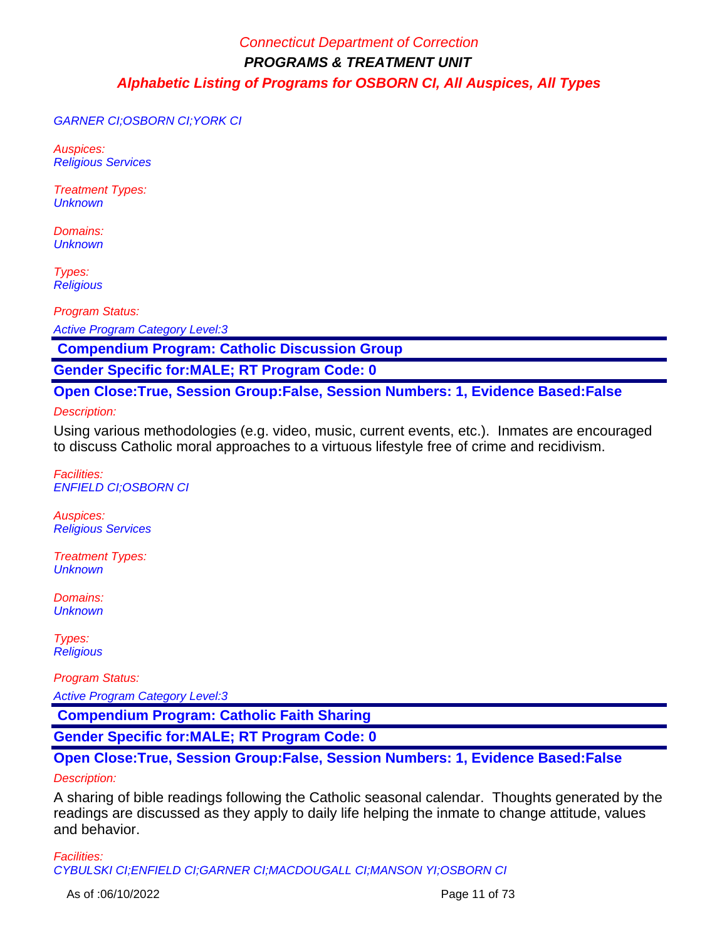## GARNER CI;OSBORN CI;YORK CI

Auspices: Religious Services

Treatment Types: **Unknown** 

Domains: **Unknown** 

Types: **Religious** 

Program Status:

Active Program Category Level:3

 **Compendium Program: Catholic Discussion Group**

**Gender Specific for:MALE; RT Program Code: 0**

**Open Close:True, Session Group:False, Session Numbers: 1, Evidence Based:False**

Description:

Using various methodologies (e.g. video, music, current events, etc.). Inmates are encouraged to discuss Catholic moral approaches to a virtuous lifestyle free of crime and recidivism.

Facilities: ENFIELD CI;OSBORN CI

Auspices: Religious Services

Treatment Types: **Unknown** 

Domains: **Unknown** 

Types: **Religious** 

Program Status:

Active Program Category Level:3

 **Compendium Program: Catholic Faith Sharing**

**Gender Specific for:MALE; RT Program Code: 0**

**Open Close:True, Session Group:False, Session Numbers: 1, Evidence Based:False**

## Description:

A sharing of bible readings following the Catholic seasonal calendar. Thoughts generated by the readings are discussed as they apply to daily life helping the inmate to change attitude, values and behavior.

Facilities: CYBULSKI CI;ENFIELD CI;GARNER CI;MACDOUGALL CI;MANSON YI;OSBORN CI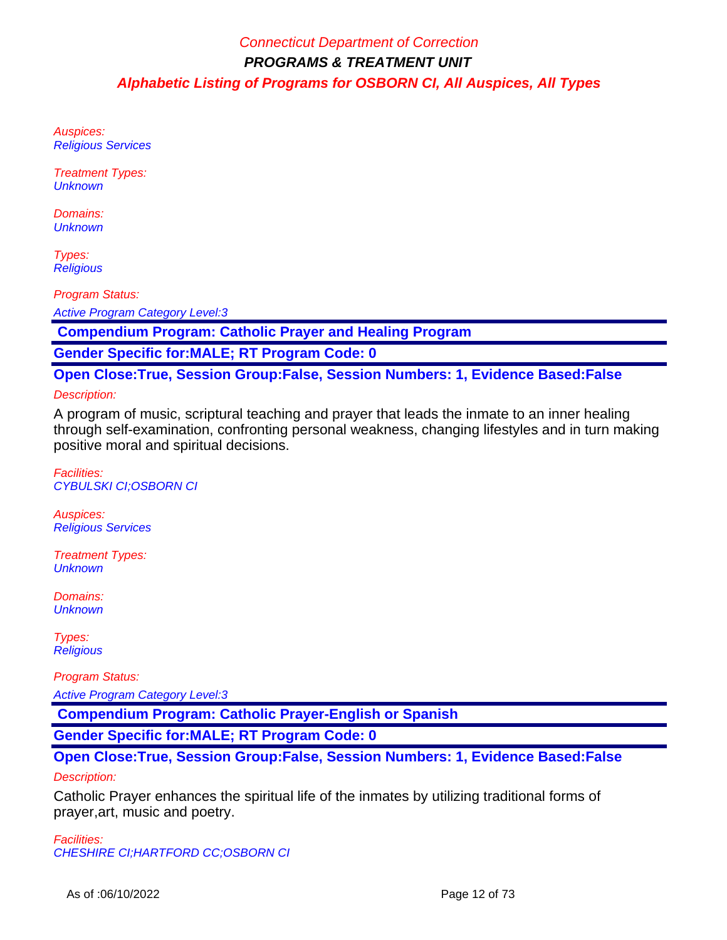Auspices: Religious Services

Treatment Types: **Unknown** 

Domains: **Unknown** 

Types: **Religious** 

Program Status:

Active Program Category Level:3

 **Compendium Program: Catholic Prayer and Healing Program**

**Gender Specific for:MALE; RT Program Code: 0**

**Open Close:True, Session Group:False, Session Numbers: 1, Evidence Based:False**

#### Description:

A program of music, scriptural teaching and prayer that leads the inmate to an inner healing through self-examination, confronting personal weakness, changing lifestyles and in turn making positive moral and spiritual decisions.

Facilities: CYBULSKI CI;OSBORN CI

Auspices: Religious Services

Treatment Types: **Unknown** 

Domains: **Unknown** 

Types: **Religious** 

Program Status:

Active Program Category Level:3

 **Compendium Program: Catholic Prayer-English or Spanish**

**Gender Specific for:MALE; RT Program Code: 0**

**Open Close:True, Session Group:False, Session Numbers: 1, Evidence Based:False** Description:

Catholic Prayer enhances the spiritual life of the inmates by utilizing traditional forms of prayer,art, music and poetry.

Facilities: CHESHIRE CI;HARTFORD CC;OSBORN CI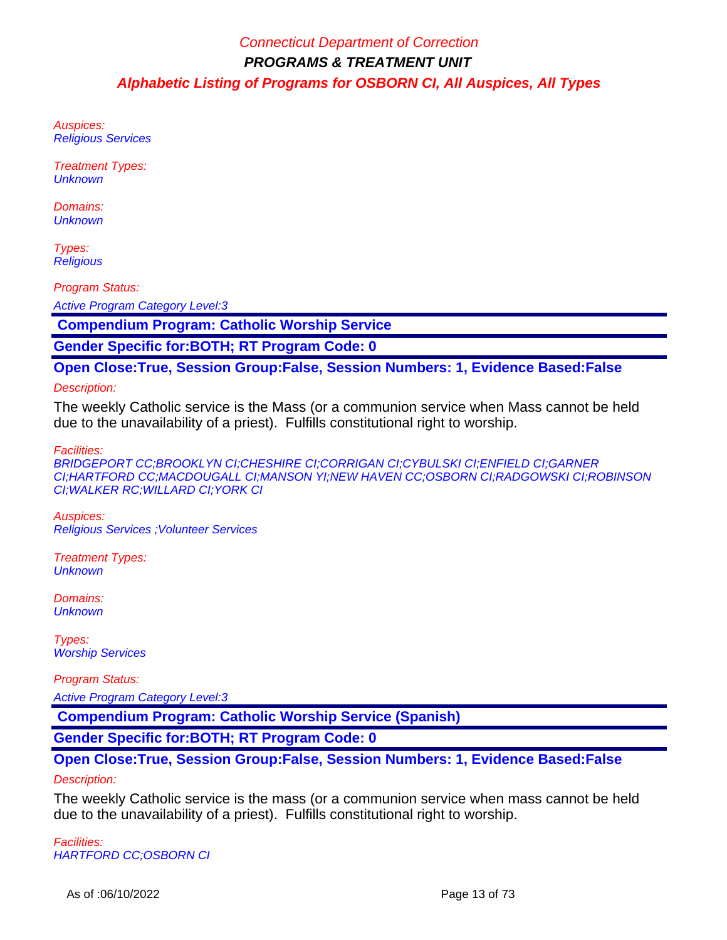Auspices: Religious Services

Treatment Types: **Unknown** 

Domains: **Unknown** 

Types: **Religious** 

Program Status:

Active Program Category Level:3

 **Compendium Program: Catholic Worship Service**

**Gender Specific for:BOTH; RT Program Code: 0**

**Open Close:True, Session Group:False, Session Numbers: 1, Evidence Based:False**

Description:

The weekly Catholic service is the Mass (or a communion service when Mass cannot be held due to the unavailability of a priest). Fulfills constitutional right to worship.

Facilities:

BRIDGEPORT CC;BROOKLYN CI;CHESHIRE CI;CORRIGAN CI;CYBULSKI CI;ENFIELD CI;GARNER CI;HARTFORD CC;MACDOUGALL CI;MANSON YI;NEW HAVEN CC;OSBORN CI;RADGOWSKI CI;ROBINSON CI;WALKER RC;WILLARD CI;YORK CI

Auspices: Religious Services ;Volunteer Services

Treatment Types: **Unknown** 

Domains: **Unknown** 

Types: **Worship Services** 

Program Status: Active Program Category Level:3

 **Compendium Program: Catholic Worship Service (Spanish)**

**Gender Specific for:BOTH; RT Program Code: 0**

**Open Close:True, Session Group:False, Session Numbers: 1, Evidence Based:False**

Description:

The weekly Catholic service is the mass (or a communion service when mass cannot be held due to the unavailability of a priest). Fulfills constitutional right to worship.

Facilities: HARTFORD CC;OSBORN CI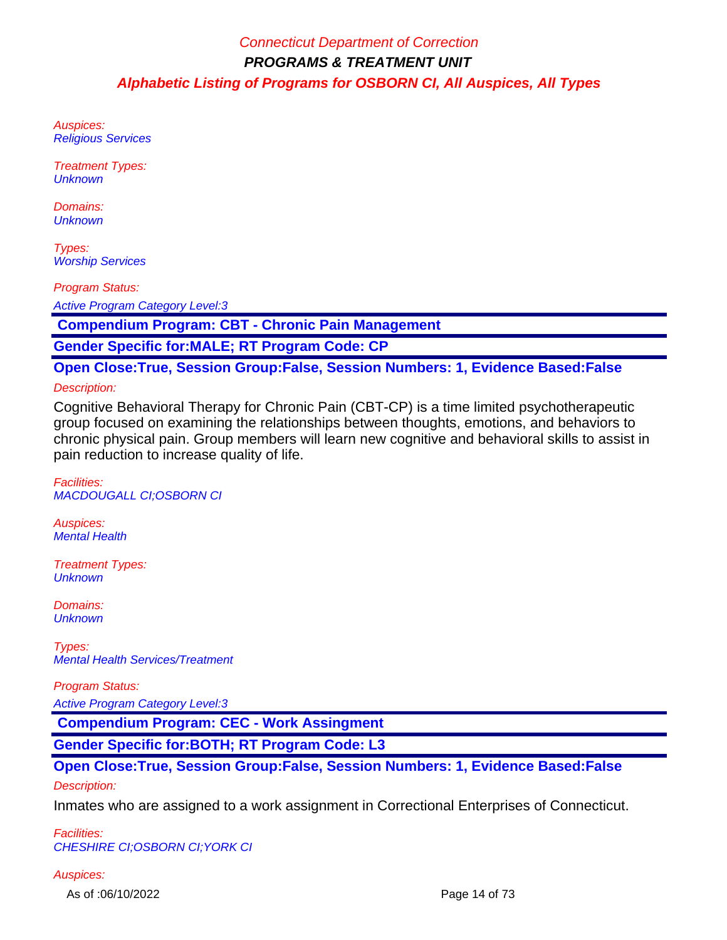Auspices: Religious Services

Treatment Types: **Unknown** 

Domains: **Unknown** 

Types: Worship Services

Program Status:

Active Program Category Level:3

 **Compendium Program: CBT - Chronic Pain Management**

**Gender Specific for:MALE; RT Program Code: CP**

**Open Close:True, Session Group:False, Session Numbers: 1, Evidence Based:False**

## Description:

Cognitive Behavioral Therapy for Chronic Pain (CBT-CP) is a time limited psychotherapeutic group focused on examining the relationships between thoughts, emotions, and behaviors to chronic physical pain. Group members will learn new cognitive and behavioral skills to assist in pain reduction to increase quality of life.

Facilities: MACDOUGALL CI;OSBORN CI

Auspices: Mental Health

Treatment Types: Unknown

Domains: **Unknown** 

Types: Mental Health Services/Treatment

Program Status:

Active Program Category Level:3

 **Compendium Program: CEC - Work Assingment**

**Gender Specific for:BOTH; RT Program Code: L3**

# **Open Close:True, Session Group:False, Session Numbers: 1, Evidence Based:False**

## Description:

Inmates who are assigned to a work assignment in Correctional Enterprises of Connecticut.

Facilities: CHESHIRE CI;OSBORN CI;YORK CI

## Auspices:

As of :06/10/2022 **Page 14 of 73**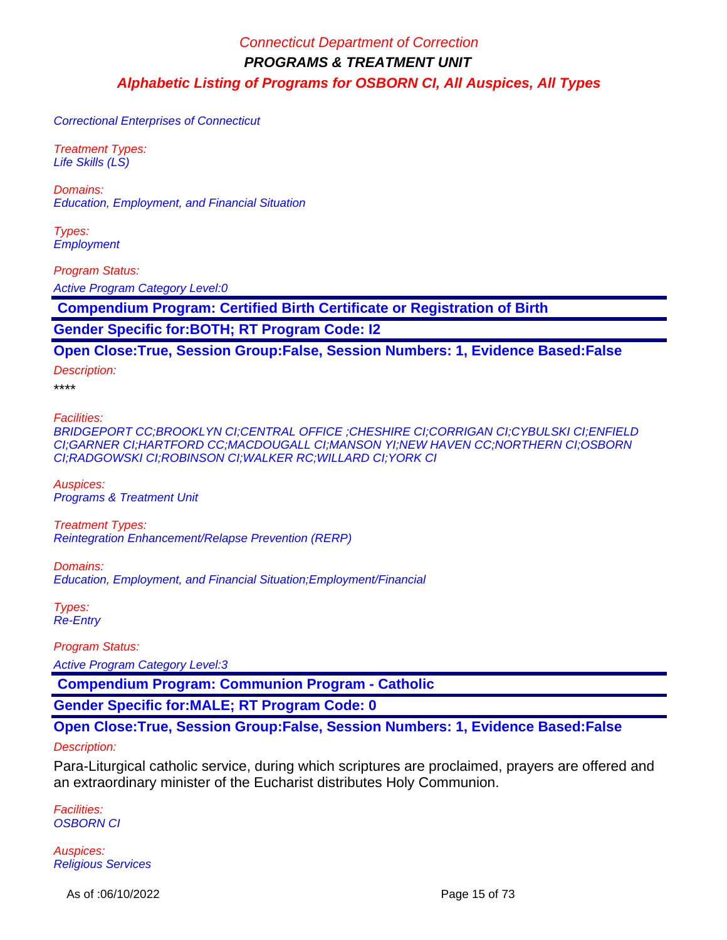Correctional Enterprises of Connecticut

Treatment Types: Life Skills (LS)

Domains: Education, Employment, and Financial Situation

Types: **Employment** 

Program Status:

Active Program Category Level:0

 **Compendium Program: Certified Birth Certificate or Registration of Birth**

**Gender Specific for:BOTH; RT Program Code: I2**

**Open Close:True, Session Group:False, Session Numbers: 1, Evidence Based:False**

Description:

\*\*\*\*

Facilities:

BRIDGEPORT CC;BROOKLYN CI;CENTRAL OFFICE ;CHESHIRE CI;CORRIGAN CI;CYBULSKI CI;ENFIELD CI;GARNER CI;HARTFORD CC;MACDOUGALL CI;MANSON YI;NEW HAVEN CC;NORTHERN CI;OSBORN CI;RADGOWSKI CI;ROBINSON CI;WALKER RC;WILLARD CI;YORK CI

Auspices: Programs & Treatment Unit

Treatment Types: Reintegration Enhancement/Relapse Prevention (RERP)

Domains: Education, Employment, and Financial Situation;Employment/Financial

Types: Re-Entry

Program Status:

Active Program Category Level:3

 **Compendium Program: Communion Program - Catholic**

**Gender Specific for:MALE; RT Program Code: 0**

**Open Close:True, Session Group:False, Session Numbers: 1, Evidence Based:False**

## Description:

Para-Liturgical catholic service, during which scriptures are proclaimed, prayers are offered and an extraordinary minister of the Eucharist distributes Holy Communion.

Facilities: OSBORN CI

Auspices: Religious Services

As of :06/10/2022 **Page 15 of 73**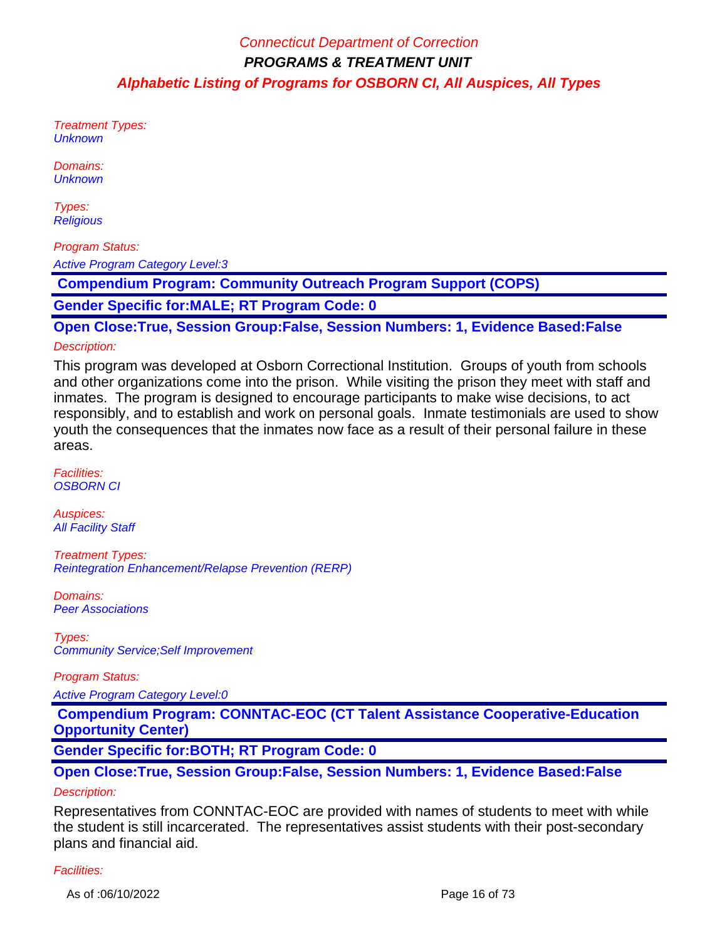Treatment Types: **Unknown** 

Domains: **Unknown** 

Types: **Religious** 

Program Status: Active Program Category Level:3

 **Compendium Program: Community Outreach Program Support (COPS)**

**Gender Specific for:MALE; RT Program Code: 0**

**Open Close:True, Session Group:False, Session Numbers: 1, Evidence Based:False**

## Description:

This program was developed at Osborn Correctional Institution. Groups of youth from schools and other organizations come into the prison. While visiting the prison they meet with staff and inmates. The program is designed to encourage participants to make wise decisions, to act responsibly, and to establish and work on personal goals. Inmate testimonials are used to show youth the consequences that the inmates now face as a result of their personal failure in these areas.

Facilities: OSBORN CI

Auspices: **All Facility Staff** 

Treatment Types: Reintegration Enhancement/Relapse Prevention (RERP)

Domains: Peer Associations

Types: Community Service;Self Improvement

Program Status:

Active Program Category Level:0

 **Compendium Program: CONNTAC-EOC (CT Talent Assistance Cooperative-Education Opportunity Center)**

**Gender Specific for:BOTH; RT Program Code: 0**

**Open Close:True, Session Group:False, Session Numbers: 1, Evidence Based:False** Description:

Representatives from CONNTAC-EOC are provided with names of students to meet with while the student is still incarcerated. The representatives assist students with their post-secondary plans and financial aid.

## Facilities:

As of :06/10/2022 **Page 16 of 73**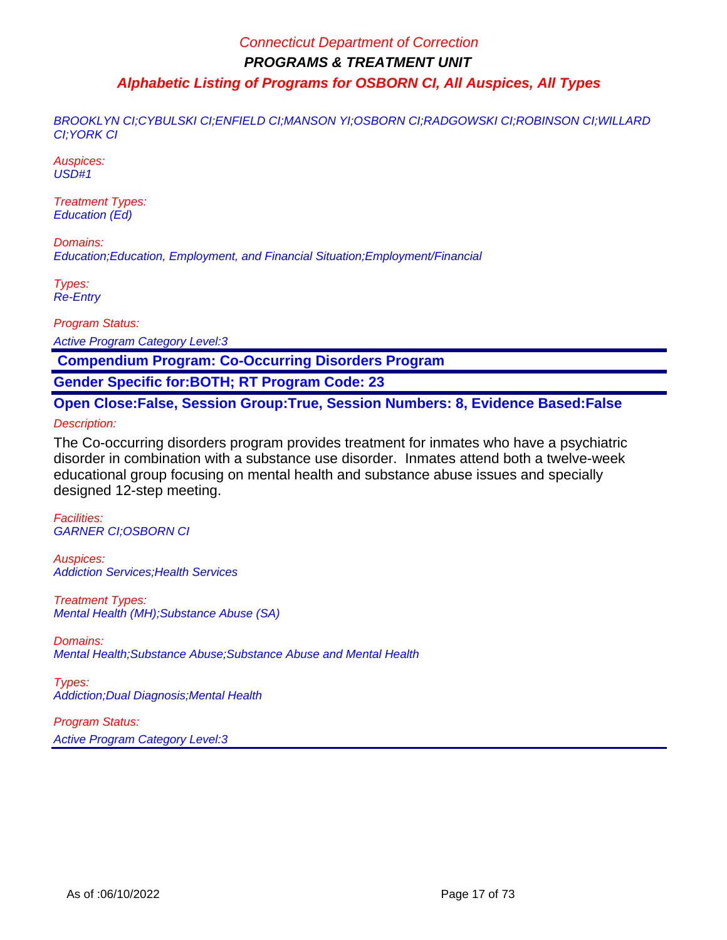BROOKLYN CI;CYBULSKI CI;ENFIELD CI;MANSON YI;OSBORN CI;RADGOWSKI CI;ROBINSON CI;WILLARD CI;YORK CI

Auspices: USD#1

Treatment Types: Education (Ed)

Domains: Education;Education, Employment, and Financial Situation;Employment/Financial

Types: Re-Entry

Program Status:

Active Program Category Level:3

 **Compendium Program: Co-Occurring Disorders Program**

**Gender Specific for:BOTH; RT Program Code: 23**

**Open Close:False, Session Group:True, Session Numbers: 8, Evidence Based:False** Description:

The Co-occurring disorders program provides treatment for inmates who have a psychiatric disorder in combination with a substance use disorder. Inmates attend both a twelve-week educational group focusing on mental health and substance abuse issues and specially designed 12-step meeting.

Facilities: GARNER CI;OSBORN CI

Auspices: **Addiction Services; Health Services** 

Treatment Types: Mental Health (MH);Substance Abuse (SA)

Domains: Mental Health;Substance Abuse;Substance Abuse and Mental Health

Types: Addiction;Dual Diagnosis;Mental Health

Program Status: Active Program Category Level:3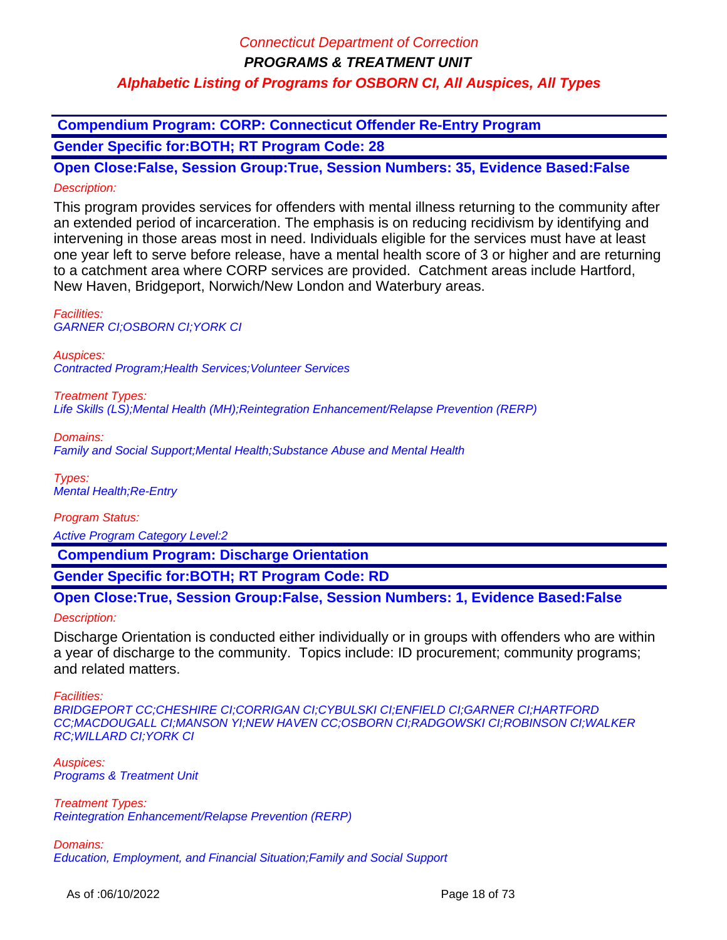**Compendium Program: CORP: Connecticut Offender Re-Entry Program Gender Specific for:BOTH; RT Program Code: 28**

**Open Close:False, Session Group:True, Session Numbers: 35, Evidence Based:False** Description:

This program provides services for offenders with mental illness returning to the community after an extended period of incarceration. The emphasis is on reducing recidivism by identifying and intervening in those areas most in need. Individuals eligible for the services must have at least one year left to serve before release, have a mental health score of 3 or higher and are returning to a catchment area where CORP services are provided. Catchment areas include Hartford, New Haven, Bridgeport, Norwich/New London and Waterbury areas.

Facilities: GARNER CI;OSBORN CI;YORK CI

Auspices: Contracted Program;Health Services;Volunteer Services

Treatment Types: Life Skills (LS);Mental Health (MH);Reintegration Enhancement/Relapse Prevention (RERP)

Domains: Family and Social Support;Mental Health;Substance Abuse and Mental Health

Types: Mental Health;Re-Entry

Program Status: Active Program Category Level:2

 **Compendium Program: Discharge Orientation**

**Gender Specific for:BOTH; RT Program Code: RD**

**Open Close:True, Session Group:False, Session Numbers: 1, Evidence Based:False**

# Description:

Discharge Orientation is conducted either individually or in groups with offenders who are within a year of discharge to the community. Topics include: ID procurement; community programs; and related matters.

## Facilities:

BRIDGEPORT CC;CHESHIRE CI;CORRIGAN CI;CYBULSKI CI;ENFIELD CI;GARNER CI;HARTFORD CC;MACDOUGALL CI;MANSON YI;NEW HAVEN CC;OSBORN CI;RADGOWSKI CI;ROBINSON CI;WALKER RC;WILLARD CI;YORK CI

Auspices: Programs & Treatment Unit

Treatment Types: Reintegration Enhancement/Relapse Prevention (RERP)

Domains: Education, Employment, and Financial Situation;Family and Social Support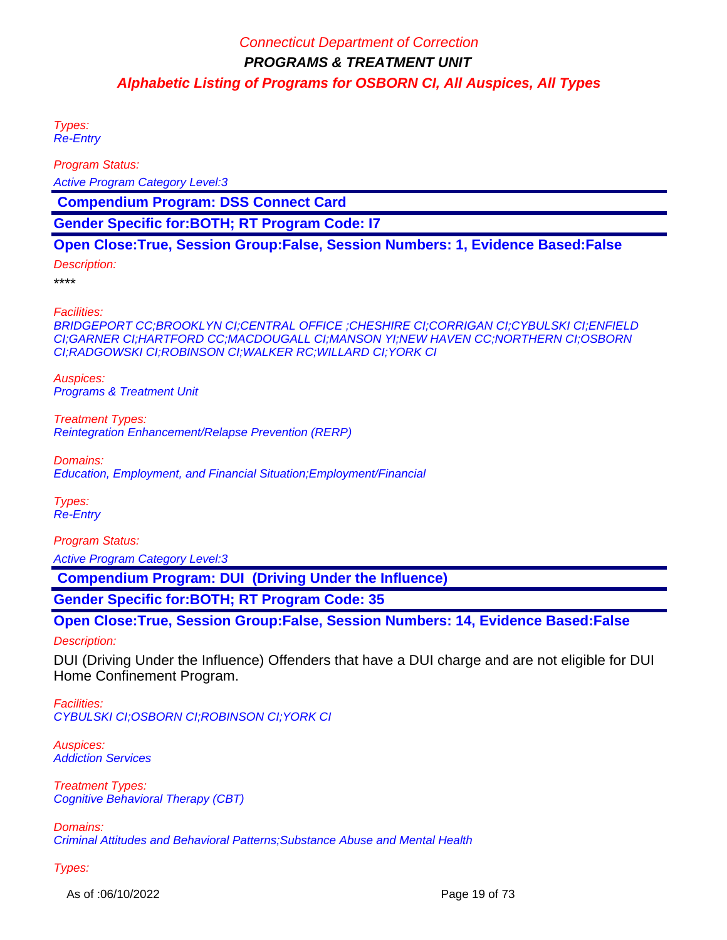Types: Re-Entry

Program Status:

Active Program Category Level:3

 **Compendium Program: DSS Connect Card**

**Gender Specific for:BOTH; RT Program Code: I7**

**Open Close:True, Session Group:False, Session Numbers: 1, Evidence Based:False**

Description:

\*\*\*\*

Facilities:

BRIDGEPORT CC;BROOKLYN CI;CENTRAL OFFICE ;CHESHIRE CI;CORRIGAN CI;CYBULSKI CI;ENFIELD CI;GARNER CI;HARTFORD CC;MACDOUGALL CI;MANSON YI;NEW HAVEN CC;NORTHERN CI;OSBORN CI;RADGOWSKI CI;ROBINSON CI;WALKER RC;WILLARD CI;YORK CI

Auspices: Programs & Treatment Unit

Treatment Types: Reintegration Enhancement/Relapse Prevention (RERP)

Domains: Education, Employment, and Financial Situation;Employment/Financial

Types: Re-Entry

Program Status: Active Program Category Level:3

 **Compendium Program: DUI (Driving Under the Influence)**

**Gender Specific for:BOTH; RT Program Code: 35**

**Open Close:True, Session Group:False, Session Numbers: 14, Evidence Based:False**

Description:

DUI (Driving Under the Influence) Offenders that have a DUI charge and are not eligible for DUI Home Confinement Program.

Facilities: CYBULSKI CI;OSBORN CI;ROBINSON CI;YORK CI

Auspices: Addiction Services

Treatment Types: Cognitive Behavioral Therapy (CBT)

Domains: Criminal Attitudes and Behavioral Patterns;Substance Abuse and Mental Health

Types:

As of :06/10/2022 **Page 19 of 73**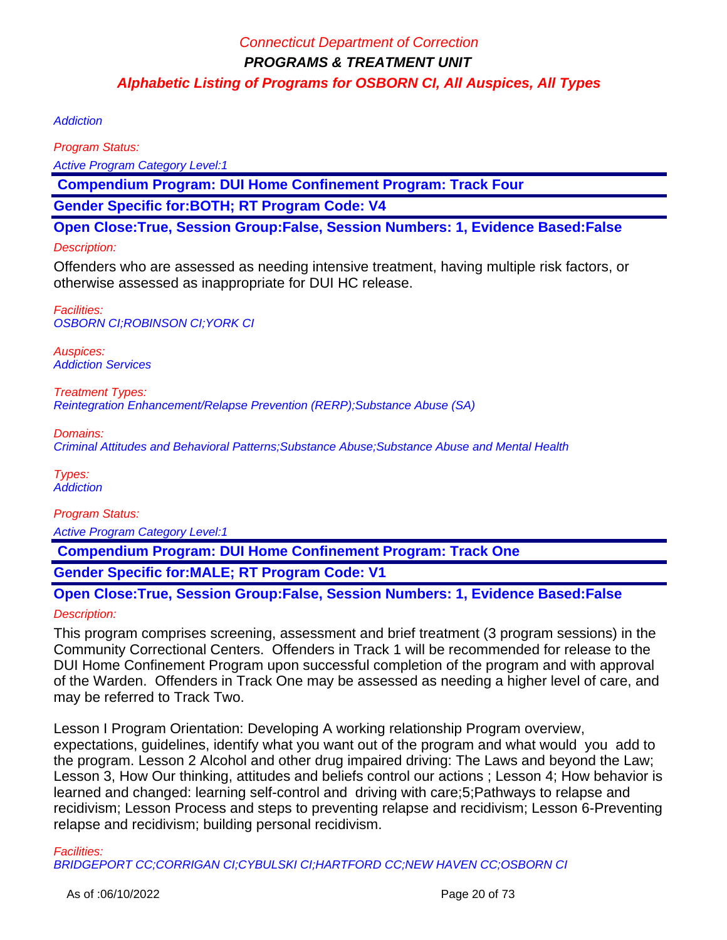## **Addiction**

Program Status:

Active Program Category Level:1

 **Compendium Program: DUI Home Confinement Program: Track Four**

**Gender Specific for:BOTH; RT Program Code: V4**

**Open Close:True, Session Group:False, Session Numbers: 1, Evidence Based:False**

## Description:

Offenders who are assessed as needing intensive treatment, having multiple risk factors, or otherwise assessed as inappropriate for DUI HC release.

Facilities: OSBORN CI;ROBINSON CI;YORK CI

Auspices: Addiction Services

Treatment Types: Reintegration Enhancement/Relapse Prevention (RERP);Substance Abuse (SA)

Domains:

Criminal Attitudes and Behavioral Patterns;Substance Abuse;Substance Abuse and Mental Health

Types: **Addiction** 

Program Status:

Active Program Category Level:1

 **Compendium Program: DUI Home Confinement Program: Track One**

**Gender Specific for:MALE; RT Program Code: V1**

**Open Close:True, Session Group:False, Session Numbers: 1, Evidence Based:False** Description:

This program comprises screening, assessment and brief treatment (3 program sessions) in the Community Correctional Centers. Offenders in Track 1 will be recommended for release to the DUI Home Confinement Program upon successful completion of the program and with approval of the Warden. Offenders in Track One may be assessed as needing a higher level of care, and may be referred to Track Two.

Lesson I Program Orientation: Developing A working relationship Program overview, expectations, guidelines, identify what you want out of the program and what would you add to the program. Lesson 2 Alcohol and other drug impaired driving: The Laws and beyond the Law; Lesson 3, How Our thinking, attitudes and beliefs control our actions ; Lesson 4; How behavior is learned and changed: learning self-control and driving with care;5;Pathways to relapse and recidivism; Lesson Process and steps to preventing relapse and recidivism; Lesson 6-Preventing relapse and recidivism; building personal recidivism.

Facilities: BRIDGEPORT CC;CORRIGAN CI;CYBULSKI CI;HARTFORD CC;NEW HAVEN CC;OSBORN CI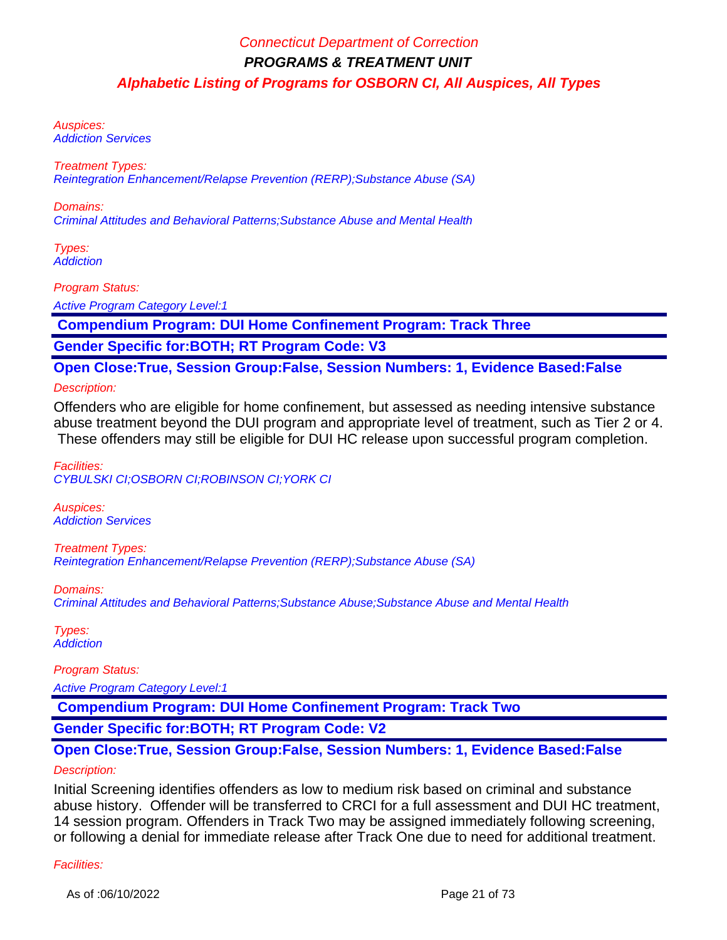Auspices: Addiction Services

Treatment Types: Reintegration Enhancement/Relapse Prevention (RERP);Substance Abuse (SA)

Domains: Criminal Attitudes and Behavioral Patterns;Substance Abuse and Mental Health

Types: **Addiction** 

Program Status:

Active Program Category Level:1

 **Compendium Program: DUI Home Confinement Program: Track Three**

**Gender Specific for:BOTH; RT Program Code: V3**

**Open Close:True, Session Group:False, Session Numbers: 1, Evidence Based:False**

Description:

Offenders who are eligible for home confinement, but assessed as needing intensive substance abuse treatment beyond the DUI program and appropriate level of treatment, such as Tier 2 or 4. These offenders may still be eligible for DUI HC release upon successful program completion.

Facilities: CYBULSKI CI;OSBORN CI;ROBINSON CI;YORK CI

Auspices: Addiction Services

Treatment Types: Reintegration Enhancement/Relapse Prevention (RERP);Substance Abuse (SA)

Domains:

Criminal Attitudes and Behavioral Patterns;Substance Abuse;Substance Abuse and Mental Health

Types: **Addiction** 

Program Status:

Active Program Category Level:1

 **Compendium Program: DUI Home Confinement Program: Track Two**

**Gender Specific for:BOTH; RT Program Code: V2**

# **Open Close:True, Session Group:False, Session Numbers: 1, Evidence Based:False**

# Description:

Initial Screening identifies offenders as low to medium risk based on criminal and substance abuse history. Offender will be transferred to CRCI for a full assessment and DUI HC treatment, 14 session program. Offenders in Track Two may be assigned immediately following screening, or following a denial for immediate release after Track One due to need for additional treatment.

## Facilities: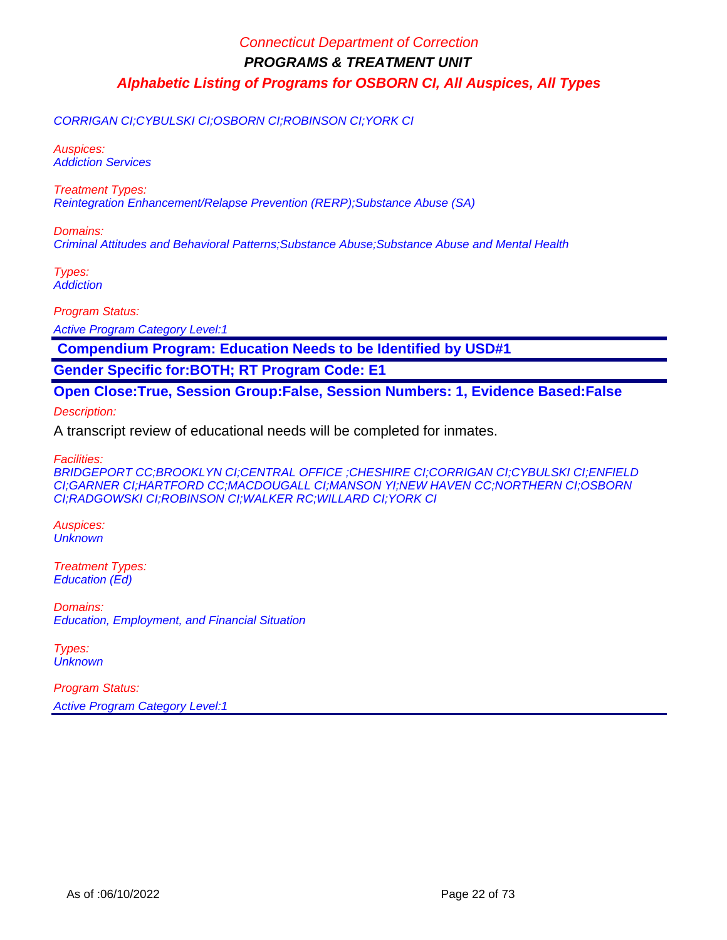## CORRIGAN CI;CYBULSKI CI;OSBORN CI;ROBINSON CI;YORK CI

Auspices: Addiction Services

Treatment Types: Reintegration Enhancement/Relapse Prevention (RERP);Substance Abuse (SA)

Domains: Criminal Attitudes and Behavioral Patterns;Substance Abuse;Substance Abuse and Mental Health

Types: **Addiction** 

Program Status:

Active Program Category Level:1

 **Compendium Program: Education Needs to be Identified by USD#1**

**Gender Specific for:BOTH; RT Program Code: E1**

**Open Close:True, Session Group:False, Session Numbers: 1, Evidence Based:False**

Description:

A transcript review of educational needs will be completed for inmates.

Facilities:

BRIDGEPORT CC;BROOKLYN CI;CENTRAL OFFICE ;CHESHIRE CI;CORRIGAN CI;CYBULSKI CI;ENFIELD CI;GARNER CI;HARTFORD CC;MACDOUGALL CI;MANSON YI;NEW HAVEN CC;NORTHERN CI;OSBORN CI;RADGOWSKI CI;ROBINSON CI;WALKER RC;WILLARD CI;YORK CI

Auspices: **Unknown** 

Treatment Types: Education (Ed)

Domains: Education, Employment, and Financial Situation

Types: **Unknown** 

Program Status: Active Program Category Level:1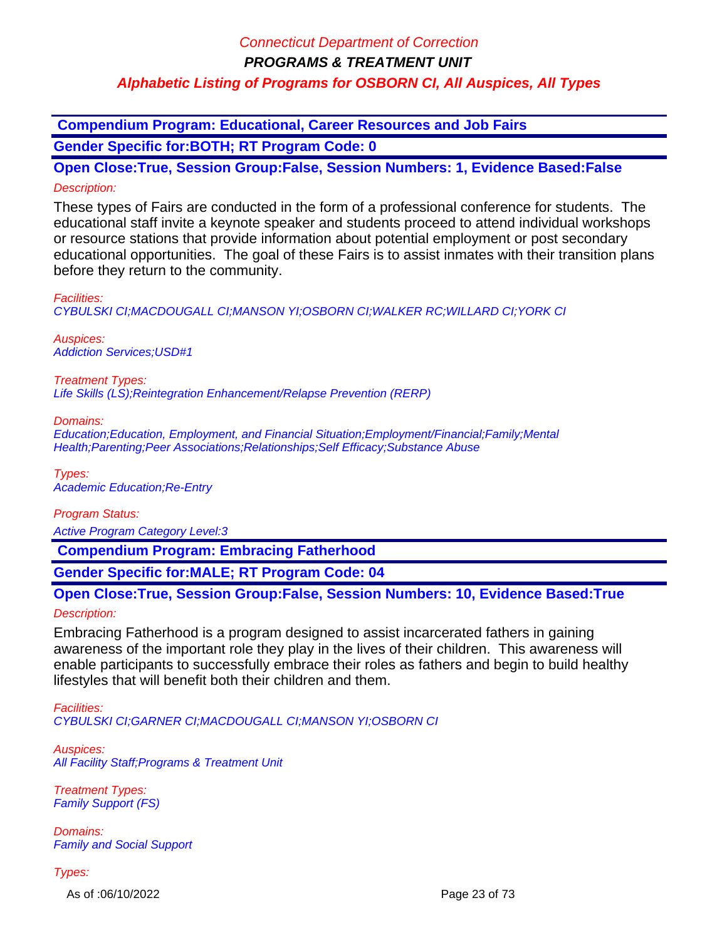# Connecticut Department of Correction

**PROGRAMS & TREATMENT UNIT**

# **Alphabetic Listing of Programs for OSBORN CI, All Auspices, All Types**

 **Compendium Program: Educational, Career Resources and Job Fairs**

**Gender Specific for:BOTH; RT Program Code: 0**

**Open Close:True, Session Group:False, Session Numbers: 1, Evidence Based:False** Description:

These types of Fairs are conducted in the form of a professional conference for students. The educational staff invite a keynote speaker and students proceed to attend individual workshops or resource stations that provide information about potential employment or post secondary educational opportunities. The goal of these Fairs is to assist inmates with their transition plans before they return to the community.

Facilities: CYBULSKI CI;MACDOUGALL CI;MANSON YI;OSBORN CI;WALKER RC;WILLARD CI;YORK CI

Auspices: Addiction Services;USD#1

Treatment Types: Life Skills (LS);Reintegration Enhancement/Relapse Prevention (RERP)

Domains:

Education;Education, Employment, and Financial Situation;Employment/Financial;Family;Mental Health;Parenting;Peer Associations;Relationships;Self Efficacy;Substance Abuse

Types: Academic Education;Re-Entry

Program Status:

Active Program Category Level:3

 **Compendium Program: Embracing Fatherhood**

**Gender Specific for:MALE; RT Program Code: 04**

**Open Close:True, Session Group:False, Session Numbers: 10, Evidence Based:True**

Description:

Embracing Fatherhood is a program designed to assist incarcerated fathers in gaining awareness of the important role they play in the lives of their children. This awareness will enable participants to successfully embrace their roles as fathers and begin to build healthy lifestyles that will benefit both their children and them.

Facilities: CYBULSKI CI;GARNER CI;MACDOUGALL CI;MANSON YI;OSBORN CI

Auspices: All Facility Staff;Programs & Treatment Unit

Treatment Types: Family Support (FS)

Domains: Family and Social Support

Types:

As of :06/10/2022 Page 23 of 73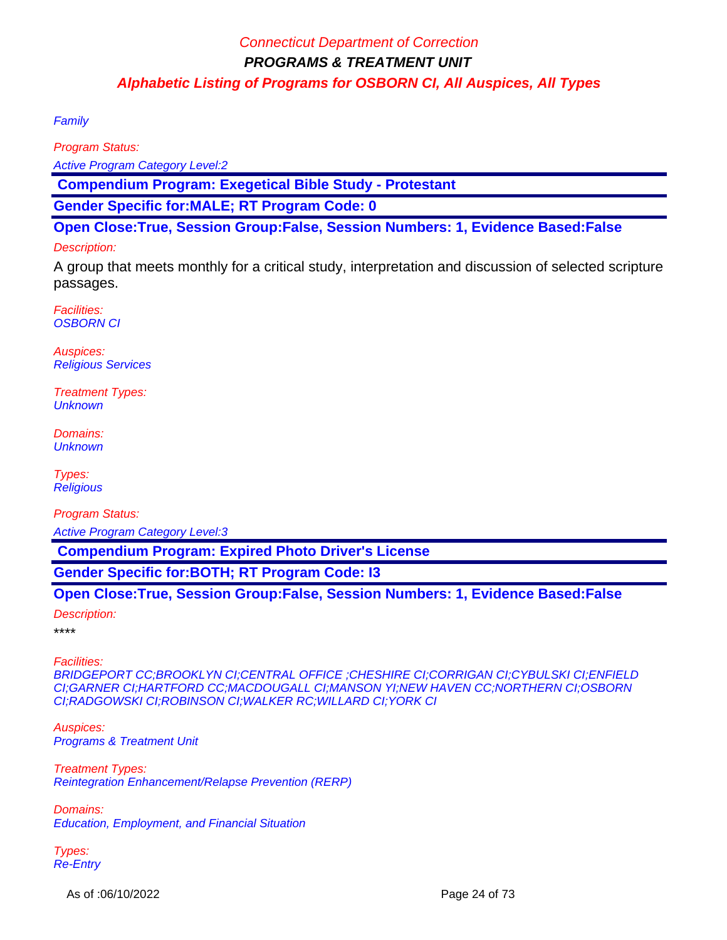**Family** 

Program Status:

Active Program Category Level:2

 **Compendium Program: Exegetical Bible Study - Protestant**

**Gender Specific for:MALE; RT Program Code: 0**

**Open Close:True, Session Group:False, Session Numbers: 1, Evidence Based:False**

## Description:

A group that meets monthly for a critical study, interpretation and discussion of selected scripture passages.

Facilities: OSBORN CI

Auspices: Religious Services

Treatment Types: **Unknown** 

Domains: **Unknown** 

Types: **Religious** 

Program Status:

Active Program Category Level:3

 **Compendium Program: Expired Photo Driver's License**

**Gender Specific for:BOTH; RT Program Code: I3**

**Open Close:True, Session Group:False, Session Numbers: 1, Evidence Based:False**

Description:

\*\*\*\*

## Facilities:

BRIDGEPORT CC;BROOKLYN CI;CENTRAL OFFICE ;CHESHIRE CI;CORRIGAN CI;CYBULSKI CI;ENFIELD CI;GARNER CI;HARTFORD CC;MACDOUGALL CI;MANSON YI;NEW HAVEN CC;NORTHERN CI;OSBORN CI;RADGOWSKI CI;ROBINSON CI;WALKER RC;WILLARD CI;YORK CI

Auspices: Programs & Treatment Unit

Treatment Types: Reintegration Enhancement/Relapse Prevention (RERP)

Domains: Education, Employment, and Financial Situation

Types: Re-Entry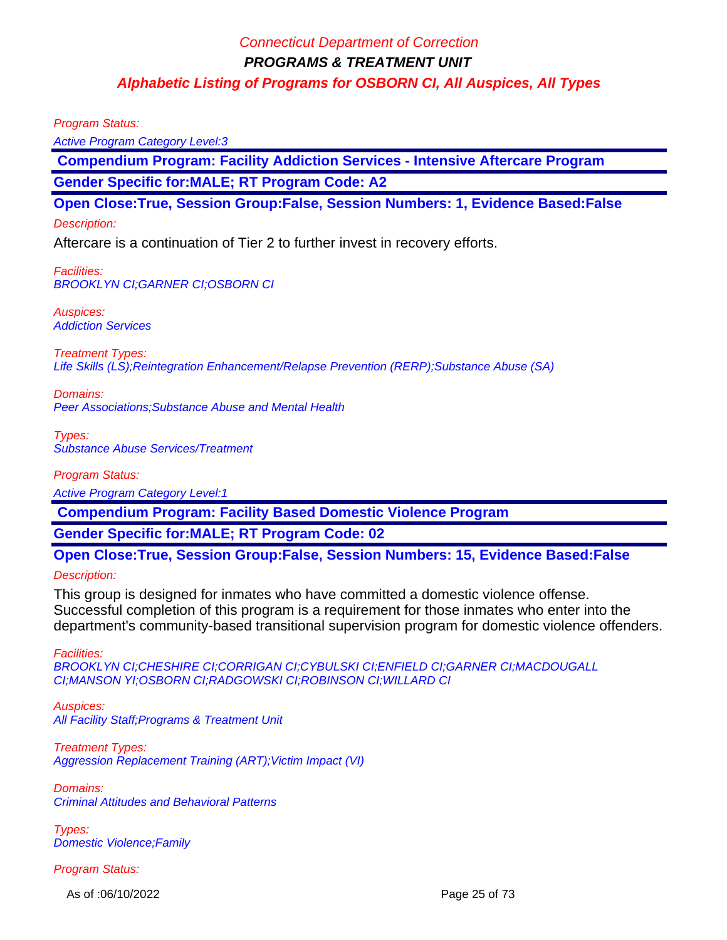Program Status:

Active Program Category Level:3

 **Compendium Program: Facility Addiction Services - Intensive Aftercare Program**

**Gender Specific for:MALE; RT Program Code: A2**

**Open Close:True, Session Group:False, Session Numbers: 1, Evidence Based:False**

## Description:

Aftercare is a continuation of Tier 2 to further invest in recovery efforts.

Facilities: BROOKLYN CI;GARNER CI;OSBORN CI

Auspices: Addiction Services

Treatment Types: Life Skills (LS);Reintegration Enhancement/Relapse Prevention (RERP);Substance Abuse (SA)

Domains: Peer Associations;Substance Abuse and Mental Health

Types: Substance Abuse Services/Treatment

Program Status:

Active Program Category Level:1

 **Compendium Program: Facility Based Domestic Violence Program**

**Gender Specific for:MALE; RT Program Code: 02**

**Open Close:True, Session Group:False, Session Numbers: 15, Evidence Based:False**

## Description:

This group is designed for inmates who have committed a domestic violence offense. Successful completion of this program is a requirement for those inmates who enter into the department's community-based transitional supervision program for domestic violence offenders.

Facilities:

BROOKLYN CI;CHESHIRE CI;CORRIGAN CI;CYBULSKI CI;ENFIELD CI;GARNER CI;MACDOUGALL CI;MANSON YI;OSBORN CI;RADGOWSKI CI;ROBINSON CI;WILLARD CI

Auspices: All Facility Staff;Programs & Treatment Unit

Treatment Types: Aggression Replacement Training (ART); Victim Impact (VI)

Domains: Criminal Attitudes and Behavioral Patterns

Types: Domestic Violence;Family

Program Status:

As of :06/10/2022 **Page 25 of 73**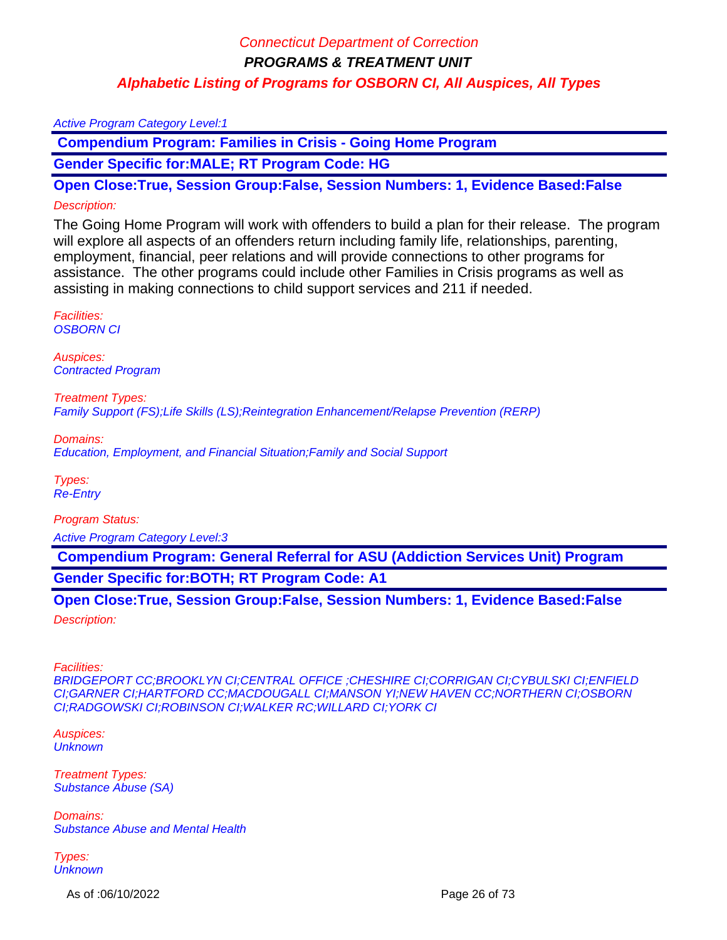## Active Program Category Level:1

 **Compendium Program: Families in Crisis - Going Home Program**

**Gender Specific for:MALE; RT Program Code: HG**

**Open Close:True, Session Group:False, Session Numbers: 1, Evidence Based:False**

## Description:

The Going Home Program will work with offenders to build a plan for their release. The program will explore all aspects of an offenders return including family life, relationships, parenting, employment, financial, peer relations and will provide connections to other programs for assistance. The other programs could include other Families in Crisis programs as well as assisting in making connections to child support services and 211 if needed.

Facilities: OSBORN CI

Auspices: Contracted Program

Treatment Types: Family Support (FS);Life Skills (LS);Reintegration Enhancement/Relapse Prevention (RERP)

Domains: Education, Employment, and Financial Situation;Family and Social Support

Types: Re-Entry

Program Status:

Active Program Category Level:3

 **Compendium Program: General Referral for ASU (Addiction Services Unit) Program**

**Gender Specific for:BOTH; RT Program Code: A1**

**Open Close:True, Session Group:False, Session Numbers: 1, Evidence Based:False**

Description:

Facilities:

BRIDGEPORT CC;BROOKLYN CI;CENTRAL OFFICE ;CHESHIRE CI;CORRIGAN CI;CYBULSKI CI;ENFIELD CI;GARNER CI;HARTFORD CC;MACDOUGALL CI;MANSON YI;NEW HAVEN CC;NORTHERN CI;OSBORN CI;RADGOWSKI CI;ROBINSON CI;WALKER RC;WILLARD CI;YORK CI

Auspices: **Unknown** 

Treatment Types: Substance Abuse (SA)

Domains: Substance Abuse and Mental Health

Types: **Unknown** 

As of :06/10/2022 Page 26 of 73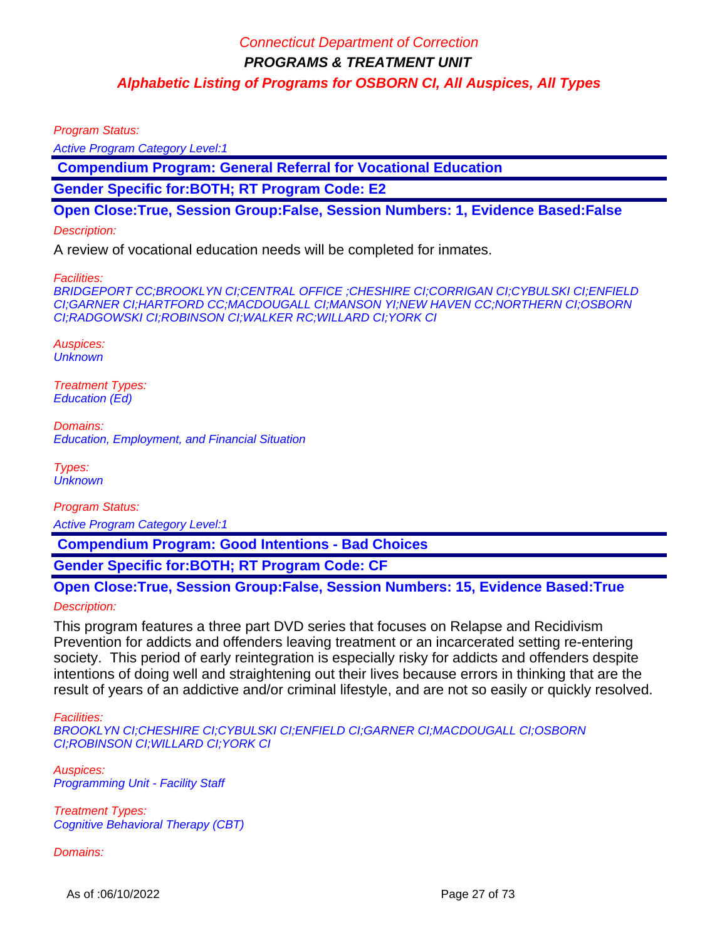Program Status:

**Active Program Category Level:1** 

 **Compendium Program: General Referral for Vocational Education**

**Gender Specific for:BOTH; RT Program Code: E2**

**Open Close:True, Session Group:False, Session Numbers: 1, Evidence Based:False**

## Description:

A review of vocational education needs will be completed for inmates.

Facilities:

BRIDGEPORT CC;BROOKLYN CI;CENTRAL OFFICE ;CHESHIRE CI;CORRIGAN CI;CYBULSKI CI;ENFIELD CI;GARNER CI;HARTFORD CC;MACDOUGALL CI;MANSON YI;NEW HAVEN CC;NORTHERN CI;OSBORN CI;RADGOWSKI CI;ROBINSON CI;WALKER RC;WILLARD CI;YORK CI

Auspices: **Unknown** 

Treatment Types: Education (Ed)

Domains: Education, Employment, and Financial Situation

Types: **Unknown** 

Program Status:

Active Program Category Level:1

 **Compendium Program: Good Intentions - Bad Choices**

**Gender Specific for:BOTH; RT Program Code: CF**

**Open Close:True, Session Group:False, Session Numbers: 15, Evidence Based:True**

Description:

This program features a three part DVD series that focuses on Relapse and Recidivism Prevention for addicts and offenders leaving treatment or an incarcerated setting re-entering society. This period of early reintegration is especially risky for addicts and offenders despite intentions of doing well and straightening out their lives because errors in thinking that are the result of years of an addictive and/or criminal lifestyle, and are not so easily or quickly resolved.

Facilities:

BROOKLYN CI;CHESHIRE CI;CYBULSKI CI;ENFIELD CI;GARNER CI;MACDOUGALL CI;OSBORN CI;ROBINSON CI;WILLARD CI;YORK CI

Auspices: Programming Unit - Facility Staff

Treatment Types: Cognitive Behavioral Therapy (CBT)

Domains:

As of :06/10/2022 **Page 27 of 73**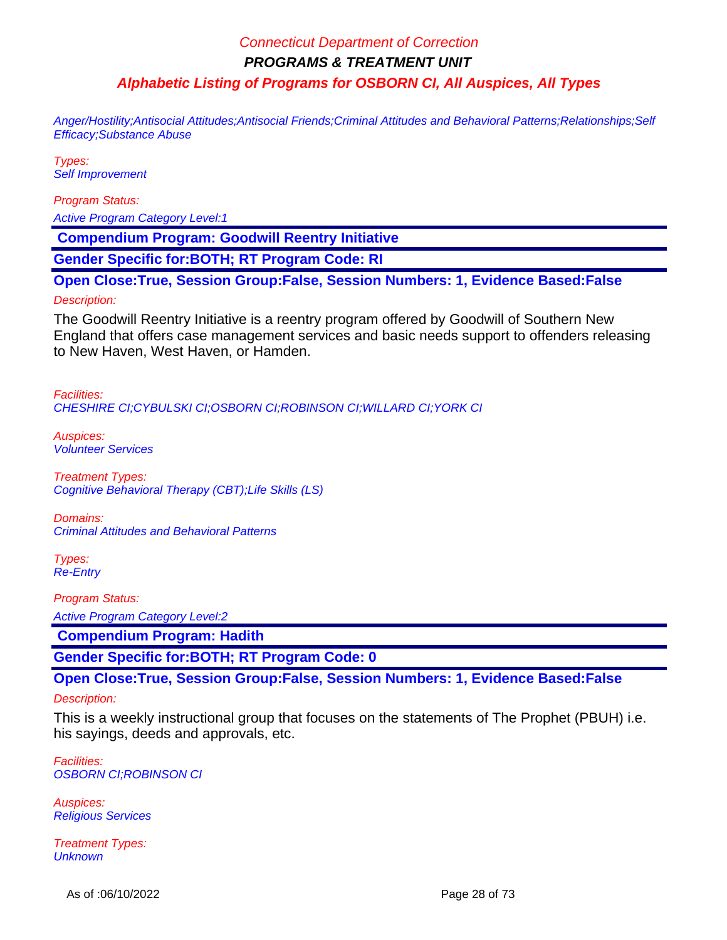Anger/Hostility;Antisocial Attitudes;Antisocial Friends;Criminal Attitudes and Behavioral Patterns;Relationships;Self Efficacy;Substance Abuse

Types: Self Improvement

Program Status:

Active Program Category Level:1

 **Compendium Program: Goodwill Reentry Initiative**

**Gender Specific for:BOTH; RT Program Code: RI**

**Open Close:True, Session Group:False, Session Numbers: 1, Evidence Based:False** Description:

The Goodwill Reentry Initiative is a reentry program offered by Goodwill of Southern New England that offers case management services and basic needs support to offenders releasing to New Haven, West Haven, or Hamden.

Facilities: CHESHIRE CI;CYBULSKI CI;OSBORN CI;ROBINSON CI;WILLARD CI;YORK CI

Auspices: Volunteer Services

Treatment Types: Cognitive Behavioral Therapy (CBT);Life Skills (LS)

Domains: Criminal Attitudes and Behavioral Patterns

Types: Re-Entry

Program Status: Active Program Category Level:2

 **Compendium Program: Hadith**

**Gender Specific for:BOTH; RT Program Code: 0**

**Open Close:True, Session Group:False, Session Numbers: 1, Evidence Based:False**

## Description:

This is a weekly instructional group that focuses on the statements of The Prophet (PBUH) i.e. his sayings, deeds and approvals, etc.

Facilities: OSBORN CI;ROBINSON CI

Auspices: Religious Services

Treatment Types: **Unknown**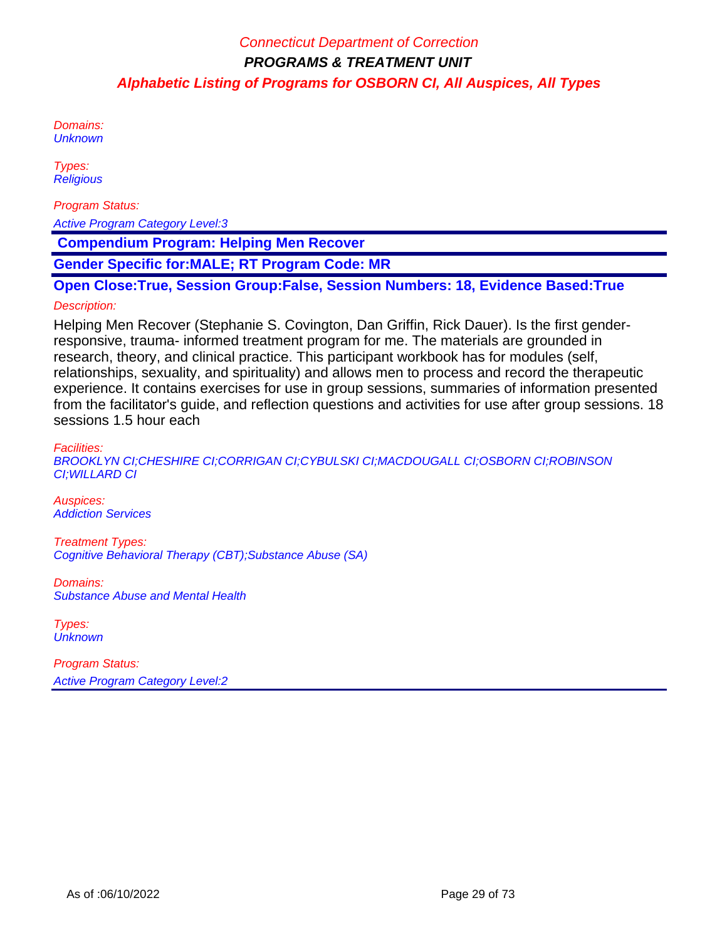Domains: **Unknown** 

Types: **Religious** 

Program Status:

Active Program Category Level:3

 **Compendium Program: Helping Men Recover**

**Gender Specific for:MALE; RT Program Code: MR**

**Open Close:True, Session Group:False, Session Numbers: 18, Evidence Based:True**

## Description:

Helping Men Recover (Stephanie S. Covington, Dan Griffin, Rick Dauer). Is the first genderresponsive, trauma- informed treatment program for me. The materials are grounded in research, theory, and clinical practice. This participant workbook has for modules (self, relationships, sexuality, and spirituality) and allows men to process and record the therapeutic experience. It contains exercises for use in group sessions, summaries of information presented from the facilitator's guide, and reflection questions and activities for use after group sessions. 18 sessions 1.5 hour each

Facilities:

BROOKLYN CI;CHESHIRE CI;CORRIGAN CI;CYBULSKI CI;MACDOUGALL CI;OSBORN CI;ROBINSON CI;WILLARD CI

Auspices: Addiction Services

Treatment Types: Cognitive Behavioral Therapy (CBT);Substance Abuse (SA)

Domains: Substance Abuse and Mental Health

Types: **Unknown** 

Program Status: Active Program Category Level:2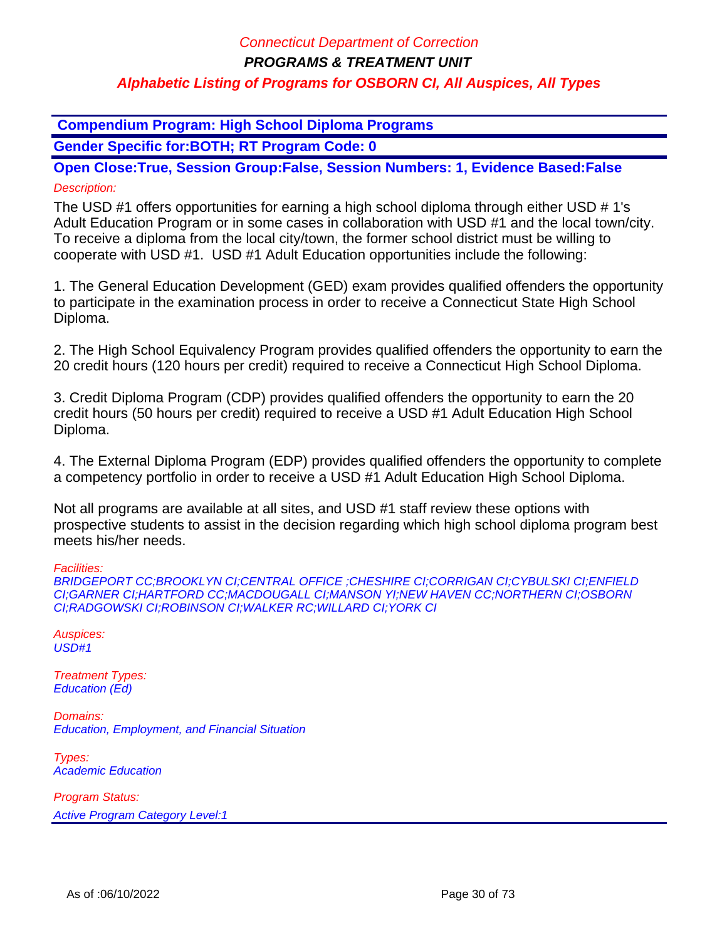# Connecticut Department of Correction

**PROGRAMS & TREATMENT UNIT**

# **Alphabetic Listing of Programs for OSBORN CI, All Auspices, All Types**

 **Compendium Program: High School Diploma Programs**

**Gender Specific for:BOTH; RT Program Code: 0**

**Open Close:True, Session Group:False, Session Numbers: 1, Evidence Based:False** Description:

The USD #1 offers opportunities for earning a high school diploma through either USD # 1's Adult Education Program or in some cases in collaboration with USD #1 and the local town/city. To receive a diploma from the local city/town, the former school district must be willing to cooperate with USD #1. USD #1 Adult Education opportunities include the following:

1. The General Education Development (GED) exam provides qualified offenders the opportunity to participate in the examination process in order to receive a Connecticut State High School Diploma.

2. The High School Equivalency Program provides qualified offenders the opportunity to earn the 20 credit hours (120 hours per credit) required to receive a Connecticut High School Diploma.

3. Credit Diploma Program (CDP) provides qualified offenders the opportunity to earn the 20 credit hours (50 hours per credit) required to receive a USD #1 Adult Education High School Diploma.

4. The External Diploma Program (EDP) provides qualified offenders the opportunity to complete a competency portfolio in order to receive a USD #1 Adult Education High School Diploma.

Not all programs are available at all sites, and USD #1 staff review these options with prospective students to assist in the decision regarding which high school diploma program best meets his/her needs.

Facilities:

BRIDGEPORT CC;BROOKLYN CI;CENTRAL OFFICE ;CHESHIRE CI;CORRIGAN CI;CYBULSKI CI;ENFIELD CI;GARNER CI;HARTFORD CC;MACDOUGALL CI;MANSON YI;NEW HAVEN CC;NORTHERN CI;OSBORN CI;RADGOWSKI CI;ROBINSON CI;WALKER RC;WILLARD CI;YORK CI

Auspices:  $USD#1$ 

Treatment Types: Education (Ed)

Domains: Education, Employment, and Financial Situation

Types: Academic Education

Program Status: Active Program Category Level:1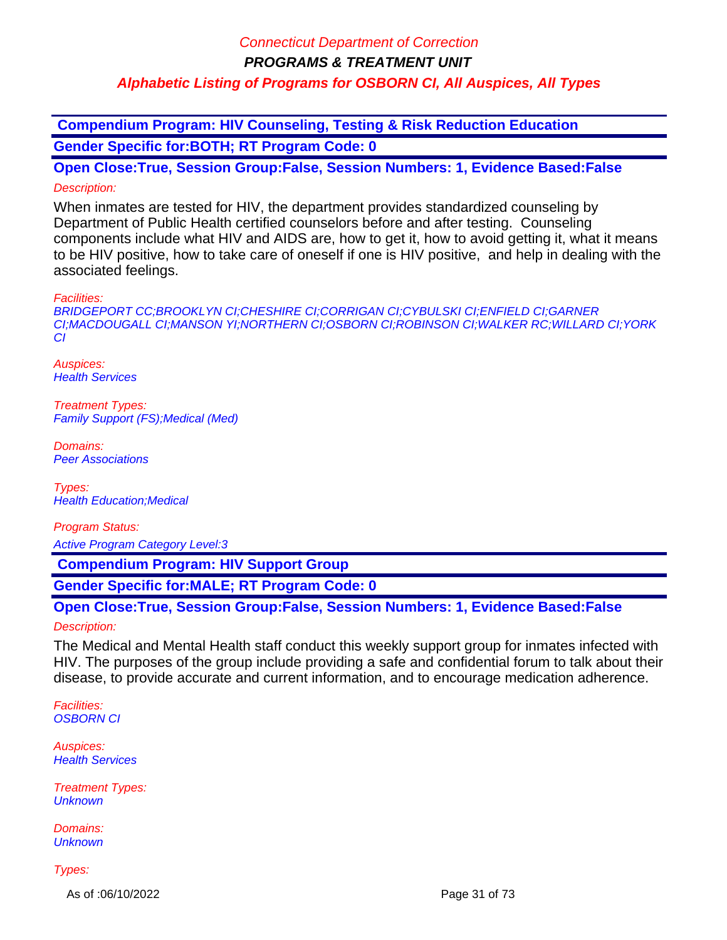# Connecticut Department of Correction

**PROGRAMS & TREATMENT UNIT**

# **Alphabetic Listing of Programs for OSBORN CI, All Auspices, All Types**

 **Compendium Program: HIV Counseling, Testing & Risk Reduction Education Gender Specific for:BOTH; RT Program Code: 0**

**Open Close:True, Session Group:False, Session Numbers: 1, Evidence Based:False** Description:

When inmates are tested for HIV, the department provides standardized counseling by Department of Public Health certified counselors before and after testing. Counseling components include what HIV and AIDS are, how to get it, how to avoid getting it, what it means to be HIV positive, how to take care of oneself if one is HIV positive, and help in dealing with the associated feelings.

Facilities:

BRIDGEPORT CC;BROOKLYN CI;CHESHIRE CI;CORRIGAN CI;CYBULSKI CI;ENFIELD CI;GARNER CI;MACDOUGALL CI;MANSON YI;NORTHERN CI;OSBORN CI;ROBINSON CI;WALKER RC;WILLARD CI;YORK CI

Auspices: **Health Services** 

Treatment Types: Family Support (FS);Medical (Med)

Domains: Peer Associations

Types: Health Education;Medical

Program Status:

Active Program Category Level:3

 **Compendium Program: HIV Support Group**

**Gender Specific for:MALE; RT Program Code: 0**

## **Open Close:True, Session Group:False, Session Numbers: 1, Evidence Based:False**

Description:

The Medical and Mental Health staff conduct this weekly support group for inmates infected with HIV. The purposes of the group include providing a safe and confidential forum to talk about their disease, to provide accurate and current information, and to encourage medication adherence.

Facilities: OSBORN CI

Auspices: **Health Services** 

Treatment Types: **Unknown** 

Domains: **Unknown** 

Types:

As of :06/10/2022 Page 31 of 73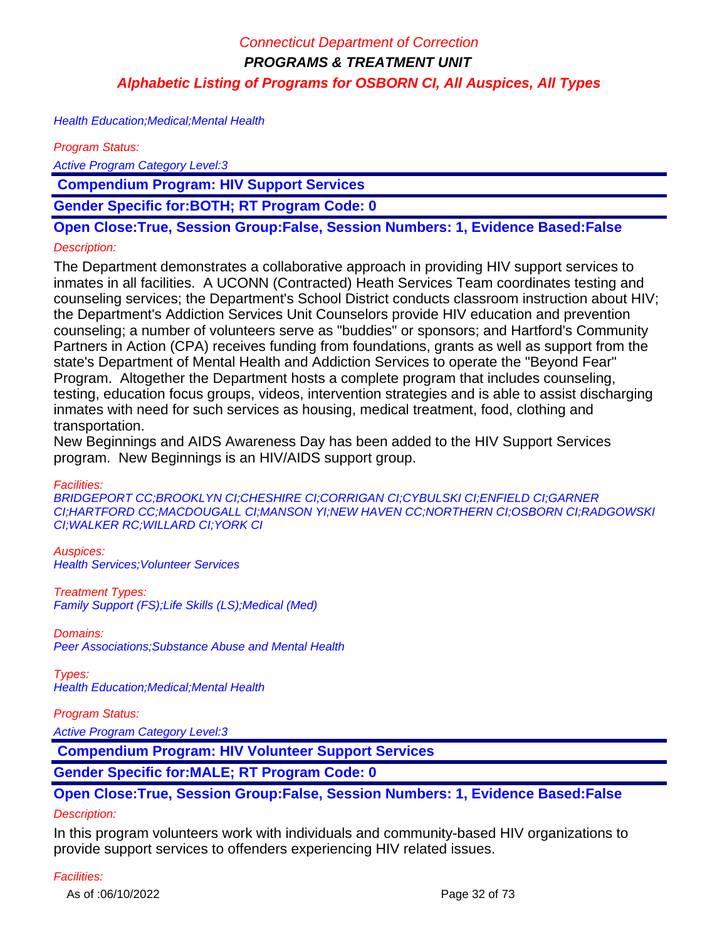Health Education;Medical;Mental Health

Program Status:

Active Program Category Level:3

 **Compendium Program: HIV Support Services**

**Gender Specific for:BOTH; RT Program Code: 0**

# **Open Close:True, Session Group:False, Session Numbers: 1, Evidence Based:False**

## Description:

The Department demonstrates a collaborative approach in providing HIV support services to inmates in all facilities. A UCONN (Contracted) Heath Services Team coordinates testing and counseling services; the Department's School District conducts classroom instruction about HIV; the Department's Addiction Services Unit Counselors provide HIV education and prevention counseling; a number of volunteers serve as "buddies" or sponsors; and Hartford's Community Partners in Action (CPA) receives funding from foundations, grants as well as support from the state's Department of Mental Health and Addiction Services to operate the "Beyond Fear" Program. Altogether the Department hosts a complete program that includes counseling, testing, education focus groups, videos, intervention strategies and is able to assist discharging inmates with need for such services as housing, medical treatment, food, clothing and transportation.

New Beginnings and AIDS Awareness Day has been added to the HIV Support Services program. New Beginnings is an HIV/AIDS support group.

## Facilities:

BRIDGEPORT CC;BROOKLYN CI;CHESHIRE CI;CORRIGAN CI;CYBULSKI CI;ENFIELD CI;GARNER CI;HARTFORD CC;MACDOUGALL CI;MANSON YI;NEW HAVEN CC;NORTHERN CI;OSBORN CI;RADGOWSKI CI;WALKER RC;WILLARD CI;YORK CI

Auspices: Health Services;Volunteer Services

## Treatment Types:

Family Support (FS);Life Skills (LS);Medical (Med)

## Domains:

Peer Associations;Substance Abuse and Mental Health

Types: Health Education;Medical;Mental Health

## Program Status:

Active Program Category Level:3

 **Compendium Program: HIV Volunteer Support Services**

# **Gender Specific for:MALE; RT Program Code: 0**

# **Open Close:True, Session Group:False, Session Numbers: 1, Evidence Based:False**

## Description:

In this program volunteers work with individuals and community-based HIV organizations to provide support services to offenders experiencing HIV related issues.

## Facilities: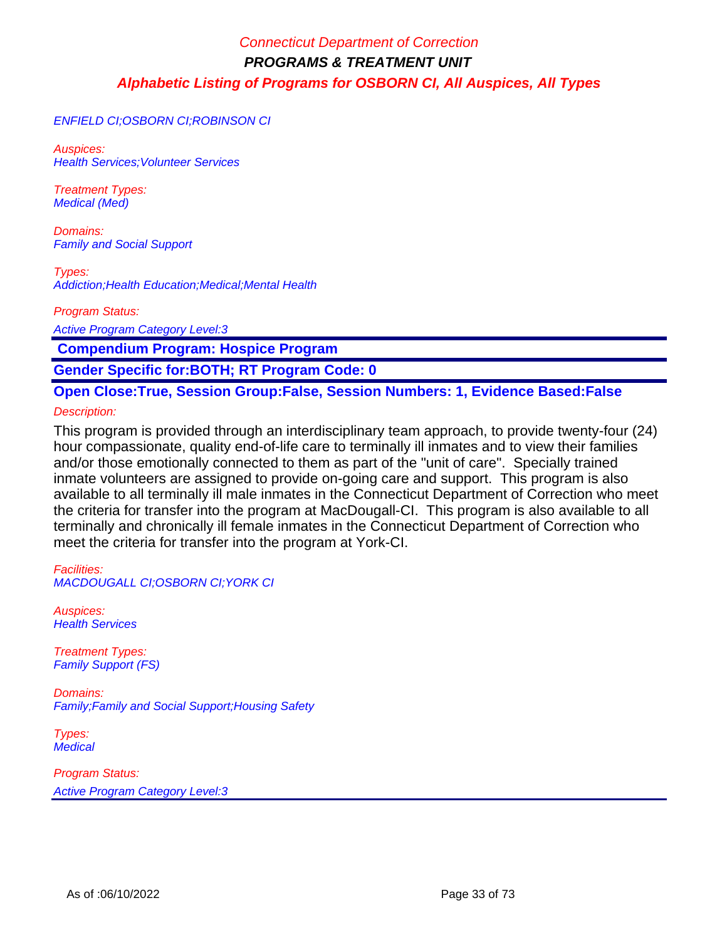## ENFIELD CI;OSBORN CI;ROBINSON CI

Auspices: **Health Services; Volunteer Services** 

Treatment Types: Medical (Med)

Domains: Family and Social Support

Types: Addiction;Health Education;Medical;Mental Health

Program Status:

Active Program Category Level:3

 **Compendium Program: Hospice Program**

**Gender Specific for:BOTH; RT Program Code: 0**

**Open Close:True, Session Group:False, Session Numbers: 1, Evidence Based:False**

Description:

This program is provided through an interdisciplinary team approach, to provide twenty-four (24) hour compassionate, quality end-of-life care to terminally ill inmates and to view their families and/or those emotionally connected to them as part of the "unit of care". Specially trained inmate volunteers are assigned to provide on-going care and support. This program is also available to all terminally ill male inmates in the Connecticut Department of Correction who meet the criteria for transfer into the program at MacDougall-CI. This program is also available to all terminally and chronically ill female inmates in the Connecticut Department of Correction who meet the criteria for transfer into the program at York-CI.

Facilities: MACDOUGALL CI;OSBORN CI;YORK CI

Auspices: Health Services

Treatment Types: Family Support (FS)

Domains: Family;Family and Social Support;Housing Safety

Types: **Medical** 

Program Status: Active Program Category Level:3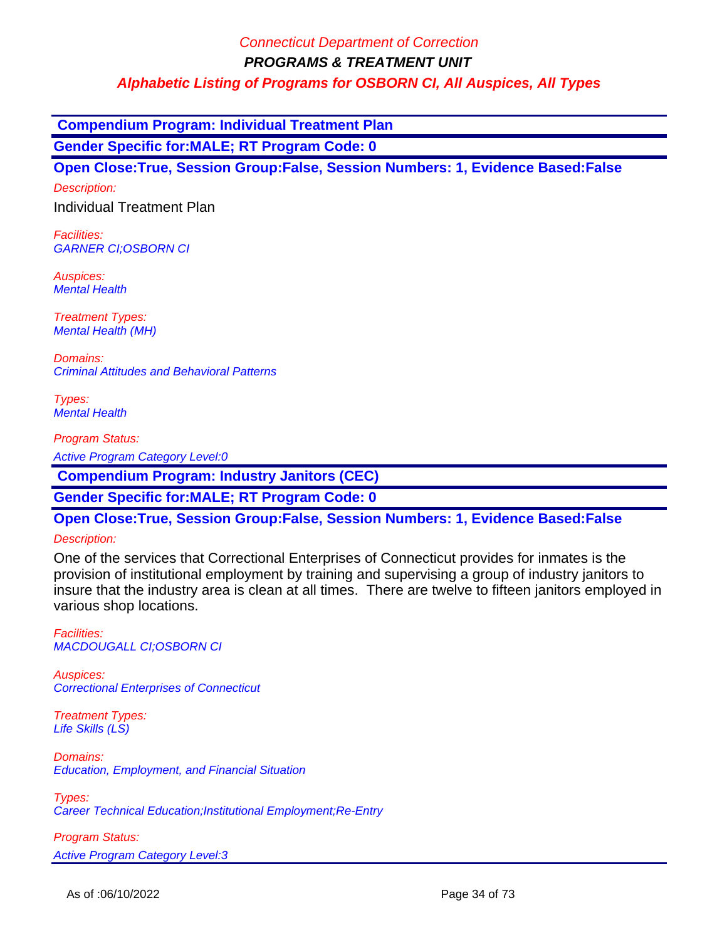# Connecticut Department of Correction

**PROGRAMS & TREATMENT UNIT**

# **Alphabetic Listing of Programs for OSBORN CI, All Auspices, All Types**

 **Compendium Program: Individual Treatment Plan**

**Gender Specific for:MALE; RT Program Code: 0**

**Open Close:True, Session Group:False, Session Numbers: 1, Evidence Based:False**

Description:

Individual Treatment Plan

Facilities: GARNER CI;OSBORN CI

Auspices: Mental Health

Treatment Types: Mental Health (MH)

Domains: Criminal Attitudes and Behavioral Patterns

Types: Mental Health

Program Status:

Active Program Category Level:0

 **Compendium Program: Industry Janitors (CEC)**

**Gender Specific for:MALE; RT Program Code: 0**

**Open Close:True, Session Group:False, Session Numbers: 1, Evidence Based:False**

## Description:

One of the services that Correctional Enterprises of Connecticut provides for inmates is the provision of institutional employment by training and supervising a group of industry janitors to insure that the industry area is clean at all times. There are twelve to fifteen janitors employed in various shop locations.

Facilities: MACDOUGALL CI;OSBORN CI

Auspices: Correctional Enterprises of Connecticut

Treatment Types: Life Skills (LS)

Domains: Education, Employment, and Financial Situation

Types: Career Technical Education;Institutional Employment;Re-Entry

Program Status: Active Program Category Level:3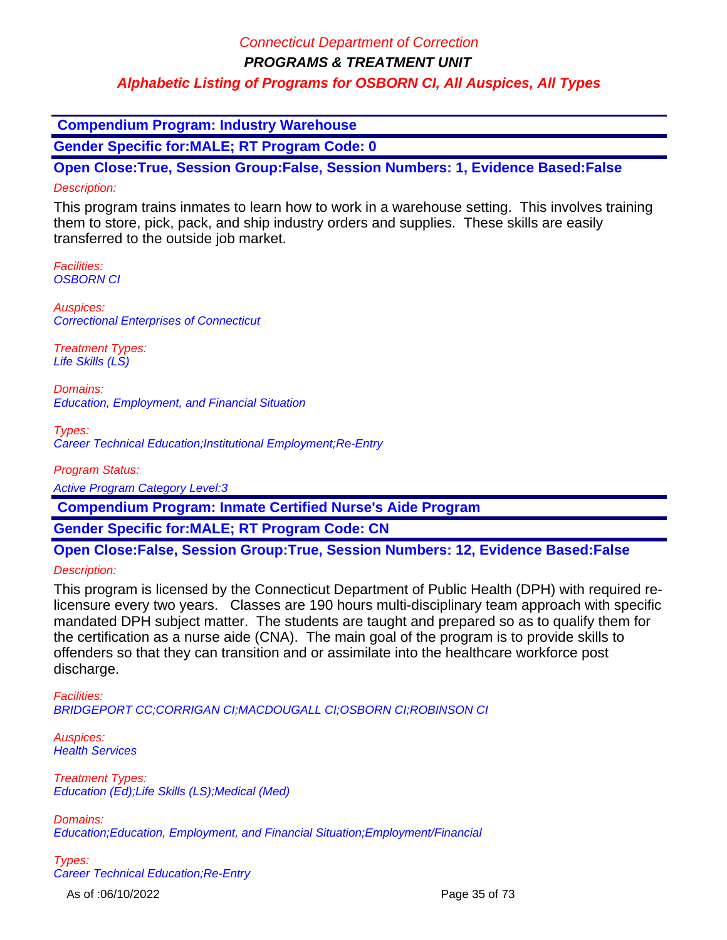# Connecticut Department of Correction

**PROGRAMS & TREATMENT UNIT**

# **Alphabetic Listing of Programs for OSBORN CI, All Auspices, All Types**

 **Compendium Program: Industry Warehouse**

**Gender Specific for:MALE; RT Program Code: 0**

**Open Close:True, Session Group:False, Session Numbers: 1, Evidence Based:False** Description:

This program trains inmates to learn how to work in a warehouse setting. This involves training them to store, pick, pack, and ship industry orders and supplies. These skills are easily transferred to the outside job market.

Facilities: OSBORN CI

Auspices: Correctional Enterprises of Connecticut

Treatment Types: Life Skills (LS)

Domains: Education, Employment, and Financial Situation

Types: Career Technical Education;Institutional Employment;Re-Entry

Program Status: Active Program Category Level:3

 **Compendium Program: Inmate Certified Nurse's Aide Program**

**Gender Specific for:MALE; RT Program Code: CN**

**Open Close:False, Session Group:True, Session Numbers: 12, Evidence Based:False**

Description:

This program is licensed by the Connecticut Department of Public Health (DPH) with required relicensure every two years. Classes are 190 hours multi-disciplinary team approach with specific mandated DPH subject matter. The students are taught and prepared so as to qualify them for the certification as a nurse aide (CNA). The main goal of the program is to provide skills to offenders so that they can transition and or assimilate into the healthcare workforce post discharge.

Facilities: BRIDGEPORT CC;CORRIGAN CI;MACDOUGALL CI;OSBORN CI;ROBINSON CI

Auspices: **Health Services** 

Treatment Types: Education (Ed);Life Skills (LS);Medical (Med)

Domains: Education;Education, Employment, and Financial Situation;Employment/Financial

Types: Career Technical Education;Re-Entry

As of :06/10/2022 **Page 35 of 73**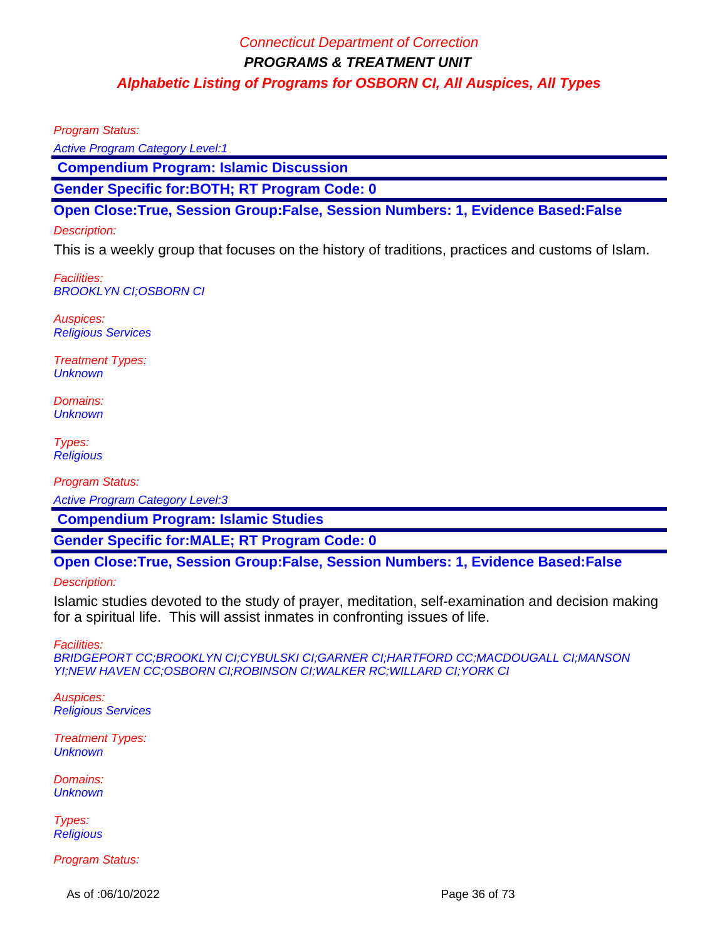Program Status:

Active Program Category Level:1

 **Compendium Program: Islamic Discussion**

**Gender Specific for:BOTH; RT Program Code: 0**

**Open Close:True, Session Group:False, Session Numbers: 1, Evidence Based:False**

## Description:

This is a weekly group that focuses on the history of traditions, practices and customs of Islam.

Facilities: BROOKLYN CI;OSBORN CI

Auspices: Religious Services

Treatment Types: **Unknown** 

Domains: **Unknown** 

Types: **Religious** 

Program Status:

Active Program Category Level:3

 **Compendium Program: Islamic Studies**

**Gender Specific for:MALE; RT Program Code: 0**

**Open Close:True, Session Group:False, Session Numbers: 1, Evidence Based:False**

## Description:

Islamic studies devoted to the study of prayer, meditation, self-examination and decision making for a spiritual life. This will assist inmates in confronting issues of life.

## Facilities:

BRIDGEPORT CC;BROOKLYN CI;CYBULSKI CI;GARNER CI;HARTFORD CC;MACDOUGALL CI;MANSON YI;NEW HAVEN CC;OSBORN CI;ROBINSON CI;WALKER RC;WILLARD CI;YORK CI

Auspices: Religious Services

Treatment Types: **Unknown** 

Domains: **Unknown** 

Types: **Religious** 

Program Status:

As of :06/10/2022 **Page 36 of 73**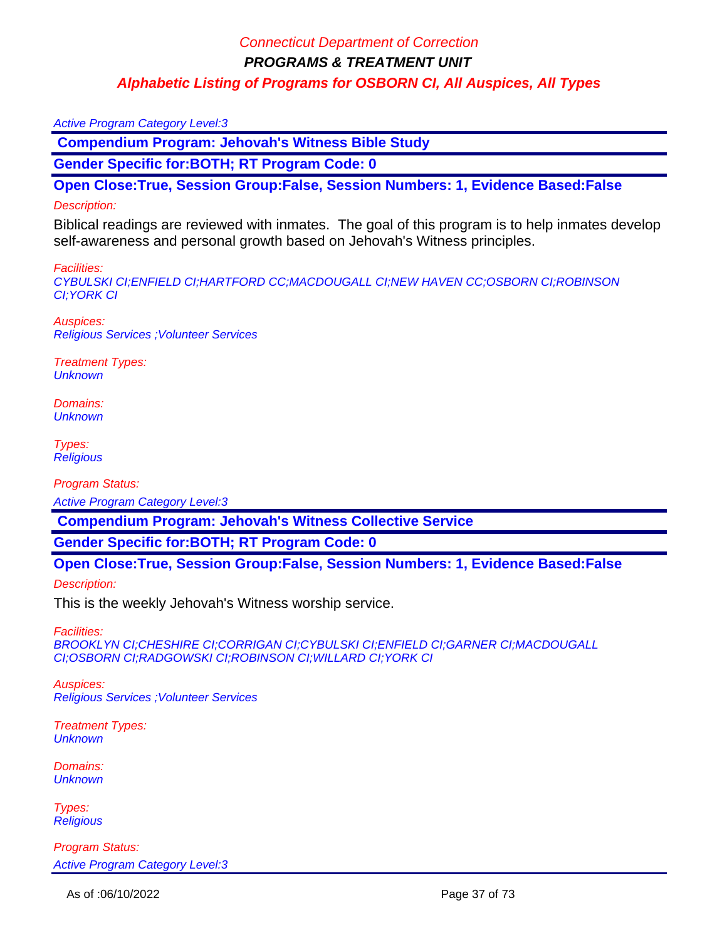#### Active Program Category Level:3

 **Compendium Program: Jehovah's Witness Bible Study**

**Gender Specific for:BOTH; RT Program Code: 0**

**Open Close:True, Session Group:False, Session Numbers: 1, Evidence Based:False**

#### Description:

Biblical readings are reviewed with inmates. The goal of this program is to help inmates develop self-awareness and personal growth based on Jehovah's Witness principles.

Facilities:

CYBULSKI CI;ENFIELD CI;HARTFORD CC;MACDOUGALL CI;NEW HAVEN CC;OSBORN CI;ROBINSON CI;YORK CI

Auspices: Religious Services ;Volunteer Services

Treatment Types: **Unknown** 

Domains: **Unknown** 

Types: **Religious** 

Program Status:

Active Program Category Level:3

 **Compendium Program: Jehovah's Witness Collective Service**

**Gender Specific for:BOTH; RT Program Code: 0**

#### **Open Close:True, Session Group:False, Session Numbers: 1, Evidence Based:False**

Description:

This is the weekly Jehovah's Witness worship service.

Facilities:

BROOKLYN CI;CHESHIRE CI;CORRIGAN CI;CYBULSKI CI;ENFIELD CI;GARNER CI;MACDOUGALL CI;OSBORN CI;RADGOWSKI CI;ROBINSON CI;WILLARD CI;YORK CI

Auspices: Religious Services ;Volunteer Services

Treatment Types: **Unknown** 

Domains: **Unknown** 

Types: **Religious**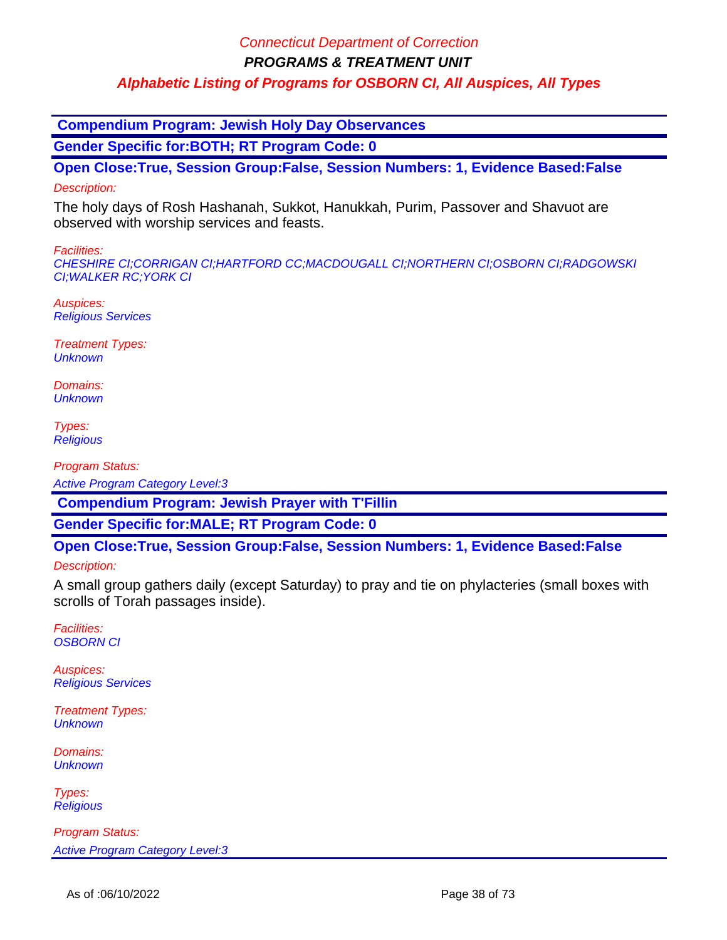**PROGRAMS & TREATMENT UNIT**

### **Alphabetic Listing of Programs for OSBORN CI, All Auspices, All Types**

 **Compendium Program: Jewish Holy Day Observances**

**Gender Specific for:BOTH; RT Program Code: 0**

**Open Close:True, Session Group:False, Session Numbers: 1, Evidence Based:False** Description:

The holy days of Rosh Hashanah, Sukkot, Hanukkah, Purim, Passover and Shavuot are observed with worship services and feasts.

#### Facilities:

CHESHIRE CI;CORRIGAN CI;HARTFORD CC;MACDOUGALL CI;NORTHERN CI;OSBORN CI;RADGOWSKI CI;WALKER RC;YORK CI

Auspices: Religious Services

Treatment Types: **Unknown** 

Domains: **Unknown** 

Types: **Religious** 

Program Status:

Active Program Category Level:3

 **Compendium Program: Jewish Prayer with T'Fillin**

**Gender Specific for:MALE; RT Program Code: 0**

**Open Close:True, Session Group:False, Session Numbers: 1, Evidence Based:False**

Description:

A small group gathers daily (except Saturday) to pray and tie on phylacteries (small boxes with scrolls of Torah passages inside).

Facilities: OSBORN CI

Auspices: Religious Services

Treatment Types: **Unknown** 

Domains: **Unknown** 

Types: **Religious**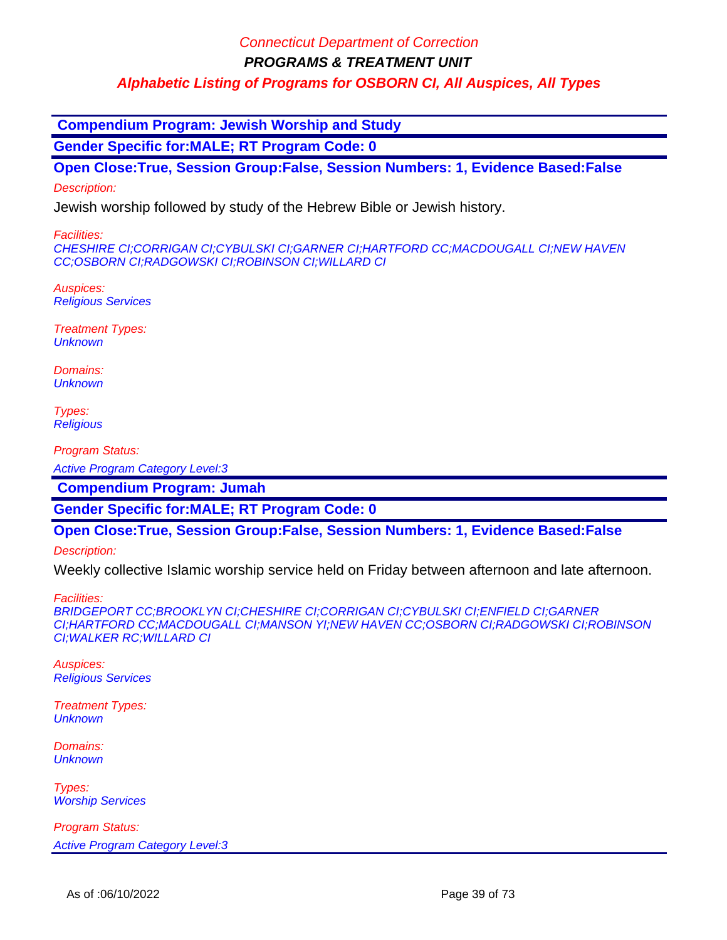**PROGRAMS & TREATMENT UNIT**

### **Alphabetic Listing of Programs for OSBORN CI, All Auspices, All Types**

 **Compendium Program: Jewish Worship and Study**

**Gender Specific for:MALE; RT Program Code: 0**

**Open Close:True, Session Group:False, Session Numbers: 1, Evidence Based:False**

Description:

Jewish worship followed by study of the Hebrew Bible or Jewish history.

Facilities:

CHESHIRE CI;CORRIGAN CI;CYBULSKI CI;GARNER CI;HARTFORD CC;MACDOUGALL CI;NEW HAVEN CC;OSBORN CI;RADGOWSKI CI;ROBINSON CI;WILLARD CI

Auspices: Religious Services

Treatment Types: **Unknown** 

Domains: **Unknown** 

Types: **Religious** 

Program Status:

Active Program Category Level:3

 **Compendium Program: Jumah**

**Gender Specific for:MALE; RT Program Code: 0**

**Open Close:True, Session Group:False, Session Numbers: 1, Evidence Based:False**

Description:

Weekly collective Islamic worship service held on Friday between afternoon and late afternoon.

Facilities:

BRIDGEPORT CC;BROOKLYN CI;CHESHIRE CI;CORRIGAN CI;CYBULSKI CI;ENFIELD CI;GARNER CI;HARTFORD CC;MACDOUGALL CI;MANSON YI;NEW HAVEN CC;OSBORN CI;RADGOWSKI CI;ROBINSON CI;WALKER RC;WILLARD CI

Auspices: Religious Services

Treatment Types: **Unknown** 

Domains: **Unknown** 

Types: **Worship Services**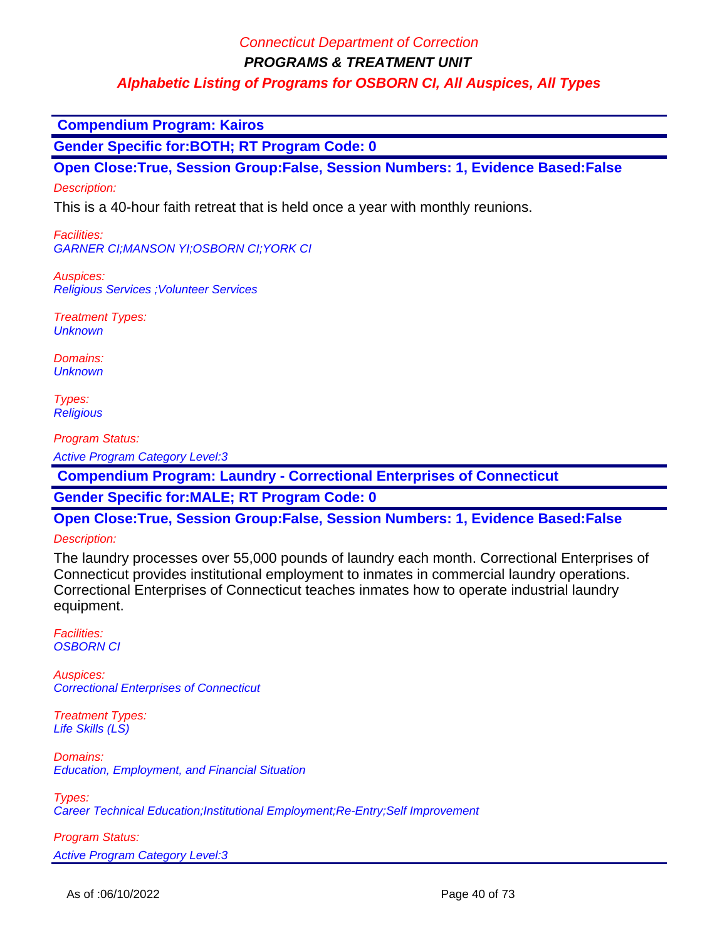**PROGRAMS & TREATMENT UNIT**

### **Alphabetic Listing of Programs for OSBORN CI, All Auspices, All Types**

 **Compendium Program: Kairos**

**Gender Specific for:BOTH; RT Program Code: 0**

**Open Close:True, Session Group:False, Session Numbers: 1, Evidence Based:False**

Description:

This is a 40-hour faith retreat that is held once a year with monthly reunions.

Facilities: GARNER CI;MANSON YI;OSBORN CI;YORK CI

Auspices: Religious Services ;Volunteer Services

Treatment Types: **Unknown** 

Domains: **Unknown** 

Types: **Religious** 

Program Status:

Active Program Category Level:3

 **Compendium Program: Laundry - Correctional Enterprises of Connecticut**

**Gender Specific for:MALE; RT Program Code: 0**

**Open Close:True, Session Group:False, Session Numbers: 1, Evidence Based:False**

#### Description:

The laundry processes over 55,000 pounds of laundry each month. Correctional Enterprises of Connecticut provides institutional employment to inmates in commercial laundry operations. Correctional Enterprises of Connecticut teaches inmates how to operate industrial laundry equipment.

Facilities: OSBORN CI

Auspices: Correctional Enterprises of Connecticut

Treatment Types: Life Skills (LS)

Domains: Education, Employment, and Financial Situation

Types:

Career Technical Education;Institutional Employment;Re-Entry;Self Improvement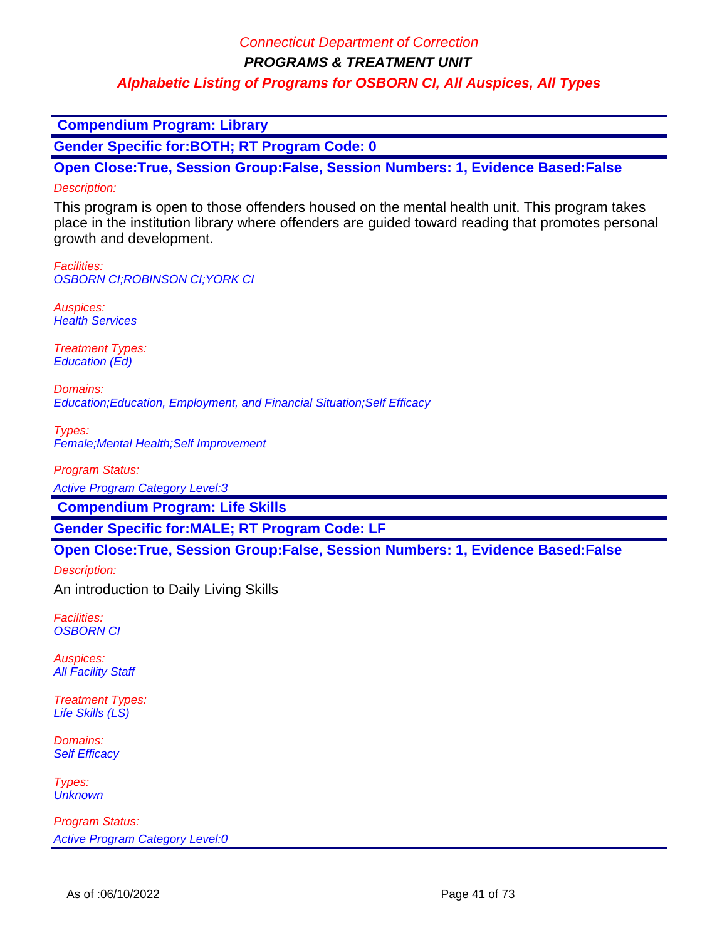**PROGRAMS & TREATMENT UNIT**

## **Alphabetic Listing of Programs for OSBORN CI, All Auspices, All Types**

 **Compendium Program: Library**

**Gender Specific for:BOTH; RT Program Code: 0**

**Open Close:True, Session Group:False, Session Numbers: 1, Evidence Based:False** Description:

This program is open to those offenders housed on the mental health unit. This program takes place in the institution library where offenders are guided toward reading that promotes personal growth and development.

Facilities: OSBORN CI;ROBINSON CI;YORK CI

Auspices: **Health Services** 

Treatment Types: Education (Ed)

Domains: Education;Education, Employment, and Financial Situation;Self Efficacy

Types: Female;Mental Health;Self Improvement

Program Status:

Active Program Category Level:3

 **Compendium Program: Life Skills**

**Gender Specific for:MALE; RT Program Code: LF**

**Open Close:True, Session Group:False, Session Numbers: 1, Evidence Based:False**

Description:

An introduction to Daily Living Skills

Facilities: OSBORN CI

Auspices: **All Facility Staff** 

Treatment Types: Life Skills (LS)

Domains: Self Efficacy

Types: **Unknown**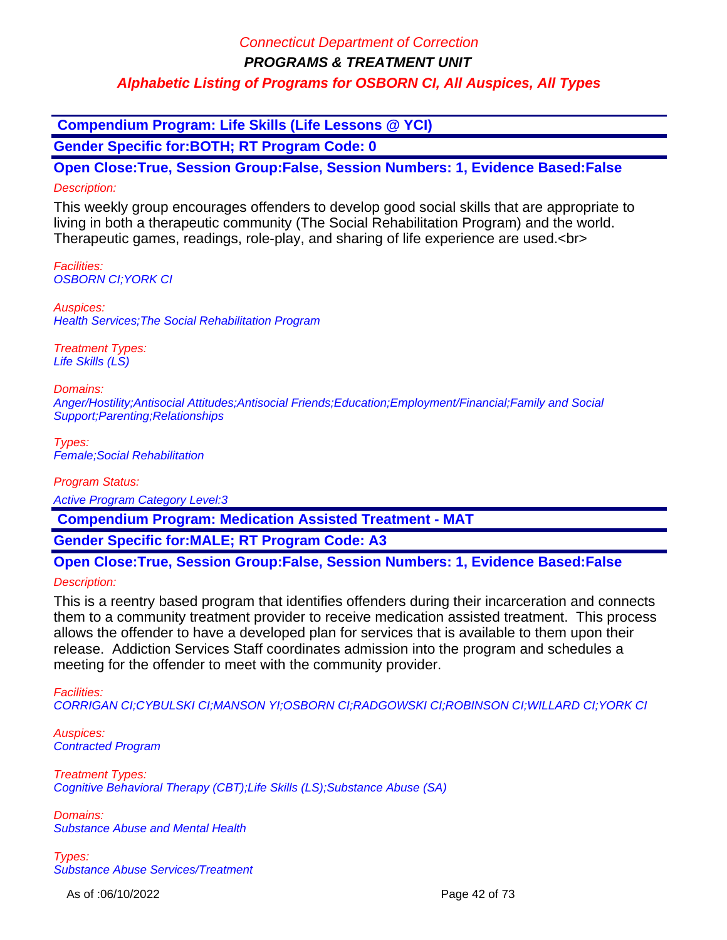**PROGRAMS & TREATMENT UNIT**

### **Alphabetic Listing of Programs for OSBORN CI, All Auspices, All Types**

 **Compendium Program: Life Skills (Life Lessons @ YCI)**

**Gender Specific for:BOTH; RT Program Code: 0**

**Open Close:True, Session Group:False, Session Numbers: 1, Evidence Based:False** Description:

This weekly group encourages offenders to develop good social skills that are appropriate to living in both a therapeutic community (The Social Rehabilitation Program) and the world. Therapeutic games, readings, role-play, and sharing of life experience are used.<br>

Facilities: OSBORN CI;YORK CI

Auspices: Health Services;The Social Rehabilitation Program

Treatment Types: Life Skills (LS)

Domains:

Anger/Hostility;Antisocial Attitudes;Antisocial Friends;Education;Employment/Financial;Family and Social Support;Parenting;Relationships

Types: Female;Social Rehabilitation

Program Status:

Active Program Category Level:3

 **Compendium Program: Medication Assisted Treatment - MAT**

**Gender Specific for:MALE; RT Program Code: A3**

**Open Close:True, Session Group:False, Session Numbers: 1, Evidence Based:False** Description:

This is a reentry based program that identifies offenders during their incarceration and connects them to a community treatment provider to receive medication assisted treatment. This process allows the offender to have a developed plan for services that is available to them upon their release. Addiction Services Staff coordinates admission into the program and schedules a meeting for the offender to meet with the community provider.

Facilities:

CORRIGAN CI;CYBULSKI CI;MANSON YI;OSBORN CI;RADGOWSKI CI;ROBINSON CI;WILLARD CI;YORK CI

Auspices: Contracted Program

Treatment Types: Cognitive Behavioral Therapy (CBT);Life Skills (LS);Substance Abuse (SA)

Domains: Substance Abuse and Mental Health

Types: Substance Abuse Services/Treatment

As of :06/10/2022 **Page 42 of 73**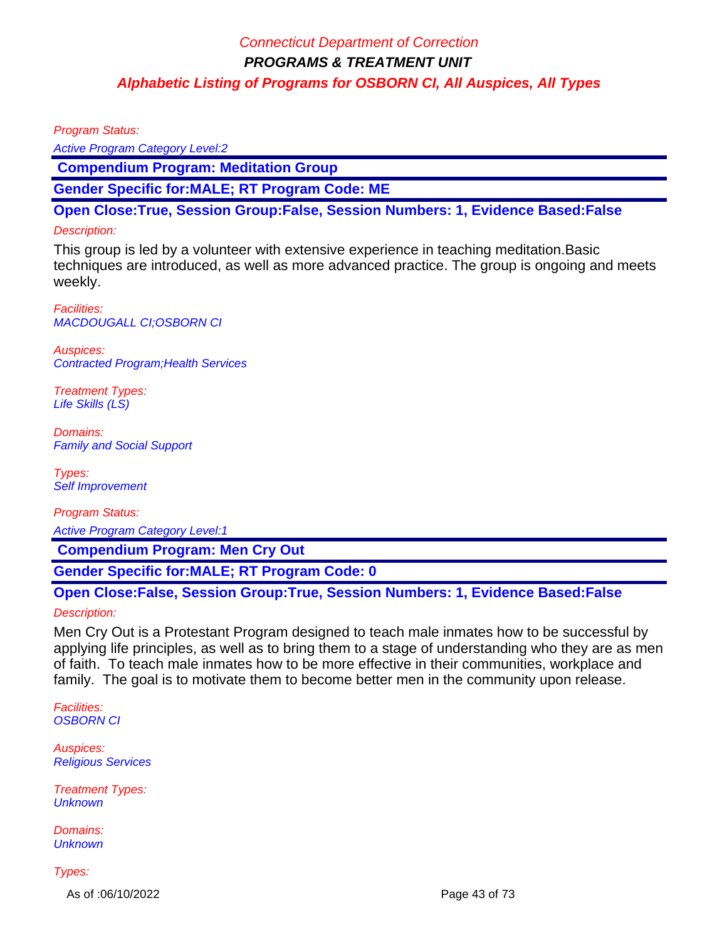Program Status:

Active Program Category Level:2

 **Compendium Program: Meditation Group**

**Gender Specific for:MALE; RT Program Code: ME**

**Open Close:True, Session Group:False, Session Numbers: 1, Evidence Based:False**

### Description:

This group is led by a volunteer with extensive experience in teaching meditation.Basic techniques are introduced, as well as more advanced practice. The group is ongoing and meets weekly.

Facilities: MACDOUGALL CI;OSBORN CI

Auspices: Contracted Program;Health Services

Treatment Types: Life Skills (LS)

Domains: Family and Social Support

Types: Self Improvement

Program Status: Active Program Category Level:1

 **Compendium Program: Men Cry Out**

**Gender Specific for:MALE; RT Program Code: 0**

## **Open Close:False, Session Group:True, Session Numbers: 1, Evidence Based:False**

Description:

Men Cry Out is a Protestant Program designed to teach male inmates how to be successful by applying life principles, as well as to bring them to a stage of understanding who they are as men of faith. To teach male inmates how to be more effective in their communities, workplace and family. The goal is to motivate them to become better men in the community upon release.

Facilities: OSBORN CI

Auspices: Religious Services

Treatment Types: **Unknown** 

Domains: **Unknown** 

Types:

As of :06/10/2022 Page 43 of 73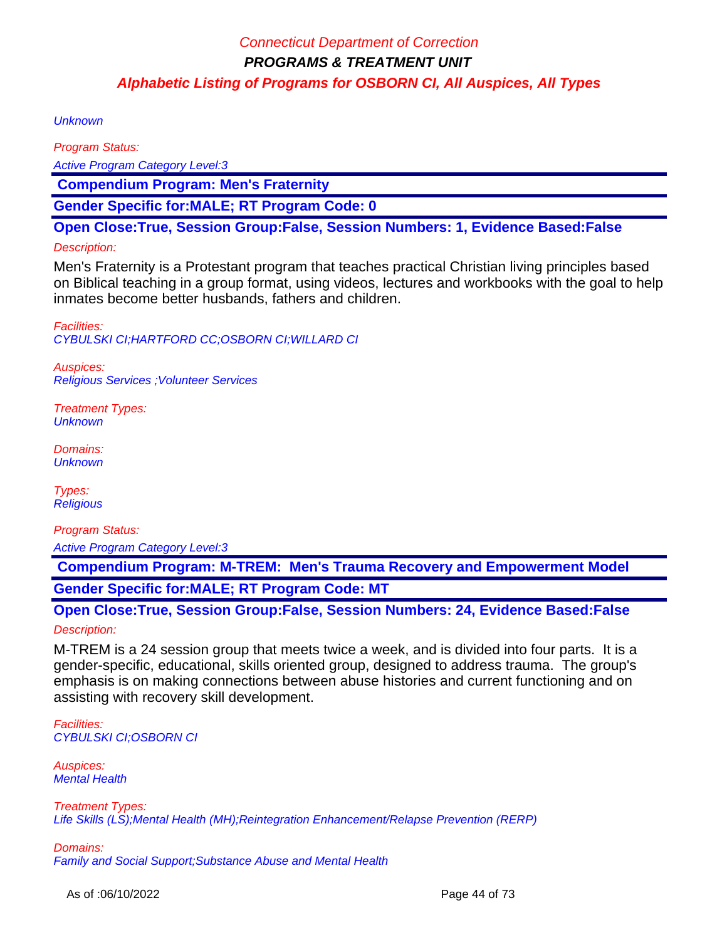**Unknown** 

Program Status: Active Program Category Level:3  **Compendium Program: Men's Fraternity**

**Gender Specific for:MALE; RT Program Code: 0**

**Open Close:True, Session Group:False, Session Numbers: 1, Evidence Based:False**

### Description:

Men's Fraternity is a Protestant program that teaches practical Christian living principles based on Biblical teaching in a group format, using videos, lectures and workbooks with the goal to help inmates become better husbands, fathers and children.

Facilities: CYBULSKI CI;HARTFORD CC;OSBORN CI;WILLARD CI

Auspices: Religious Services ;Volunteer Services

Treatment Types: **Unknown** 

Domains: **Unknown** 

Types: **Religious** 

Program Status:

Active Program Category Level:3

 **Compendium Program: M-TREM: Men's Trauma Recovery and Empowerment Model Gender Specific for:MALE; RT Program Code: MT**

**Open Close:True, Session Group:False, Session Numbers: 24, Evidence Based:False** Description:

M-TREM is a 24 session group that meets twice a week, and is divided into four parts. It is a gender-specific, educational, skills oriented group, designed to address trauma. The group's emphasis is on making connections between abuse histories and current functioning and on assisting with recovery skill development.

Facilities: CYBULSKI CI;OSBORN CI

Auspices: Mental Health

Treatment Types: Life Skills (LS);Mental Health (MH);Reintegration Enhancement/Relapse Prevention (RERP)

Domains: Family and Social Support;Substance Abuse and Mental Health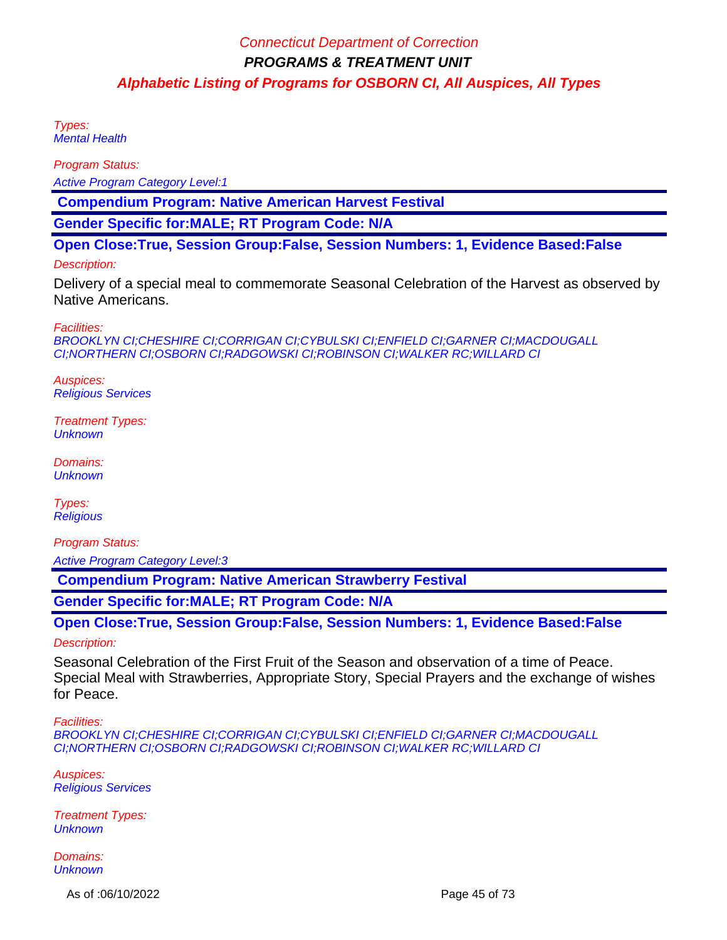Types: Mental Health

Program Status:

Active Program Category Level:1

 **Compendium Program: Native American Harvest Festival**

**Gender Specific for:MALE; RT Program Code: N/A**

**Open Close:True, Session Group:False, Session Numbers: 1, Evidence Based:False**

### Description:

Delivery of a special meal to commemorate Seasonal Celebration of the Harvest as observed by Native Americans.

Facilities:

BROOKLYN CI;CHESHIRE CI;CORRIGAN CI;CYBULSKI CI;ENFIELD CI;GARNER CI;MACDOUGALL CI;NORTHERN CI;OSBORN CI;RADGOWSKI CI;ROBINSON CI;WALKER RC;WILLARD CI

Auspices: Religious Services

Treatment Types: **Unknown** 

Domains: **Unknown** 

Types: **Religious** 

Program Status:

Active Program Category Level:3

 **Compendium Program: Native American Strawberry Festival**

**Gender Specific for:MALE; RT Program Code: N/A**

**Open Close:True, Session Group:False, Session Numbers: 1, Evidence Based:False**

Description:

Seasonal Celebration of the First Fruit of the Season and observation of a time of Peace. Special Meal with Strawberries, Appropriate Story, Special Prayers and the exchange of wishes for Peace.

Facilities:

BROOKLYN CI;CHESHIRE CI;CORRIGAN CI;CYBULSKI CI;ENFIELD CI;GARNER CI;MACDOUGALL CI;NORTHERN CI;OSBORN CI;RADGOWSKI CI;ROBINSON CI;WALKER RC;WILLARD CI

Auspices: Religious Services

Treatment Types: **Unknown** 

Domains: **Unknown** 

As of :06/10/2022 **Page 45 of 73**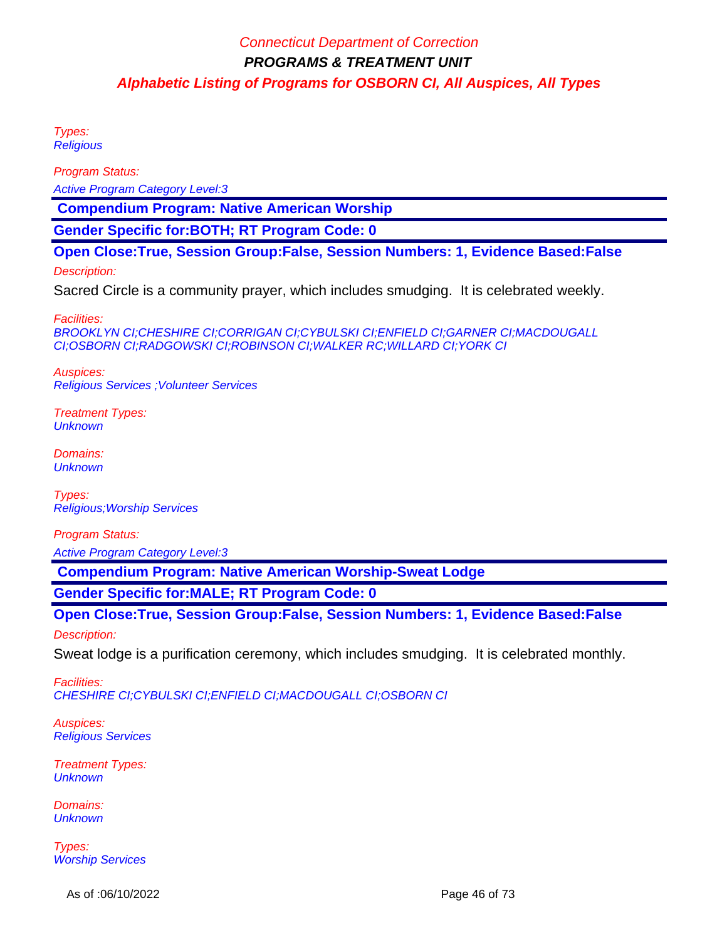Types: **Religious** 

Program Status:

Active Program Category Level:3

 **Compendium Program: Native American Worship**

**Gender Specific for:BOTH; RT Program Code: 0**

**Open Close:True, Session Group:False, Session Numbers: 1, Evidence Based:False**

Description:

Sacred Circle is a community prayer, which includes smudging. It is celebrated weekly.

Facilities:

BROOKLYN CI;CHESHIRE CI;CORRIGAN CI;CYBULSKI CI;ENFIELD CI;GARNER CI;MACDOUGALL CI;OSBORN CI;RADGOWSKI CI;ROBINSON CI;WALKER RC;WILLARD CI;YORK CI

Auspices: Religious Services ;Volunteer Services

Treatment Types: **Unknown** 

Domains: **Unknown** 

Types: Religious;Worship Services

Program Status:

Active Program Category Level:3

 **Compendium Program: Native American Worship-Sweat Lodge**

**Gender Specific for:MALE; RT Program Code: 0**

**Open Close:True, Session Group:False, Session Numbers: 1, Evidence Based:False** Description:

Sweat lodge is a purification ceremony, which includes smudging. It is celebrated monthly.

Facilities: CHESHIRE CI;CYBULSKI CI;ENFIELD CI;MACDOUGALL CI;OSBORN CI

Auspices: Religious Services

Treatment Types: **Unknown** 

Domains: **Unknown** 

Types: Worship Services

As of :06/10/2022 **Page 46 of 73**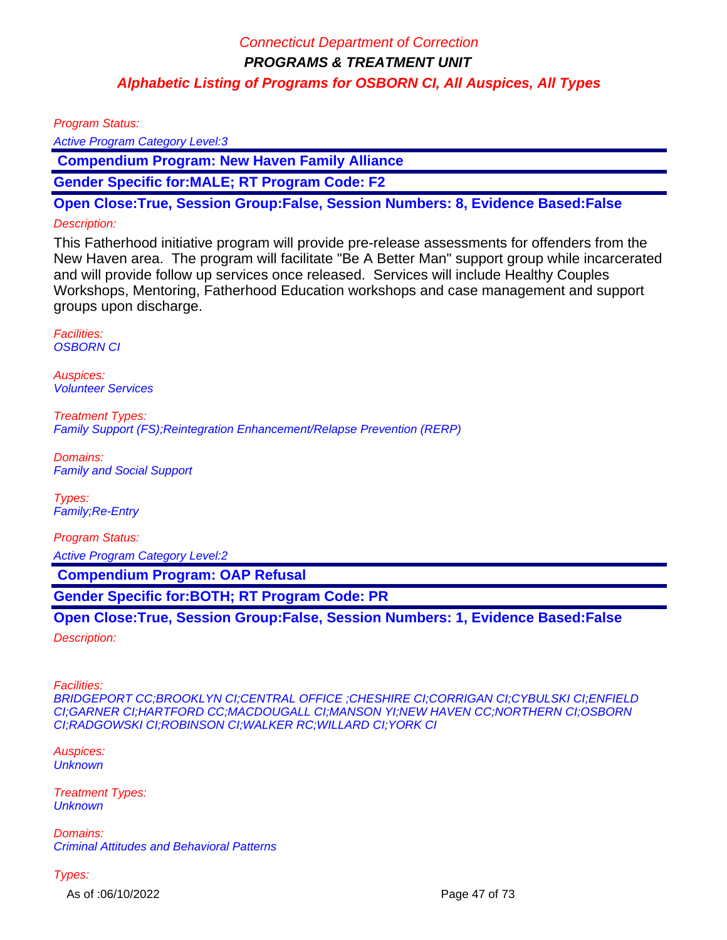Program Status:

Active Program Category Level:3

 **Compendium Program: New Haven Family Alliance**

**Gender Specific for:MALE; RT Program Code: F2**

**Open Close:True, Session Group:False, Session Numbers: 8, Evidence Based:False**

#### Description:

This Fatherhood initiative program will provide pre-release assessments for offenders from the New Haven area. The program will facilitate "Be A Better Man" support group while incarcerated and will provide follow up services once released. Services will include Healthy Couples Workshops, Mentoring, Fatherhood Education workshops and case management and support groups upon discharge.

Facilities: OSBORN CI

Auspices: Volunteer Services

Treatment Types: Family Support (FS);Reintegration Enhancement/Relapse Prevention (RERP)

Domains: Family and Social Support

Types: Family;Re-Entry

Program Status: Active Program Category Level:2

 **Compendium Program: OAP Refusal**

**Gender Specific for:BOTH; RT Program Code: PR**

**Open Close:True, Session Group:False, Session Numbers: 1, Evidence Based:False**

Description:

Facilities:

BRIDGEPORT CC;BROOKLYN CI;CENTRAL OFFICE ;CHESHIRE CI;CORRIGAN CI;CYBULSKI CI;ENFIELD CI;GARNER CI;HARTFORD CC;MACDOUGALL CI;MANSON YI;NEW HAVEN CC;NORTHERN CI;OSBORN CI;RADGOWSKI CI;ROBINSON CI;WALKER RC;WILLARD CI;YORK CI

Auspices: **Unknown** 

Treatment Types: **Unknown** 

Domains: Criminal Attitudes and Behavioral Patterns

Types:

As of :06/10/2022 **Page 47 of 73**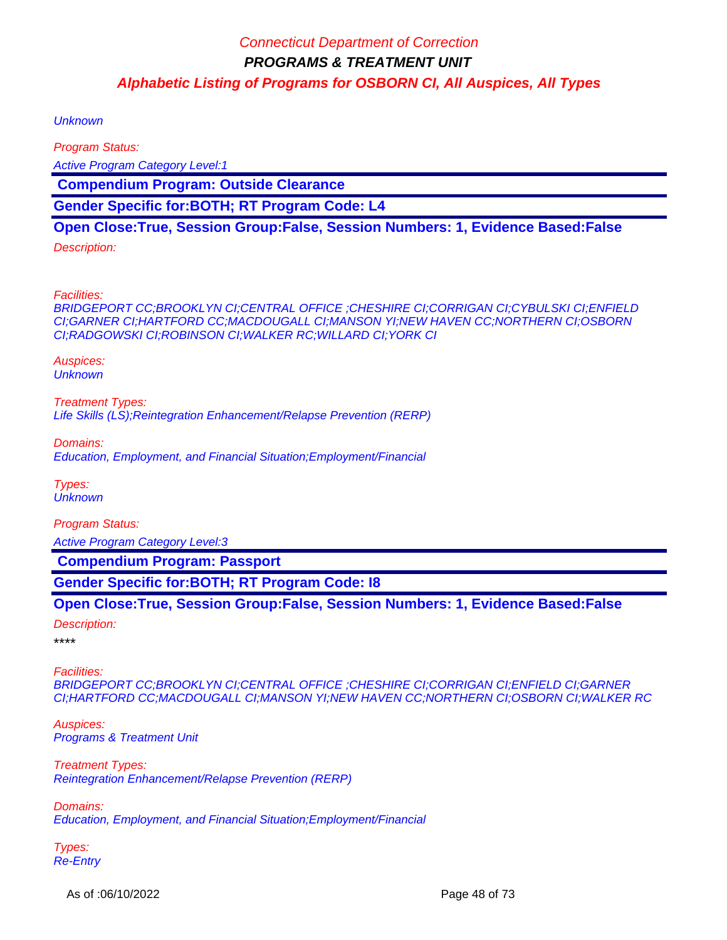**Unknown** 

Program Status:

Active Program Category Level:1

 **Compendium Program: Outside Clearance**

**Gender Specific for:BOTH; RT Program Code: L4**

**Open Close:True, Session Group:False, Session Numbers: 1, Evidence Based:False**

Description:

Facilities:

BRIDGEPORT CC;BROOKLYN CI;CENTRAL OFFICE ;CHESHIRE CI;CORRIGAN CI;CYBULSKI CI;ENFIELD CI;GARNER CI;HARTFORD CC;MACDOUGALL CI;MANSON YI;NEW HAVEN CC;NORTHERN CI;OSBORN CI;RADGOWSKI CI;ROBINSON CI;WALKER RC;WILLARD CI;YORK CI

Auspices: **Unknown** 

Treatment Types: Life Skills (LS);Reintegration Enhancement/Relapse Prevention (RERP)

Domains: Education, Employment, and Financial Situation;Employment/Financial

Types: **Unknown** 

Program Status: Active Program Category Level:3

 **Compendium Program: Passport**

**Gender Specific for:BOTH; RT Program Code: I8**

**Open Close:True, Session Group:False, Session Numbers: 1, Evidence Based:False**

Description:

\*\*\*\*

Facilities: BRIDGEPORT CC;BROOKLYN CI;CENTRAL OFFICE ;CHESHIRE CI;CORRIGAN CI;ENFIELD CI;GARNER CI;HARTFORD CC;MACDOUGALL CI;MANSON YI;NEW HAVEN CC;NORTHERN CI;OSBORN CI;WALKER RC

Auspices: Programs & Treatment Unit

Treatment Types: Reintegration Enhancement/Relapse Prevention (RERP)

Domains: Education, Employment, and Financial Situation;Employment/Financial

Types: Re-Entry

As of :06/10/2022 **Page 48 of 73**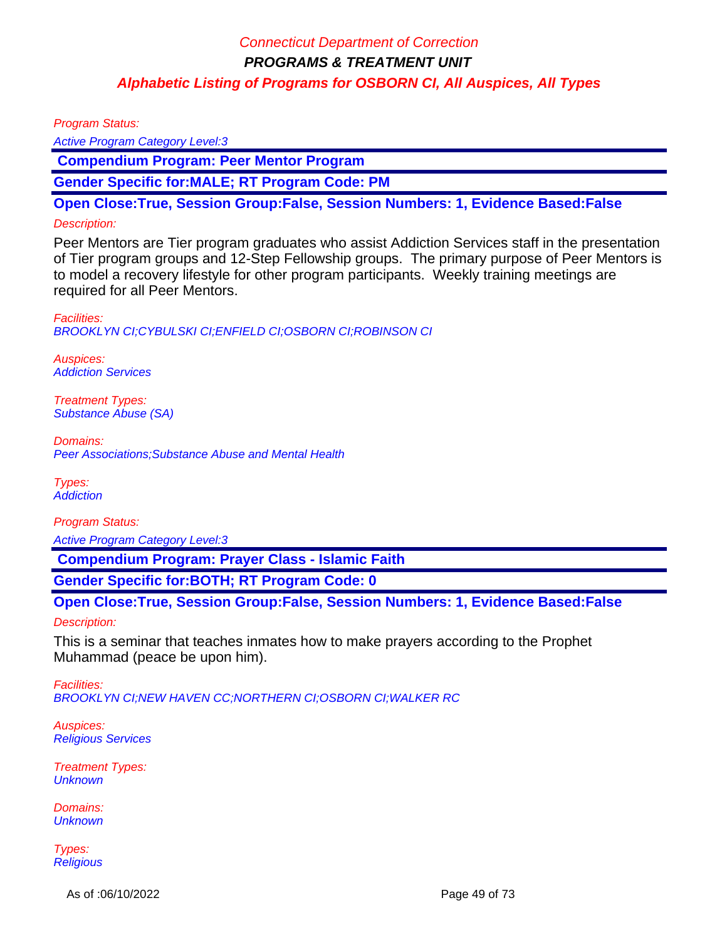Program Status:

Active Program Category Level:3

 **Compendium Program: Peer Mentor Program**

**Gender Specific for:MALE; RT Program Code: PM**

**Open Close:True, Session Group:False, Session Numbers: 1, Evidence Based:False**

#### Description:

Peer Mentors are Tier program graduates who assist Addiction Services staff in the presentation of Tier program groups and 12-Step Fellowship groups. The primary purpose of Peer Mentors is to model a recovery lifestyle for other program participants. Weekly training meetings are required for all Peer Mentors.

Facilities: BROOKLYN CI;CYBULSKI CI;ENFIELD CI;OSBORN CI;ROBINSON CI

Auspices: Addiction Services

Treatment Types: Substance Abuse (SA)

Domains: Peer Associations;Substance Abuse and Mental Health

Types: **Addiction** 

Program Status: Active Program Category Level:3

 **Compendium Program: Prayer Class - Islamic Faith**

**Gender Specific for:BOTH; RT Program Code: 0**

**Open Close:True, Session Group:False, Session Numbers: 1, Evidence Based:False**

Description:

This is a seminar that teaches inmates how to make prayers according to the Prophet Muhammad (peace be upon him).

Facilities: BROOKLYN CI;NEW HAVEN CC;NORTHERN CI;OSBORN CI;WALKER RC

Auspices: Religious Services

Treatment Types: **Unknown** 

Domains: **Unknown** 

Types: **Religious** 

As of :06/10/2022 **Page 49 of 73**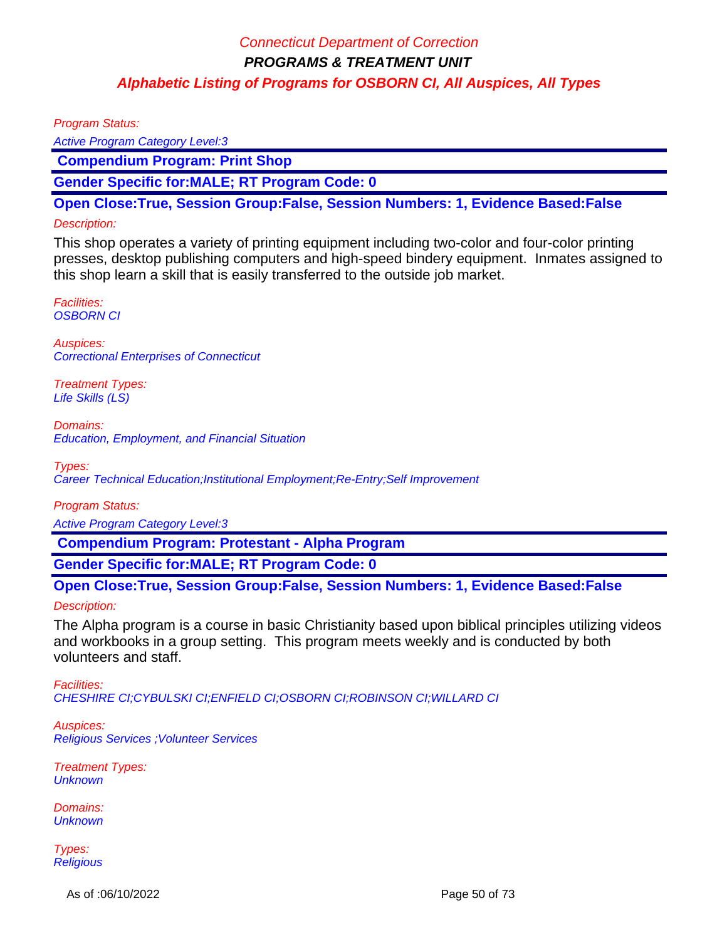Program Status:

Active Program Category Level:3

 **Compendium Program: Print Shop**

**Gender Specific for:MALE; RT Program Code: 0**

**Open Close:True, Session Group:False, Session Numbers: 1, Evidence Based:False**

#### Description:

This shop operates a variety of printing equipment including two-color and four-color printing presses, desktop publishing computers and high-speed bindery equipment. Inmates assigned to this shop learn a skill that is easily transferred to the outside job market.

Facilities: OSBORN CI

Auspices: Correctional Enterprises of Connecticut

Treatment Types: Life Skills (LS)

Domains: Education, Employment, and Financial Situation

Types: Career Technical Education;Institutional Employment;Re-Entry;Self Improvement

Program Status:

Active Program Category Level:3

 **Compendium Program: Protestant - Alpha Program**

**Gender Specific for:MALE; RT Program Code: 0**

**Open Close:True, Session Group:False, Session Numbers: 1, Evidence Based:False**

Description:

The Alpha program is a course in basic Christianity based upon biblical principles utilizing videos and workbooks in a group setting. This program meets weekly and is conducted by both volunteers and staff.

Facilities: CHESHIRE CI;CYBULSKI CI;ENFIELD CI;OSBORN CI;ROBINSON CI;WILLARD CI

Auspices: Religious Services ;Volunteer Services

Treatment Types: **Unknown** 

Domains: **Unknown** 

Types: **Religious** 

As of :06/10/2022 **Page 50 of 73**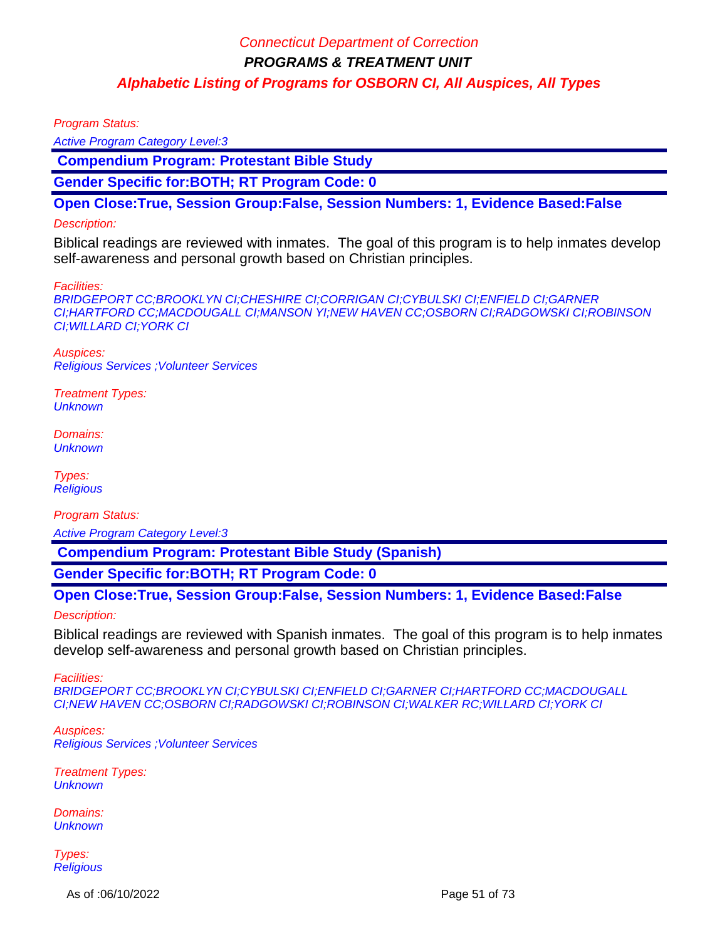Program Status:

Active Program Category Level:3

 **Compendium Program: Protestant Bible Study**

**Gender Specific for:BOTH; RT Program Code: 0**

**Open Close:True, Session Group:False, Session Numbers: 1, Evidence Based:False**

#### Description:

Biblical readings are reviewed with inmates. The goal of this program is to help inmates develop self-awareness and personal growth based on Christian principles.

Facilities:

BRIDGEPORT CC;BROOKLYN CI;CHESHIRE CI;CORRIGAN CI;CYBULSKI CI;ENFIELD CI;GARNER CI;HARTFORD CC;MACDOUGALL CI;MANSON YI;NEW HAVEN CC;OSBORN CI;RADGOWSKI CI;ROBINSON CI;WILLARD CI;YORK CI

Auspices: Religious Services ;Volunteer Services

Treatment Types: **Unknown** 

Domains: **Unknown** 

Types: **Religious** 

Program Status:

Active Program Category Level:3

 **Compendium Program: Protestant Bible Study (Spanish)**

**Gender Specific for:BOTH; RT Program Code: 0**

**Open Close:True, Session Group:False, Session Numbers: 1, Evidence Based:False**

Description:

Biblical readings are reviewed with Spanish inmates. The goal of this program is to help inmates develop self-awareness and personal growth based on Christian principles.

Facilities:

BRIDGEPORT CC;BROOKLYN CI;CYBULSKI CI;ENFIELD CI;GARNER CI;HARTFORD CC;MACDOUGALL CI;NEW HAVEN CC;OSBORN CI;RADGOWSKI CI;ROBINSON CI;WALKER RC;WILLARD CI;YORK CI

Auspices: Religious Services ;Volunteer Services

Treatment Types: **Unknown** 

Domains: **Unknown** 

Types: **Religious** 

As of :06/10/2022 **Page 51 of 73**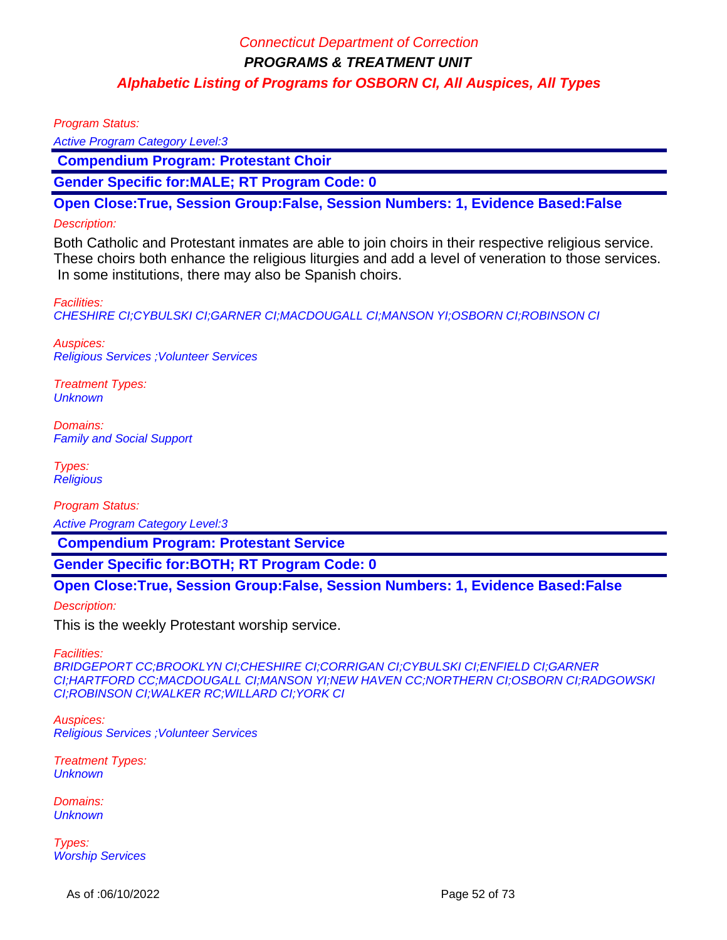Program Status:

Active Program Category Level:3

 **Compendium Program: Protestant Choir**

**Gender Specific for:MALE; RT Program Code: 0**

**Open Close:True, Session Group:False, Session Numbers: 1, Evidence Based:False**

#### Description:

Both Catholic and Protestant inmates are able to join choirs in their respective religious service. These choirs both enhance the religious liturgies and add a level of veneration to those services. In some institutions, there may also be Spanish choirs.

Facilities:

CHESHIRE CI;CYBULSKI CI;GARNER CI;MACDOUGALL CI;MANSON YI;OSBORN CI;ROBINSON CI

Auspices: Religious Services ;Volunteer Services

Treatment Types: **Unknown** 

Domains: Family and Social Support

Types: **Religious** 

Program Status:

Active Program Category Level:3

 **Compendium Program: Protestant Service**

**Gender Specific for:BOTH; RT Program Code: 0**

**Open Close:True, Session Group:False, Session Numbers: 1, Evidence Based:False**

Description:

This is the weekly Protestant worship service.

Facilities:

BRIDGEPORT CC;BROOKLYN CI;CHESHIRE CI;CORRIGAN CI;CYBULSKI CI;ENFIELD CI;GARNER CI;HARTFORD CC;MACDOUGALL CI;MANSON YI;NEW HAVEN CC;NORTHERN CI;OSBORN CI;RADGOWSKI CI;ROBINSON CI;WALKER RC;WILLARD CI;YORK CI

Auspices: Religious Services ;Volunteer Services

Treatment Types: **Unknown** 

Domains: **Unknown** 

Types: Worship Services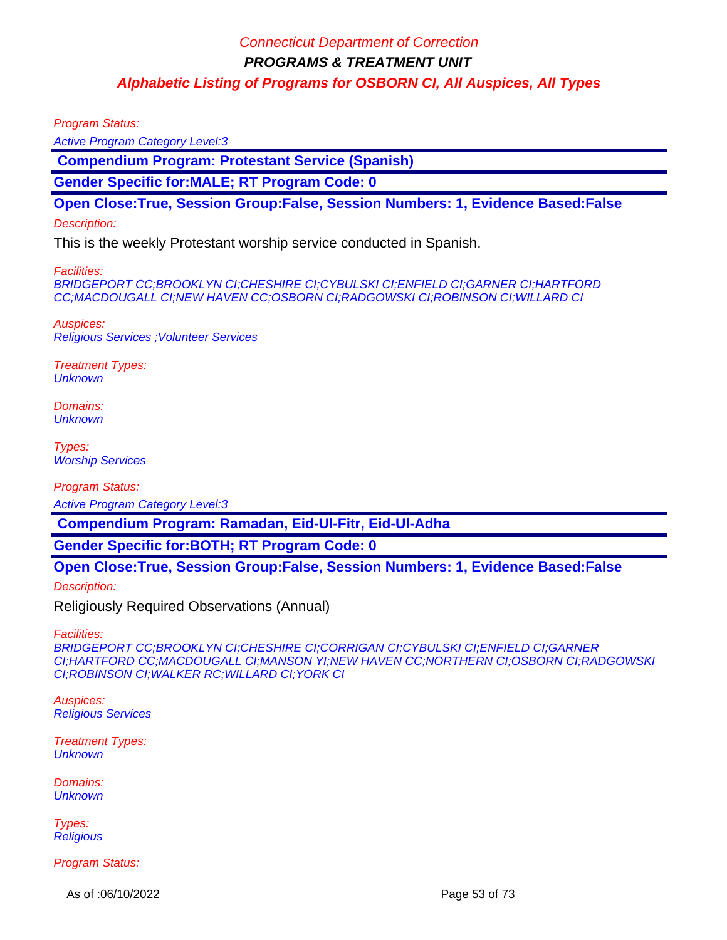Program Status:

Active Program Category Level:3

 **Compendium Program: Protestant Service (Spanish)**

**Gender Specific for:MALE; RT Program Code: 0**

**Open Close:True, Session Group:False, Session Numbers: 1, Evidence Based:False**

#### Description:

This is the weekly Protestant worship service conducted in Spanish.

Facilities:

BRIDGEPORT CC;BROOKLYN CI;CHESHIRE CI;CYBULSKI CI;ENFIELD CI;GARNER CI;HARTFORD CC;MACDOUGALL CI;NEW HAVEN CC;OSBORN CI;RADGOWSKI CI;ROBINSON CI;WILLARD CI

Auspices: Religious Services ;Volunteer Services

Treatment Types: **Unknown** 

Domains: **Unknown** 

Types: Worship Services

Program Status:

Active Program Category Level:3

 **Compendium Program: Ramadan, Eid-Ul-Fitr, Eid-Ul-Adha**

**Gender Specific for:BOTH; RT Program Code: 0**

### **Open Close:True, Session Group:False, Session Numbers: 1, Evidence Based:False**

Description:

Religiously Required Observations (Annual)

Facilities:

BRIDGEPORT CC;BROOKLYN CI;CHESHIRE CI;CORRIGAN CI;CYBULSKI CI;ENFIELD CI;GARNER CI;HARTFORD CC;MACDOUGALL CI;MANSON YI;NEW HAVEN CC;NORTHERN CI;OSBORN CI;RADGOWSKI CI;ROBINSON CI;WALKER RC;WILLARD CI;YORK CI

Auspices: Religious Services

Treatment Types: **Unknown** 

Domains: **Unknown** 

Types: **Religious** 

Program Status:

As of :06/10/2022 **Page 53 of 73**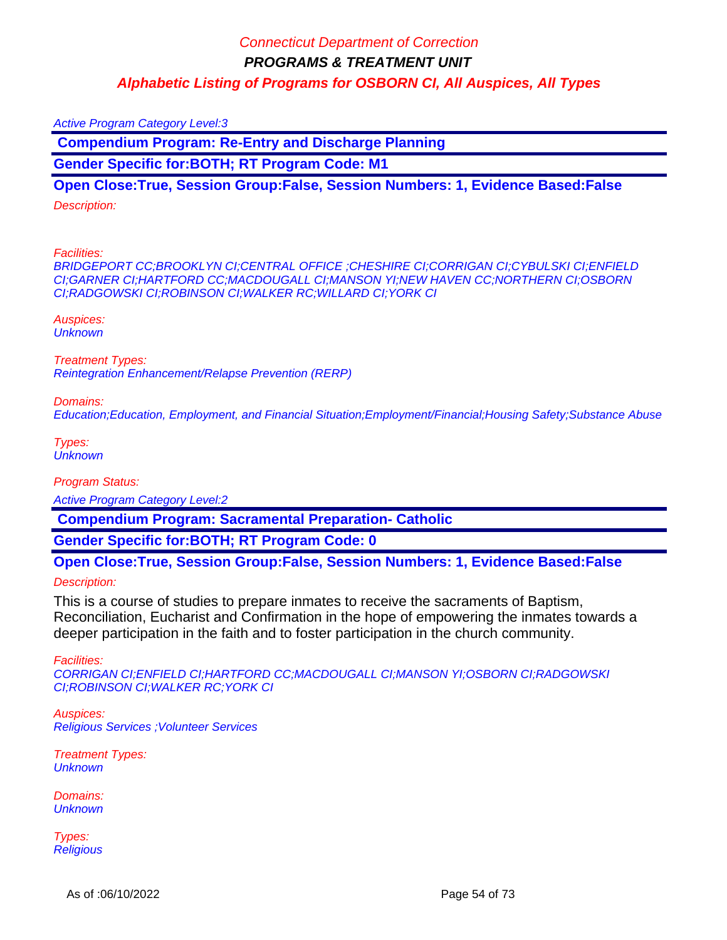Active Program Category Level:3

 **Compendium Program: Re-Entry and Discharge Planning**

**Gender Specific for:BOTH; RT Program Code: M1**

**Open Close:True, Session Group:False, Session Numbers: 1, Evidence Based:False**

Description:

Facilities:

BRIDGEPORT CC;BROOKLYN CI;CENTRAL OFFICE ;CHESHIRE CI;CORRIGAN CI;CYBULSKI CI;ENFIELD CI;GARNER CI;HARTFORD CC;MACDOUGALL CI;MANSON YI;NEW HAVEN CC;NORTHERN CI;OSBORN CI;RADGOWSKI CI;ROBINSON CI;WALKER RC;WILLARD CI;YORK CI

Auspices: **Unknown** 

Treatment Types: Reintegration Enhancement/Relapse Prevention (RERP)

Domains: Education;Education, Employment, and Financial Situation;Employment/Financial;Housing Safety;Substance Abuse

Types: **Unknown** 

Program Status:

Active Program Category Level:2

 **Compendium Program: Sacramental Preparation- Catholic**

**Gender Specific for:BOTH; RT Program Code: 0**

**Open Close:True, Session Group:False, Session Numbers: 1, Evidence Based:False**

Description:

This is a course of studies to prepare inmates to receive the sacraments of Baptism, Reconciliation, Eucharist and Confirmation in the hope of empowering the inmates towards a deeper participation in the faith and to foster participation in the church community.

Facilities:

CORRIGAN CI;ENFIELD CI;HARTFORD CC;MACDOUGALL CI;MANSON YI;OSBORN CI;RADGOWSKI CI;ROBINSON CI;WALKER RC;YORK CI

Auspices: Religious Services ;Volunteer Services

Treatment Types: **Unknown** 

Domains: **Unknown** 

Types: **Religious**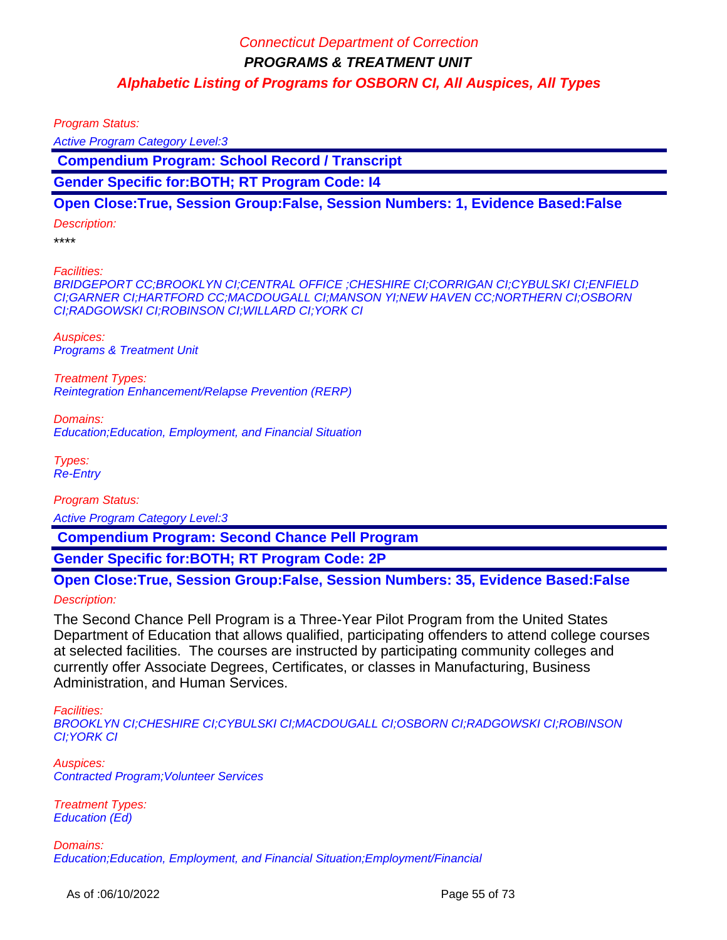Program Status:

Active Program Category Level:3

 **Compendium Program: School Record / Transcript**

**Gender Specific for:BOTH; RT Program Code: I4**

### **Open Close:True, Session Group:False, Session Numbers: 1, Evidence Based:False**

#### Description:

\*\*\*\*

Facilities:

BRIDGEPORT CC;BROOKLYN CI;CENTRAL OFFICE ;CHESHIRE CI;CORRIGAN CI;CYBULSKI CI;ENFIELD CI;GARNER CI;HARTFORD CC;MACDOUGALL CI;MANSON YI;NEW HAVEN CC;NORTHERN CI;OSBORN CI;RADGOWSKI CI;ROBINSON CI;WILLARD CI;YORK CI

Auspices: Programs & Treatment Unit

Treatment Types: Reintegration Enhancement/Relapse Prevention (RERP)

Domains: Education;Education, Employment, and Financial Situation

Types: Re-Entry

Program Status: Active Program Category Level:3

 **Compendium Program: Second Chance Pell Program**

**Gender Specific for:BOTH; RT Program Code: 2P**

### **Open Close:True, Session Group:False, Session Numbers: 35, Evidence Based:False**

Description:

The Second Chance Pell Program is a Three-Year Pilot Program from the United States Department of Education that allows qualified, participating offenders to attend college courses at selected facilities. The courses are instructed by participating community colleges and currently offer Associate Degrees, Certificates, or classes in Manufacturing, Business Administration, and Human Services.

Facilities:

BROOKLYN CI;CHESHIRE CI;CYBULSKI CI;MACDOUGALL CI;OSBORN CI;RADGOWSKI CI;ROBINSON CI;YORK CI

Auspices: Contracted Program;Volunteer Services

Treatment Types: Education (Ed)

Domains: Education;Education, Employment, and Financial Situation;Employment/Financial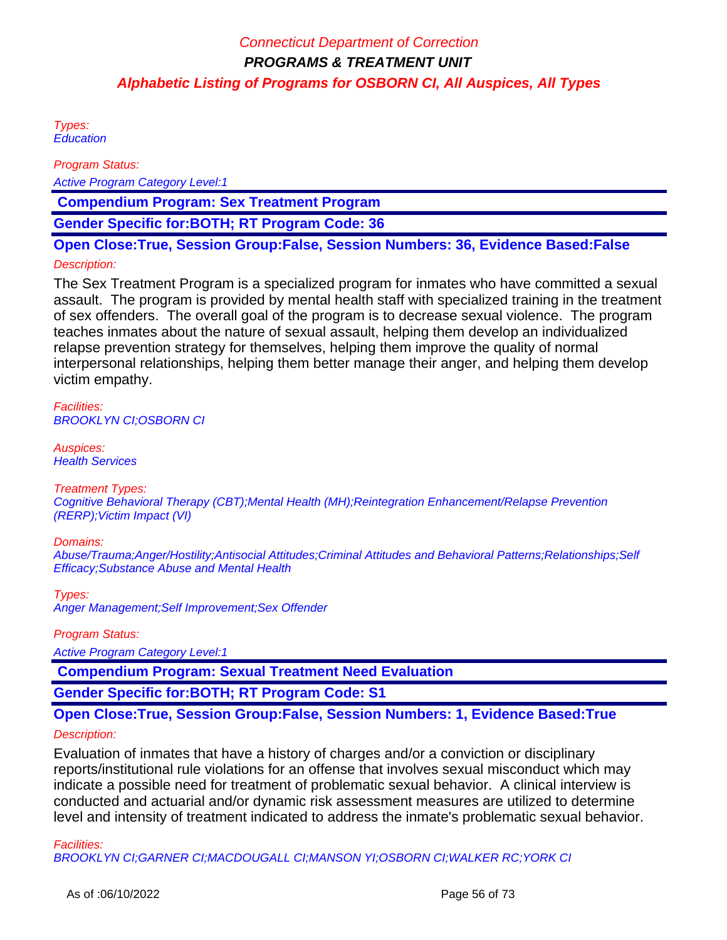Types: **Education** 

Program Status:

Active Program Category Level:1

 **Compendium Program: Sex Treatment Program**

**Gender Specific for:BOTH; RT Program Code: 36**

**Open Close:True, Session Group:False, Session Numbers: 36, Evidence Based:False**

### Description:

The Sex Treatment Program is a specialized program for inmates who have committed a sexual assault. The program is provided by mental health staff with specialized training in the treatment of sex offenders. The overall goal of the program is to decrease sexual violence. The program teaches inmates about the nature of sexual assault, helping them develop an individualized relapse prevention strategy for themselves, helping them improve the quality of normal interpersonal relationships, helping them better manage their anger, and helping them develop victim empathy.

Facilities: BROOKLYN CI;OSBORN CI

Auspices: Health Services

#### Treatment Types:

Cognitive Behavioral Therapy (CBT);Mental Health (MH);Reintegration Enhancement/Relapse Prevention (RERP);Victim Impact (VI)

#### Domains:

Abuse/Trauma;Anger/Hostility;Antisocial Attitudes;Criminal Attitudes and Behavioral Patterns;Relationships;Self Efficacy;Substance Abuse and Mental Health

Types:

Anger Management;Self Improvement;Sex Offender

Program Status:

Active Program Category Level:1

 **Compendium Program: Sexual Treatment Need Evaluation** 

**Gender Specific for:BOTH; RT Program Code: S1**

# **Open Close:True, Session Group:False, Session Numbers: 1, Evidence Based:True**

#### Description:

Evaluation of inmates that have a history of charges and/or a conviction or disciplinary reports/institutional rule violations for an offense that involves sexual misconduct which may indicate a possible need for treatment of problematic sexual behavior. A clinical interview is conducted and actuarial and/or dynamic risk assessment measures are utilized to determine level and intensity of treatment indicated to address the inmate's problematic sexual behavior.

Facilities: BROOKLYN CI;GARNER CI;MACDOUGALL CI;MANSON YI;OSBORN CI;WALKER RC;YORK CI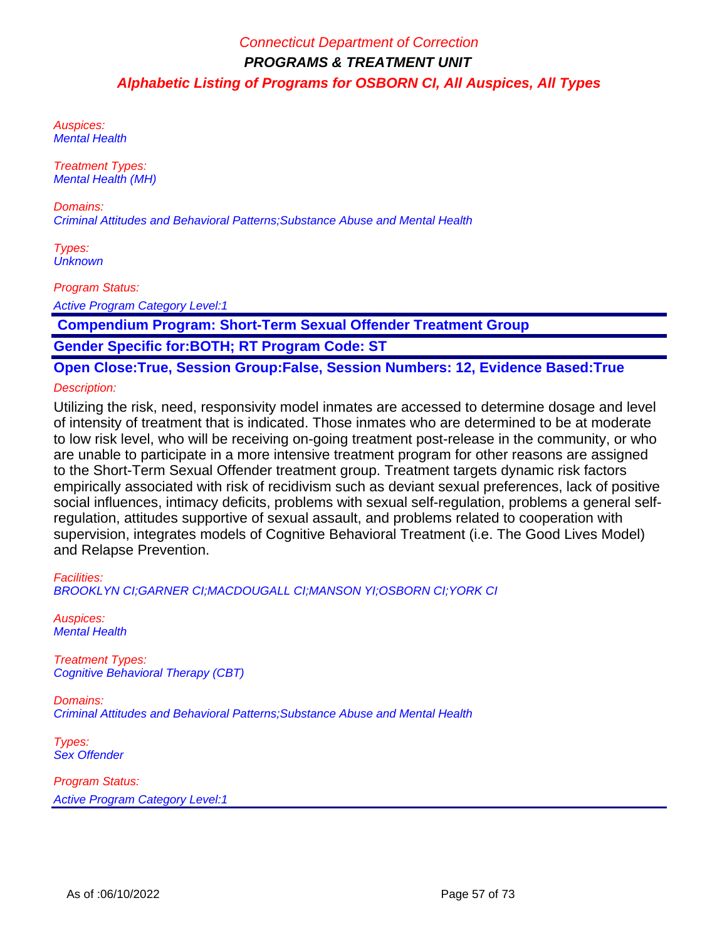Auspices: Mental Health

Treatment Types: Mental Health (MH)

Domains: Criminal Attitudes and Behavioral Patterns;Substance Abuse and Mental Health

Types: **Unknown** 

Program Status:

Active Program Category Level:1

 **Compendium Program: Short-Term Sexual Offender Treatment Group**

**Gender Specific for:BOTH; RT Program Code: ST**

**Open Close:True, Session Group:False, Session Numbers: 12, Evidence Based:True**

### Description:

Utilizing the risk, need, responsivity model inmates are accessed to determine dosage and level of intensity of treatment that is indicated. Those inmates who are determined to be at moderate to low risk level, who will be receiving on-going treatment post-release in the community, or who are unable to participate in a more intensive treatment program for other reasons are assigned to the Short-Term Sexual Offender treatment group. Treatment targets dynamic risk factors empirically associated with risk of recidivism such as deviant sexual preferences, lack of positive social influences, intimacy deficits, problems with sexual self-regulation, problems a general selfregulation, attitudes supportive of sexual assault, and problems related to cooperation with supervision, integrates models of Cognitive Behavioral Treatment (i.e. The Good Lives Model) and Relapse Prevention.

Facilities: BROOKLYN CI;GARNER CI;MACDOUGALL CI;MANSON YI;OSBORN CI;YORK CI

Auspices: Mental Health

Treatment Types: Cognitive Behavioral Therapy (CBT)

Domains: Criminal Attitudes and Behavioral Patterns;Substance Abuse and Mental Health

Types: Sex Offender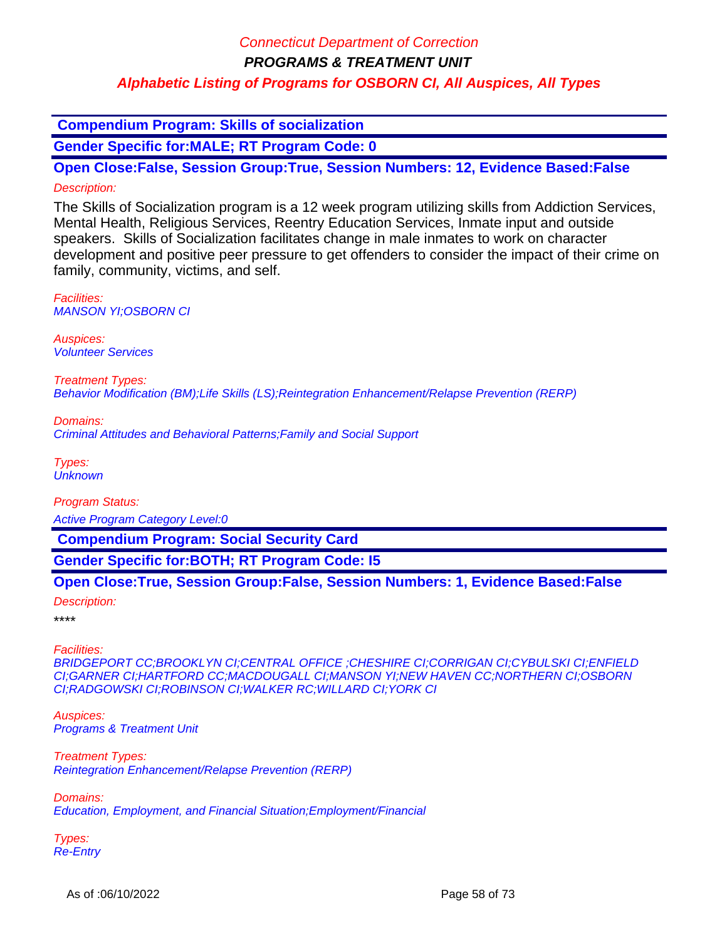**PROGRAMS & TREATMENT UNIT**

## **Alphabetic Listing of Programs for OSBORN CI, All Auspices, All Types**

 **Compendium Program: Skills of socialization**

**Gender Specific for:MALE; RT Program Code: 0**

**Open Close:False, Session Group:True, Session Numbers: 12, Evidence Based:False** Description:

The Skills of Socialization program is a 12 week program utilizing skills from Addiction Services, Mental Health, Religious Services, Reentry Education Services, Inmate input and outside speakers. Skills of Socialization facilitates change in male inmates to work on character development and positive peer pressure to get offenders to consider the impact of their crime on family, community, victims, and self.

Facilities: MANSON YI;OSBORN CI

Auspices: Volunteer Services

Treatment Types: Behavior Modification (BM);Life Skills (LS);Reintegration Enhancement/Relapse Prevention (RERP)

Domains: Criminal Attitudes and Behavioral Patterns;Family and Social Support

Types: **Unknown** 

Program Status: Active Program Category Level:0

 **Compendium Program: Social Security Card**

**Gender Specific for:BOTH; RT Program Code: I5**

**Open Close:True, Session Group:False, Session Numbers: 1, Evidence Based:False**

Description:

\*\*\*\*

Facilities:

BRIDGEPORT CC;BROOKLYN CI;CENTRAL OFFICE ;CHESHIRE CI;CORRIGAN CI;CYBULSKI CI;ENFIELD CI;GARNER CI;HARTFORD CC;MACDOUGALL CI;MANSON YI;NEW HAVEN CC;NORTHERN CI;OSBORN CI;RADGOWSKI CI;ROBINSON CI;WALKER RC;WILLARD CI;YORK CI

Auspices: Programs & Treatment Unit

Treatment Types: Reintegration Enhancement/Relapse Prevention (RERP)

Domains: Education, Employment, and Financial Situation;Employment/Financial

Types: Re-Entry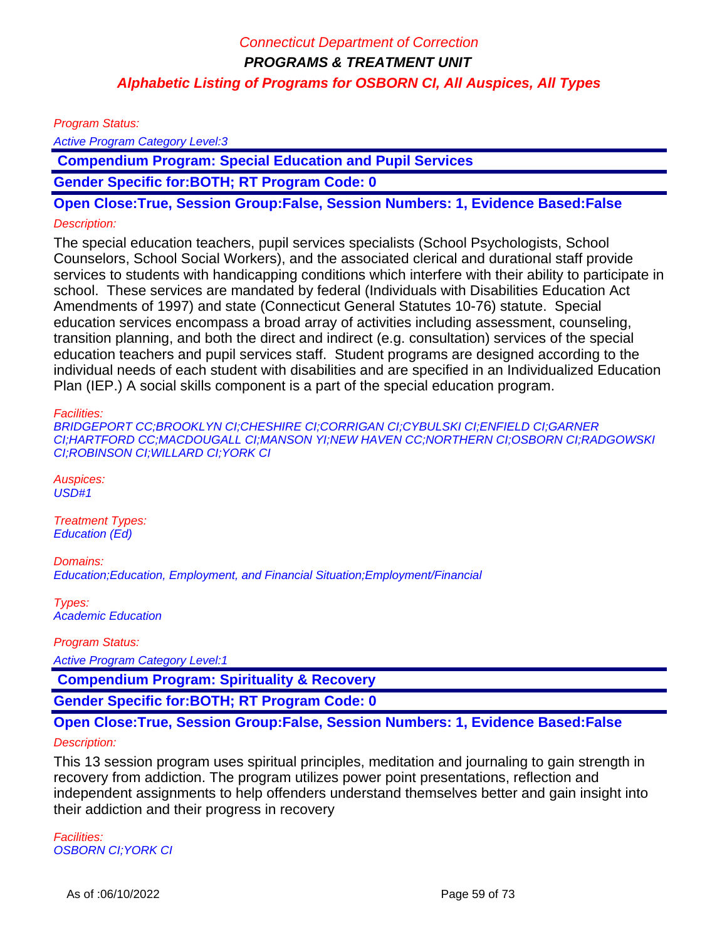Program Status:

Active Program Category Level:3

 **Compendium Program: Special Education and Pupil Services**

**Gender Specific for:BOTH; RT Program Code: 0**

**Open Close:True, Session Group:False, Session Numbers: 1, Evidence Based:False**

### Description:

The special education teachers, pupil services specialists (School Psychologists, School Counselors, School Social Workers), and the associated clerical and durational staff provide services to students with handicapping conditions which interfere with their ability to participate in school. These services are mandated by federal (Individuals with Disabilities Education Act Amendments of 1997) and state (Connecticut General Statutes 10-76) statute. Special education services encompass a broad array of activities including assessment, counseling, transition planning, and both the direct and indirect (e.g. consultation) services of the special education teachers and pupil services staff. Student programs are designed according to the individual needs of each student with disabilities and are specified in an Individualized Education Plan (IEP.) A social skills component is a part of the special education program.

#### Facilities:

BRIDGEPORT CC;BROOKLYN CI;CHESHIRE CI;CORRIGAN CI;CYBULSKI CI;ENFIELD CI;GARNER CI;HARTFORD CC;MACDOUGALL CI;MANSON YI;NEW HAVEN CC;NORTHERN CI;OSBORN CI;RADGOWSKI CI;ROBINSON CI;WILLARD CI;YORK CI

Auspices:  $\overline{USD}$ #1

Treatment Types: Education (Ed)

Domains: Education;Education, Employment, and Financial Situation;Employment/Financial

Types: Academic Education

Program Status:

Active Program Category Level:1

 **Compendium Program: Spirituality & Recovery**

**Gender Specific for:BOTH; RT Program Code: 0**

### **Open Close:True, Session Group:False, Session Numbers: 1, Evidence Based:False**

#### Description:

This 13 session program uses spiritual principles, meditation and journaling to gain strength in recovery from addiction. The program utilizes power point presentations, reflection and independent assignments to help offenders understand themselves better and gain insight into their addiction and their progress in recovery

Facilities: OSBORN CI;YORK CI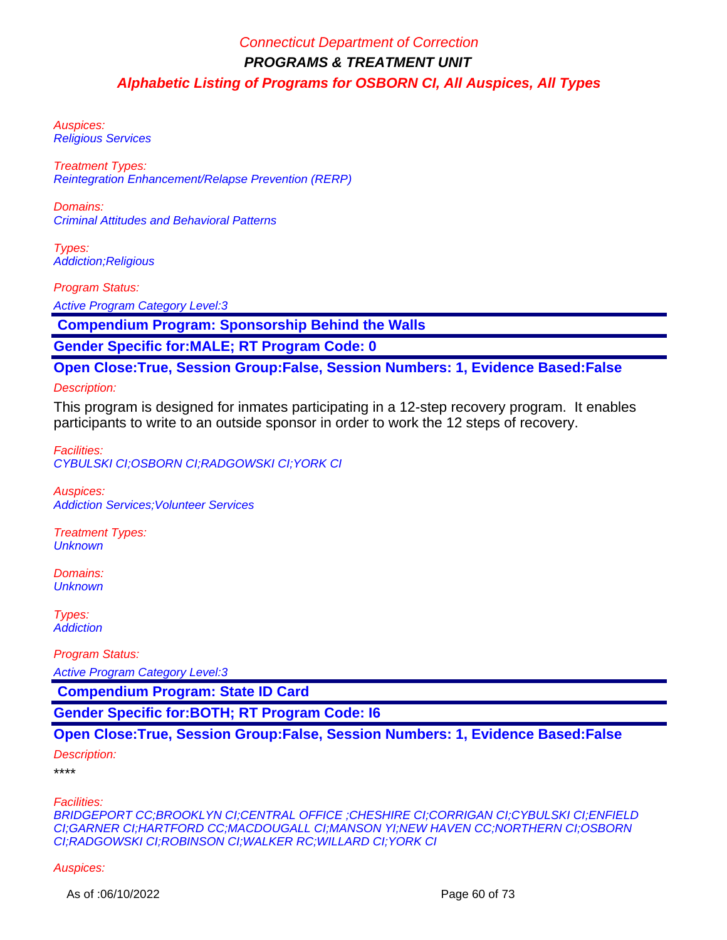Auspices: Religious Services

Treatment Types: Reintegration Enhancement/Relapse Prevention (RERP)

Domains: Criminal Attitudes and Behavioral Patterns

Types: Addiction;Religious

Program Status:

Active Program Category Level:3

 **Compendium Program: Sponsorship Behind the Walls**

**Gender Specific for:MALE; RT Program Code: 0**

**Open Close:True, Session Group:False, Session Numbers: 1, Evidence Based:False**

#### Description:

This program is designed for inmates participating in a 12-step recovery program. It enables participants to write to an outside sponsor in order to work the 12 steps of recovery.

Facilities: CYBULSKI CI;OSBORN CI;RADGOWSKI CI;YORK CI

Auspices: Addiction Services;Volunteer Services

Treatment Types: **Unknown** 

Domains: **Unknown** 

Types: **Addiction** 

Program Status:

Active Program Category Level:3

 **Compendium Program: State ID Card**

**Gender Specific for:BOTH; RT Program Code: I6**

### **Open Close:True, Session Group:False, Session Numbers: 1, Evidence Based:False**

Description:

\*\*\*\*

Facilities:

BRIDGEPORT CC;BROOKLYN CI;CENTRAL OFFICE ;CHESHIRE CI;CORRIGAN CI;CYBULSKI CI;ENFIELD CI;GARNER CI;HARTFORD CC;MACDOUGALL CI;MANSON YI;NEW HAVEN CC;NORTHERN CI;OSBORN CI;RADGOWSKI CI;ROBINSON CI;WALKER RC;WILLARD CI;YORK CI

#### Auspices:

As of :06/10/2022 **Page 60 of 73**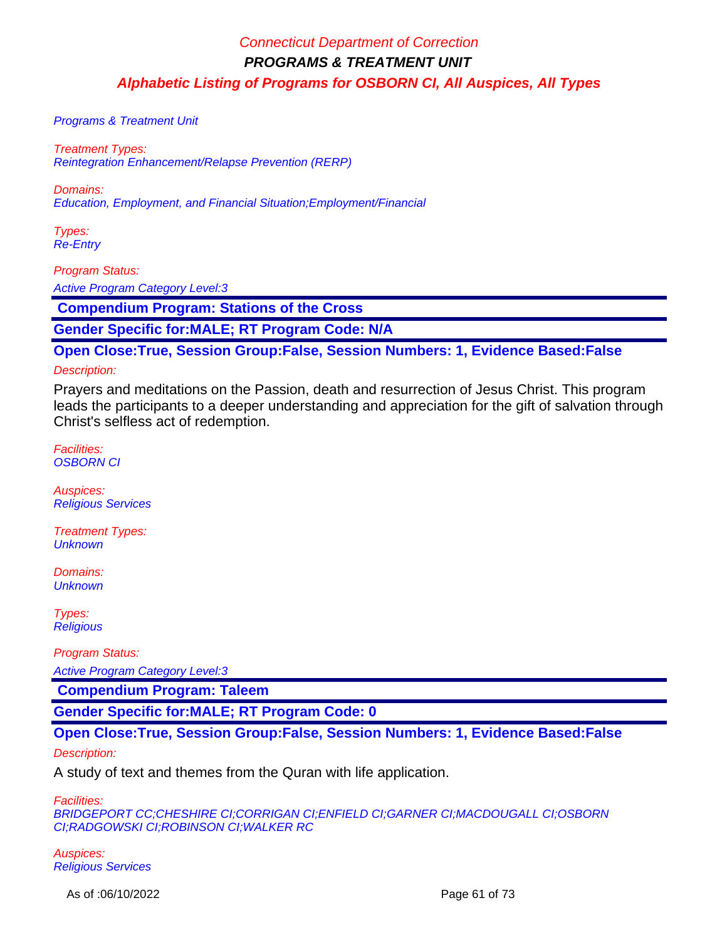Programs & Treatment Unit

Treatment Types: Reintegration Enhancement/Relapse Prevention (RERP)

Domains: Education, Employment, and Financial Situation;Employment/Financial

Types: Re-Entry

Program Status:

Active Program Category Level:3

 **Compendium Program: Stations of the Cross**

**Gender Specific for:MALE; RT Program Code: N/A**

**Open Close:True, Session Group:False, Session Numbers: 1, Evidence Based:False**

#### Description:

Prayers and meditations on the Passion, death and resurrection of Jesus Christ. This program leads the participants to a deeper understanding and appreciation for the gift of salvation through Christ's selfless act of redemption.

Facilities: OSBORN CI

Auspices: Religious Services

Treatment Types: **Unknown** 

Domains: **Unknown** 

Types: **Religious** 

Program Status:

Active Program Category Level:3

 **Compendium Program: Taleem**

**Gender Specific for:MALE; RT Program Code: 0**

### **Open Close:True, Session Group:False, Session Numbers: 1, Evidence Based:False**

#### Description:

A study of text and themes from the Quran with life application.

Facilities:

BRIDGEPORT CC;CHESHIRE CI;CORRIGAN CI;ENFIELD CI;GARNER CI;MACDOUGALL CI;OSBORN CI;RADGOWSKI CI;ROBINSON CI;WALKER RC

Auspices: Religious Services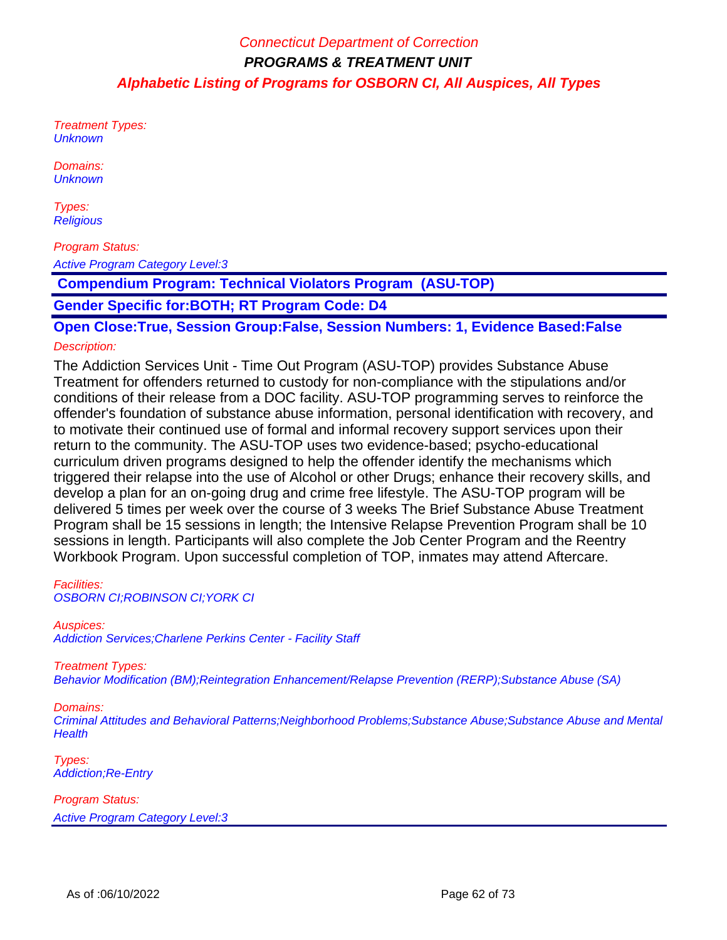Treatment Types: **Unknown** 

Domains: **Unknown** 

Types: **Religious** 

## Program Status:

Active Program Category Level:3

 **Compendium Program: Technical Violators Program (ASU-TOP)**

### **Gender Specific for:BOTH; RT Program Code: D4**

**Open Close:True, Session Group:False, Session Numbers: 1, Evidence Based:False**

### Description:

The Addiction Services Unit - Time Out Program (ASU-TOP) provides Substance Abuse Treatment for offenders returned to custody for non-compliance with the stipulations and/or conditions of their release from a DOC facility. ASU-TOP programming serves to reinforce the offender's foundation of substance abuse information, personal identification with recovery, and to motivate their continued use of formal and informal recovery support services upon their return to the community. The ASU-TOP uses two evidence-based; psycho-educational curriculum driven programs designed to help the offender identify the mechanisms which triggered their relapse into the use of Alcohol or other Drugs; enhance their recovery skills, and develop a plan for an on-going drug and crime free lifestyle. The ASU-TOP program will be delivered 5 times per week over the course of 3 weeks The Brief Substance Abuse Treatment Program shall be 15 sessions in length; the Intensive Relapse Prevention Program shall be 10 sessions in length. Participants will also complete the Job Center Program and the Reentry Workbook Program. Upon successful completion of TOP, inmates may attend Aftercare.

#### Facilities: OSBORN CI;ROBINSON CI;YORK CI

#### Auspices:

Addiction Services;Charlene Perkins Center - Facility Staff

#### Treatment Types:

Behavior Modification (BM);Reintegration Enhancement/Relapse Prevention (RERP);Substance Abuse (SA)

#### Domains:

Criminal Attitudes and Behavioral Patterns;Neighborhood Problems;Substance Abuse;Substance Abuse and Mental **Health** 

Types: Addiction;Re-Entry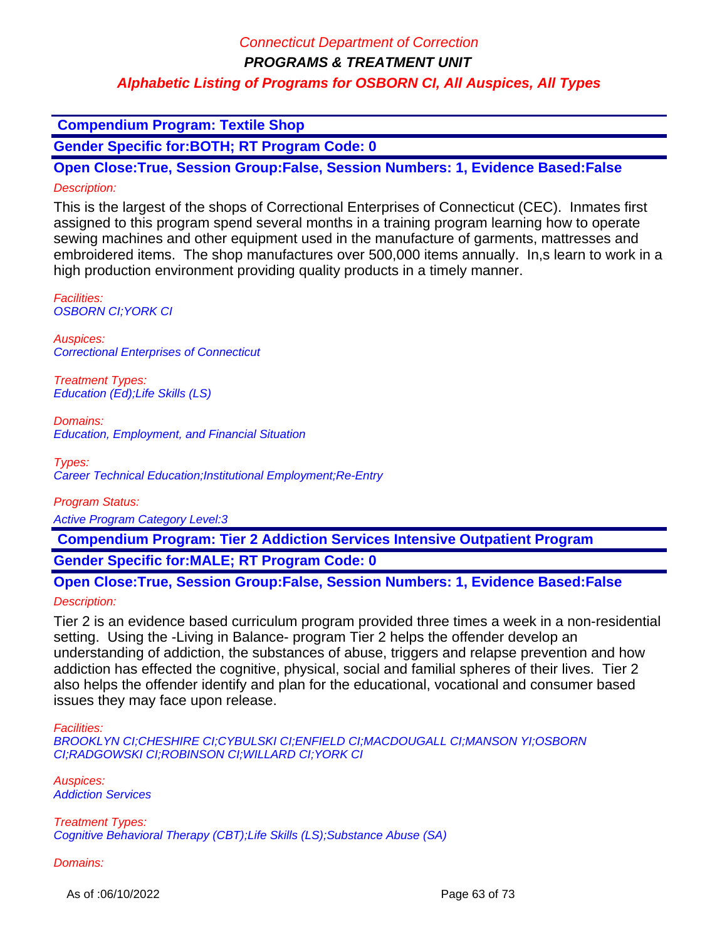**PROGRAMS & TREATMENT UNIT**

## **Alphabetic Listing of Programs for OSBORN CI, All Auspices, All Types**

 **Compendium Program: Textile Shop**

**Gender Specific for:BOTH; RT Program Code: 0**

**Open Close:True, Session Group:False, Session Numbers: 1, Evidence Based:False** Description:

This is the largest of the shops of Correctional Enterprises of Connecticut (CEC). Inmates first assigned to this program spend several months in a training program learning how to operate sewing machines and other equipment used in the manufacture of garments, mattresses and embroidered items. The shop manufactures over 500,000 items annually. In,s learn to work in a

high production environment providing quality products in a timely manner.

Facilities: OSBORN CI;YORK CI

Auspices: Correctional Enterprises of Connecticut

Treatment Types: Education (Ed);Life Skills (LS)

Domains: Education, Employment, and Financial Situation

Types: Career Technical Education;Institutional Employment;Re-Entry

Program Status: Active Program Category Level:3

 **Compendium Program: Tier 2 Addiction Services Intensive Outpatient Program**

**Gender Specific for:MALE; RT Program Code: 0**

**Open Close:True, Session Group:False, Session Numbers: 1, Evidence Based:False**

### Description:

Tier 2 is an evidence based curriculum program provided three times a week in a non-residential setting. Using the -Living in Balance- program Tier 2 helps the offender develop an understanding of addiction, the substances of abuse, triggers and relapse prevention and how addiction has effected the cognitive, physical, social and familial spheres of their lives. Tier 2 also helps the offender identify and plan for the educational, vocational and consumer based issues they may face upon release.

Facilities:

BROOKLYN CI;CHESHIRE CI;CYBULSKI CI;ENFIELD CI;MACDOUGALL CI;MANSON YI;OSBORN CI;RADGOWSKI CI;ROBINSON CI;WILLARD CI;YORK CI

Auspices: Addiction Services

Treatment Types: Cognitive Behavioral Therapy (CBT);Life Skills (LS);Substance Abuse (SA)

Domains: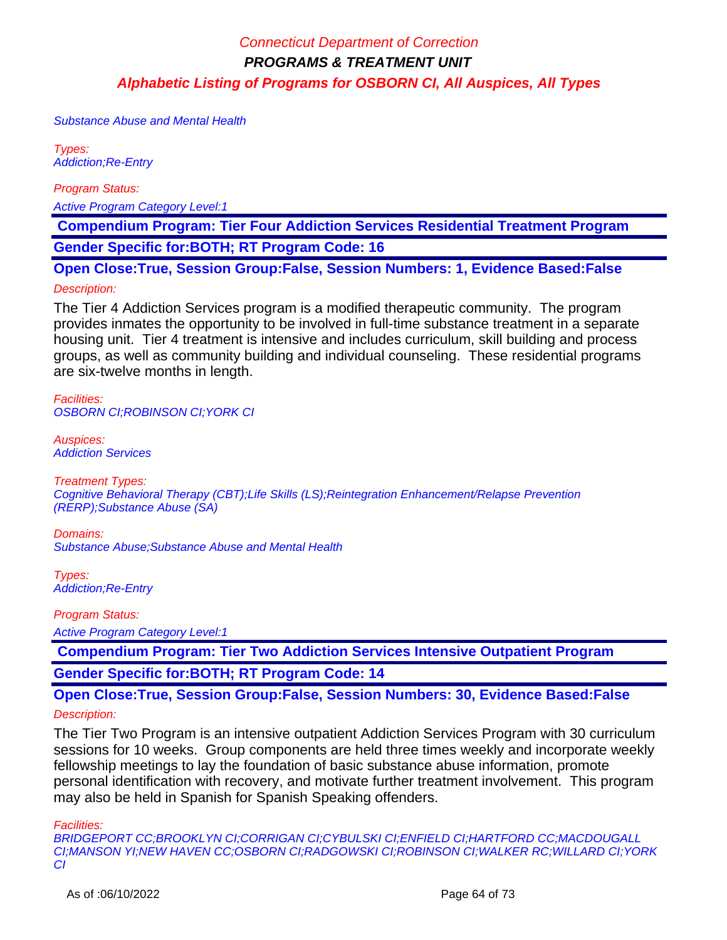Substance Abuse and Mental Health

Types: Addiction;Re-Entry

Program Status:

Active Program Category Level:1

 **Compendium Program: Tier Four Addiction Services Residential Treatment Program Gender Specific for:BOTH; RT Program Code: 16**

**Open Close:True, Session Group:False, Session Numbers: 1, Evidence Based:False**

### Description:

The Tier 4 Addiction Services program is a modified therapeutic community. The program provides inmates the opportunity to be involved in full-time substance treatment in a separate housing unit. Tier 4 treatment is intensive and includes curriculum, skill building and process groups, as well as community building and individual counseling. These residential programs are six-twelve months in length.

Facilities: OSBORN CI;ROBINSON CI;YORK CI

Auspices: Addiction Services

Treatment Types: Cognitive Behavioral Therapy (CBT);Life Skills (LS);Reintegration Enhancement/Relapse Prevention (RERP);Substance Abuse (SA)

Domains: Substance Abuse;Substance Abuse and Mental Health

Types: Addiction;Re-Entry

Program Status:

Active Program Category Level:1

 **Compendium Program: Tier Two Addiction Services Intensive Outpatient Program**

**Gender Specific for:BOTH; RT Program Code: 14**

### **Open Close:True, Session Group:False, Session Numbers: 30, Evidence Based:False** Description:

The Tier Two Program is an intensive outpatient Addiction Services Program with 30 curriculum sessions for 10 weeks. Group components are held three times weekly and incorporate weekly fellowship meetings to lay the foundation of basic substance abuse information, promote personal identification with recovery, and motivate further treatment involvement. This program may also be held in Spanish for Spanish Speaking offenders.

Facilities:

BRIDGEPORT CC;BROOKLYN CI;CORRIGAN CI;CYBULSKI CI;ENFIELD CI;HARTFORD CC;MACDOUGALL CI;MANSON YI;NEW HAVEN CC;OSBORN CI;RADGOWSKI CI;ROBINSON CI;WALKER RC;WILLARD CI;YORK CI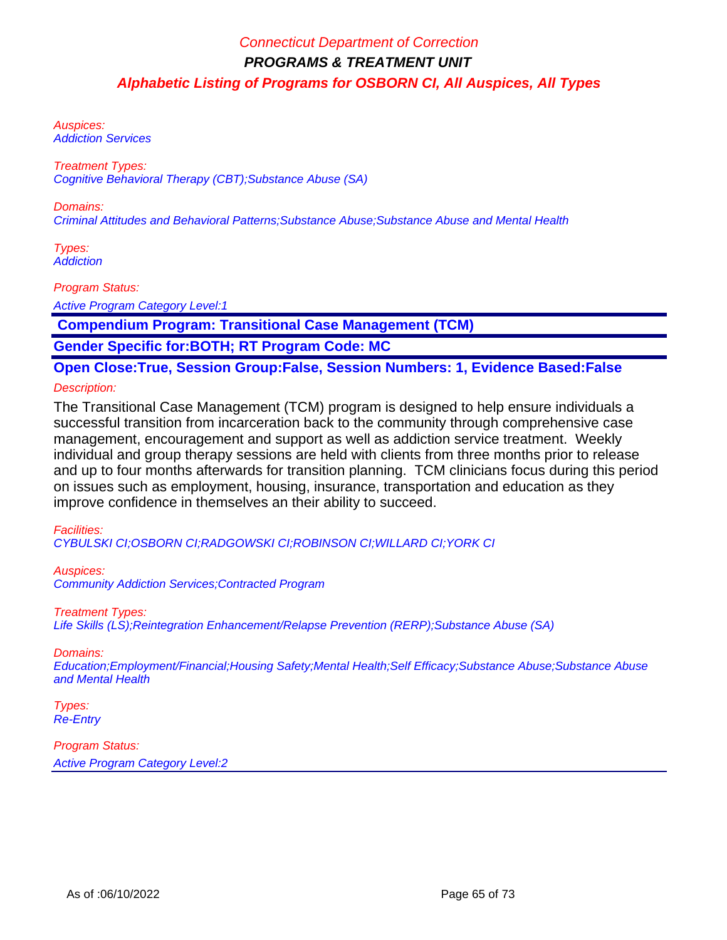Auspices: Addiction Services

Treatment Types: Cognitive Behavioral Therapy (CBT);Substance Abuse (SA)

Domains:

Criminal Attitudes and Behavioral Patterns;Substance Abuse;Substance Abuse and Mental Health

Types: **Addiction** 

Program Status:

Active Program Category Level:1

 **Compendium Program: Transitional Case Management (TCM)**

**Gender Specific for:BOTH; RT Program Code: MC**

**Open Close:True, Session Group:False, Session Numbers: 1, Evidence Based:False**

Description:

The Transitional Case Management (TCM) program is designed to help ensure individuals a successful transition from incarceration back to the community through comprehensive case management, encouragement and support as well as addiction service treatment. Weekly individual and group therapy sessions are held with clients from three months prior to release and up to four months afterwards for transition planning. TCM clinicians focus during this period on issues such as employment, housing, insurance, transportation and education as they improve confidence in themselves an their ability to succeed.

Facilities:

CYBULSKI CI;OSBORN CI;RADGOWSKI CI;ROBINSON CI;WILLARD CI;YORK CI

Auspices: Community Addiction Services;Contracted Program

Treatment Types:

Life Skills (LS);Reintegration Enhancement/Relapse Prevention (RERP);Substance Abuse (SA)

Domains:

Education;Employment/Financial;Housing Safety;Mental Health;Self Efficacy;Substance Abuse;Substance Abuse and Mental Health

Types: Re-Entry

Program Status:

Active Program Category Level:2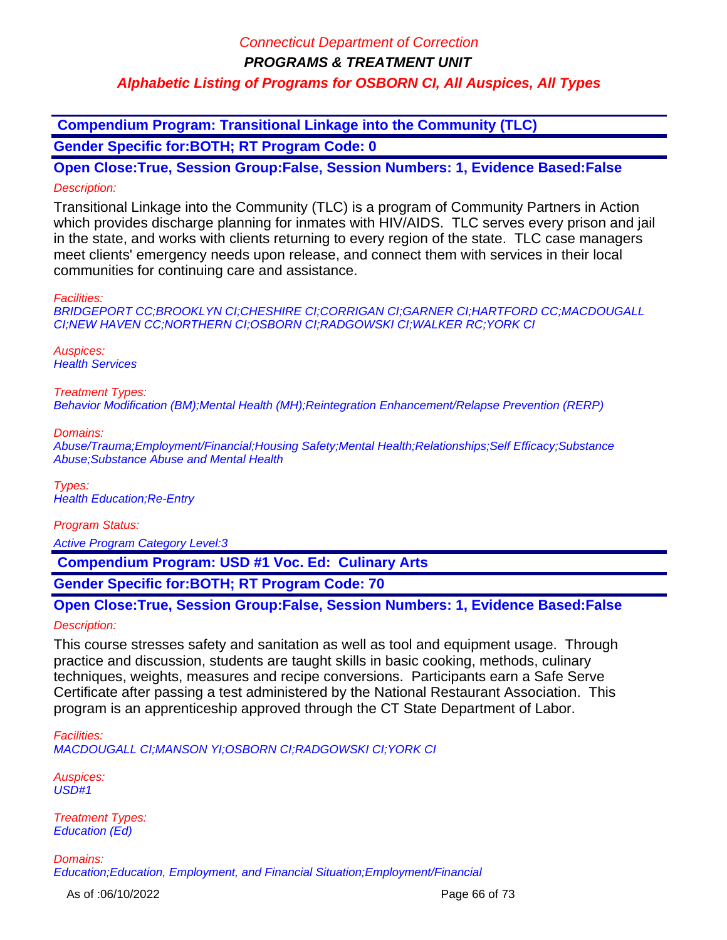**PROGRAMS & TREATMENT UNIT**

## **Alphabetic Listing of Programs for OSBORN CI, All Auspices, All Types**

 **Compendium Program: Transitional Linkage into the Community (TLC)**

**Gender Specific for:BOTH; RT Program Code: 0**

**Open Close:True, Session Group:False, Session Numbers: 1, Evidence Based:False** Description:

Transitional Linkage into the Community (TLC) is a program of Community Partners in Action which provides discharge planning for inmates with HIV/AIDS. TLC serves every prison and jail in the state, and works with clients returning to every region of the state. TLC case managers meet clients' emergency needs upon release, and connect them with services in their local communities for continuing care and assistance.

Facilities:

BRIDGEPORT CC;BROOKLYN CI;CHESHIRE CI;CORRIGAN CI;GARNER CI;HARTFORD CC;MACDOUGALL CI;NEW HAVEN CC;NORTHERN CI;OSBORN CI;RADGOWSKI CI;WALKER RC;YORK CI

Auspices: **Health Services** 

Treatment Types:

Behavior Modification (BM);Mental Health (MH);Reintegration Enhancement/Relapse Prevention (RERP)

Domains:

Abuse/Trauma;Employment/Financial;Housing Safety;Mental Health;Relationships;Self Efficacy;Substance Abuse;Substance Abuse and Mental Health

Types: Health Education;Re-Entry

Program Status:

Active Program Category Level:3

 **Compendium Program: USD #1 Voc. Ed: Culinary Arts**

**Gender Specific for:BOTH; RT Program Code: 70**

**Open Close:True, Session Group:False, Session Numbers: 1, Evidence Based:False** Description:

This course stresses safety and sanitation as well as tool and equipment usage. Through practice and discussion, students are taught skills in basic cooking, methods, culinary techniques, weights, measures and recipe conversions. Participants earn a Safe Serve Certificate after passing a test administered by the National Restaurant Association. This program is an apprenticeship approved through the CT State Department of Labor.

Facilities: MACDOUGALL CI;MANSON YI;OSBORN CI;RADGOWSKI CI;YORK CI

Auspices: USD#1

Treatment Types: Education (Ed)

Domains: Education;Education, Employment, and Financial Situation;Employment/Financial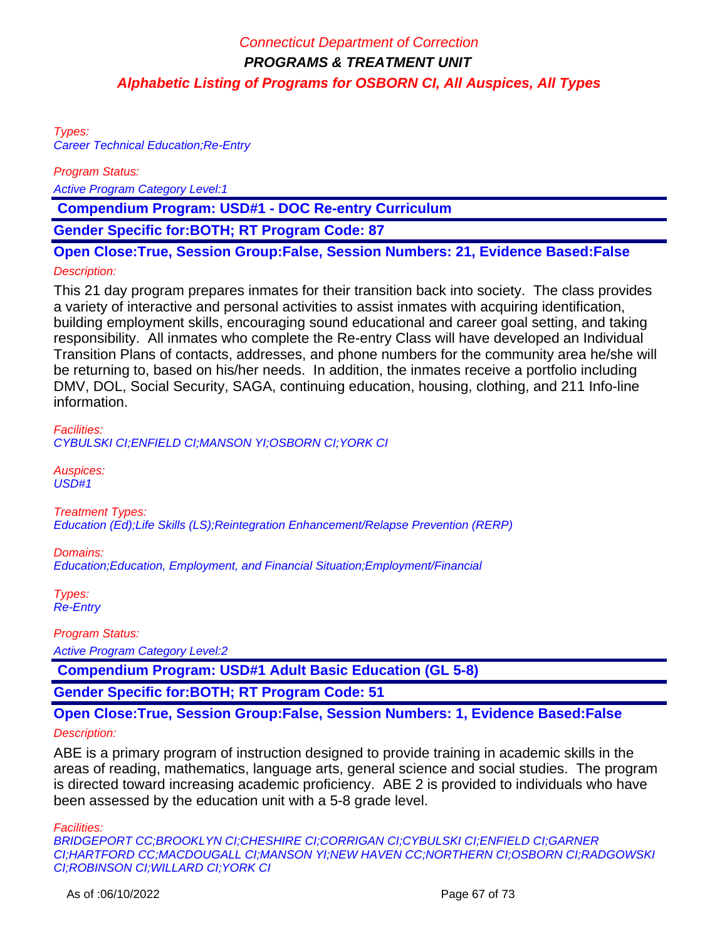Types: Career Technical Education;Re-Entry

Program Status:

Active Program Category Level:1

 **Compendium Program: USD#1 - DOC Re-entry Curriculum**

**Gender Specific for:BOTH; RT Program Code: 87**

**Open Close:True, Session Group:False, Session Numbers: 21, Evidence Based:False**

### Description:

This 21 day program prepares inmates for their transition back into society. The class provides a variety of interactive and personal activities to assist inmates with acquiring identification, building employment skills, encouraging sound educational and career goal setting, and taking responsibility. All inmates who complete the Re-entry Class will have developed an Individual Transition Plans of contacts, addresses, and phone numbers for the community area he/she will be returning to, based on his/her needs. In addition, the inmates receive a portfolio including DMV, DOL, Social Security, SAGA, continuing education, housing, clothing, and 211 Info-line information.

Facilities: CYBULSKI CI;ENFIELD CI;MANSON YI;OSBORN CI;YORK CI

Auspices:  $USD#1$ 

Treatment Types: Education (Ed);Life Skills (LS);Reintegration Enhancement/Relapse Prevention (RERP)

Domains:

Education;Education, Employment, and Financial Situation;Employment/Financial

Types: Re-Entry

Program Status:

Active Program Category Level:2

 **Compendium Program: USD#1 Adult Basic Education (GL 5-8)**

**Gender Specific for:BOTH; RT Program Code: 51**

**Open Close:True, Session Group:False, Session Numbers: 1, Evidence Based:False**

#### Description:

ABE is a primary program of instruction designed to provide training in academic skills in the areas of reading, mathematics, language arts, general science and social studies. The program is directed toward increasing academic proficiency. ABE 2 is provided to individuals who have been assessed by the education unit with a 5-8 grade level.

Facilities:

BRIDGEPORT CC;BROOKLYN CI;CHESHIRE CI;CORRIGAN CI;CYBULSKI CI;ENFIELD CI;GARNER CI;HARTFORD CC;MACDOUGALL CI;MANSON YI;NEW HAVEN CC;NORTHERN CI;OSBORN CI;RADGOWSKI CI;ROBINSON CI;WILLARD CI;YORK CI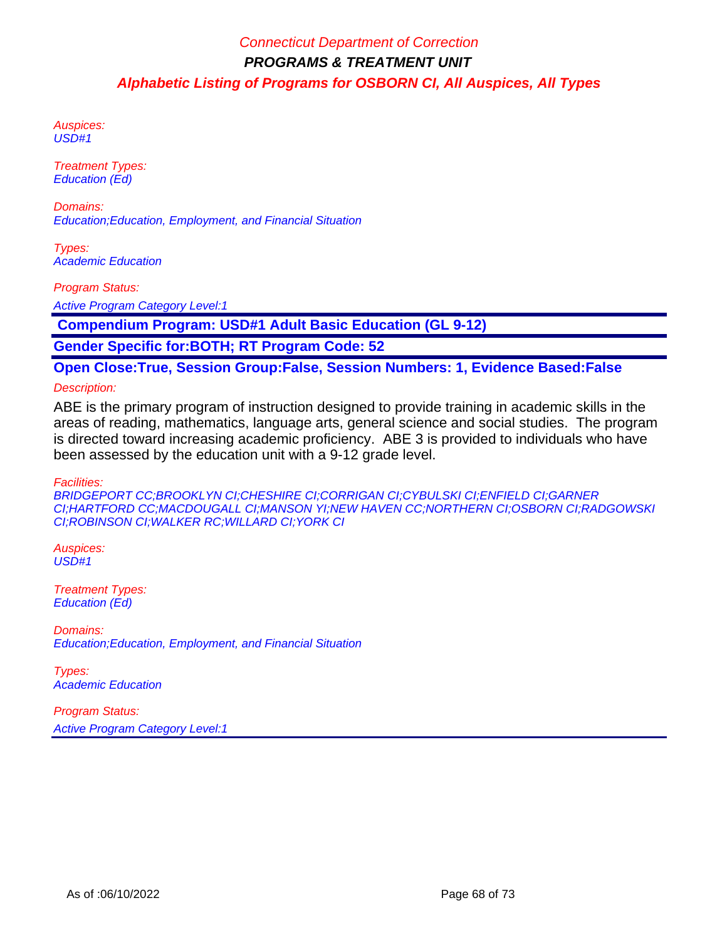Auspices: USD#1

Treatment Types: Education (Ed)

Domains: Education;Education, Employment, and Financial Situation

Types: Academic Education

Program Status:

Active Program Category Level:1

 **Compendium Program: USD#1 Adult Basic Education (GL 9-12)**

**Gender Specific for:BOTH; RT Program Code: 52**

**Open Close:True, Session Group:False, Session Numbers: 1, Evidence Based:False**

### Description:

ABE is the primary program of instruction designed to provide training in academic skills in the areas of reading, mathematics, language arts, general science and social studies. The program is directed toward increasing academic proficiency. ABE 3 is provided to individuals who have been assessed by the education unit with a 9-12 grade level.

Facilities:

BRIDGEPORT CC;BROOKLYN CI;CHESHIRE CI;CORRIGAN CI;CYBULSKI CI;ENFIELD CI;GARNER CI;HARTFORD CC;MACDOUGALL CI;MANSON YI;NEW HAVEN CC;NORTHERN CI;OSBORN CI;RADGOWSKI CI;ROBINSON CI;WALKER RC;WILLARD CI;YORK CI

Auspices: USD#1

Treatment Types: Education (Ed)

Domains: Education;Education, Employment, and Financial Situation

Types: Academic Education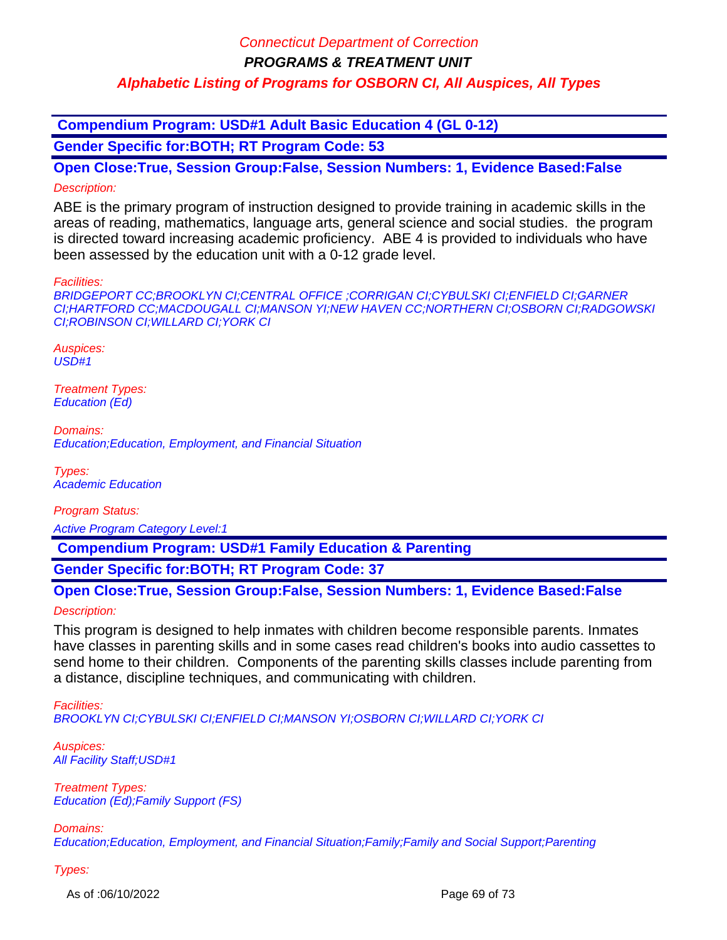**PROGRAMS & TREATMENT UNIT**

## **Alphabetic Listing of Programs for OSBORN CI, All Auspices, All Types**

 **Compendium Program: USD#1 Adult Basic Education 4 (GL 0-12)**

**Gender Specific for:BOTH; RT Program Code: 53**

**Open Close:True, Session Group:False, Session Numbers: 1, Evidence Based:False** Description:

ABE is the primary program of instruction designed to provide training in academic skills in the areas of reading, mathematics, language arts, general science and social studies. the program is directed toward increasing academic proficiency. ABE 4 is provided to individuals who have been assessed by the education unit with a 0-12 grade level.

Facilities:

BRIDGEPORT CC;BROOKLYN CI;CENTRAL OFFICE ;CORRIGAN CI;CYBULSKI CI;ENFIELD CI;GARNER CI;HARTFORD CC;MACDOUGALL CI;MANSON YI;NEW HAVEN CC;NORTHERN CI;OSBORN CI;RADGOWSKI CI;ROBINSON CI;WILLARD CI;YORK CI

Auspices: USD#1

Treatment Types: Education (Ed)

Domains: Education;Education, Employment, and Financial Situation

Types: Academic Education

Program Status:

Active Program Category Level:1

 **Compendium Program: USD#1 Family Education & Parenting**

**Gender Specific for:BOTH; RT Program Code: 37**

**Open Close:True, Session Group:False, Session Numbers: 1, Evidence Based:False**

Description:

This program is designed to help inmates with children become responsible parents. Inmates have classes in parenting skills and in some cases read children's books into audio cassettes to send home to their children. Components of the parenting skills classes include parenting from a distance, discipline techniques, and communicating with children.

Facilities:

BROOKLYN CI;CYBULSKI CI;ENFIELD CI;MANSON YI;OSBORN CI;WILLARD CI;YORK CI

Auspices: All Facility Staff;USD#1

Treatment Types: Education (Ed);Family Support (FS)

Domains:

Education;Education, Employment, and Financial Situation;Family;Family and Social Support;Parenting

Types:

As of :06/10/2022 **Page 69 of 73**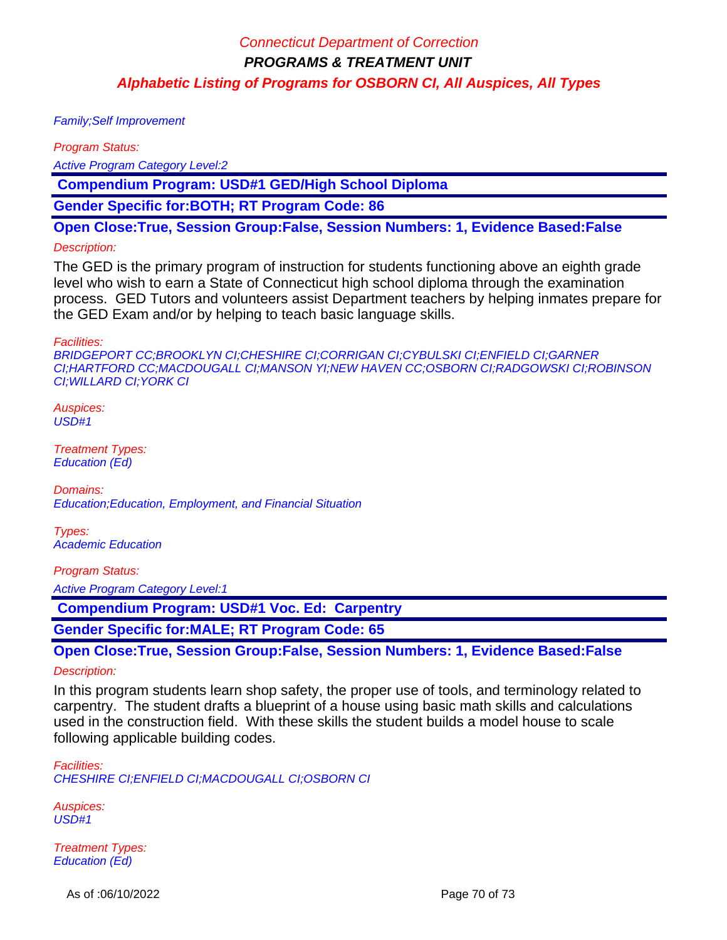Family;Self Improvement

Program Status:

Active Program Category Level:2

 **Compendium Program: USD#1 GED/High School Diploma**

**Gender Specific for:BOTH; RT Program Code: 86**

**Open Close:True, Session Group:False, Session Numbers: 1, Evidence Based:False**

### Description:

The GED is the primary program of instruction for students functioning above an eighth grade level who wish to earn a State of Connecticut high school diploma through the examination process. GED Tutors and volunteers assist Department teachers by helping inmates prepare for the GED Exam and/or by helping to teach basic language skills.

Facilities:

BRIDGEPORT CC;BROOKLYN CI;CHESHIRE CI;CORRIGAN CI;CYBULSKI CI;ENFIELD CI;GARNER CI;HARTFORD CC;MACDOUGALL CI;MANSON YI;NEW HAVEN CC;OSBORN CI;RADGOWSKI CI;ROBINSON CI;WILLARD CI;YORK CI

Auspices: USD#1

Treatment Types: Education (Ed)

Domains: Education;Education, Employment, and Financial Situation

Types: Academic Education

Program Status: Active Program Category Level:1

 **Compendium Program: USD#1 Voc. Ed: Carpentry**

**Gender Specific for:MALE; RT Program Code: 65**

**Open Close:True, Session Group:False, Session Numbers: 1, Evidence Based:False**

Description:

In this program students learn shop safety, the proper use of tools, and terminology related to carpentry. The student drafts a blueprint of a house using basic math skills and calculations used in the construction field. With these skills the student builds a model house to scale following applicable building codes.

Facilities: CHESHIRE CI;ENFIELD CI;MACDOUGALL CI;OSBORN CI

Auspices: USD#1

Treatment Types: Education (Ed)

As of :06/10/2022 **Page 70 of 73**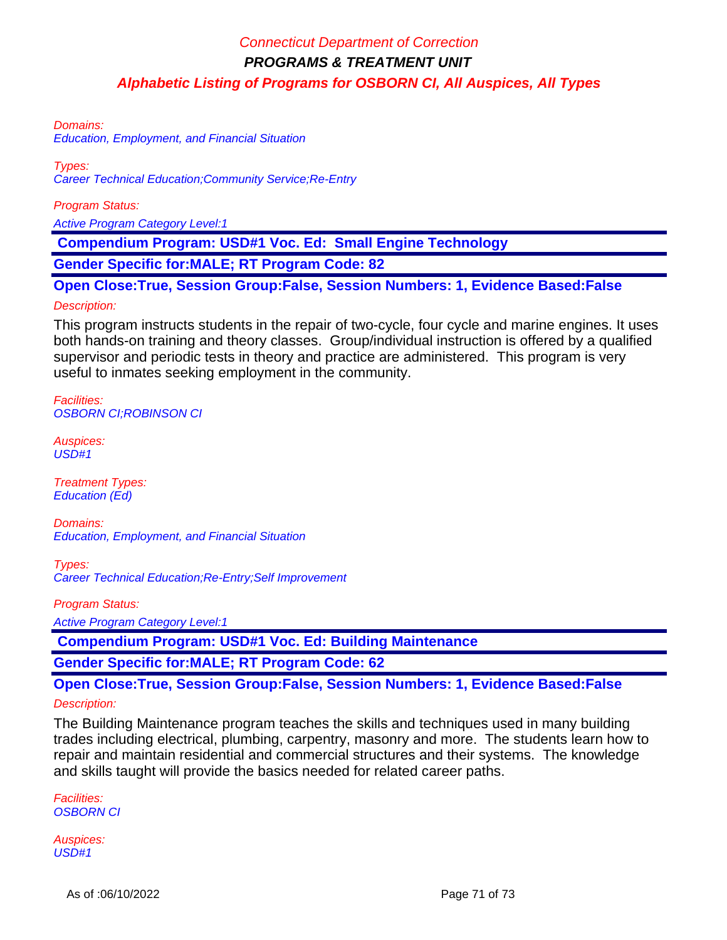Domains: Education, Employment, and Financial Situation

Types:

Career Technical Education;Community Service;Re-Entry

Program Status:

Active Program Category Level:1

 **Compendium Program: USD#1 Voc. Ed: Small Engine Technology**

**Gender Specific for:MALE; RT Program Code: 82**

**Open Close:True, Session Group:False, Session Numbers: 1, Evidence Based:False**

Description:

This program instructs students in the repair of two-cycle, four cycle and marine engines. It uses both hands-on training and theory classes. Group/individual instruction is offered by a qualified supervisor and periodic tests in theory and practice are administered. This program is very useful to inmates seeking employment in the community.

Facilities: OSBORN CI;ROBINSON CI

Auspices: USD#1

Treatment Types: Education (Ed)

Domains: Education, Employment, and Financial Situation

Types: Career Technical Education;Re-Entry;Self Improvement

Program Status:

Active Program Category Level:1

 **Compendium Program: USD#1 Voc. Ed: Building Maintenance**

**Gender Specific for:MALE; RT Program Code: 62**

**Open Close:True, Session Group:False, Session Numbers: 1, Evidence Based:False** Description:

The Building Maintenance program teaches the skills and techniques used in many building trades including electrical, plumbing, carpentry, masonry and more. The students learn how to repair and maintain residential and commercial structures and their systems. The knowledge and skills taught will provide the basics needed for related career paths.

Facilities: OSBORN CI

Auspices: USD#1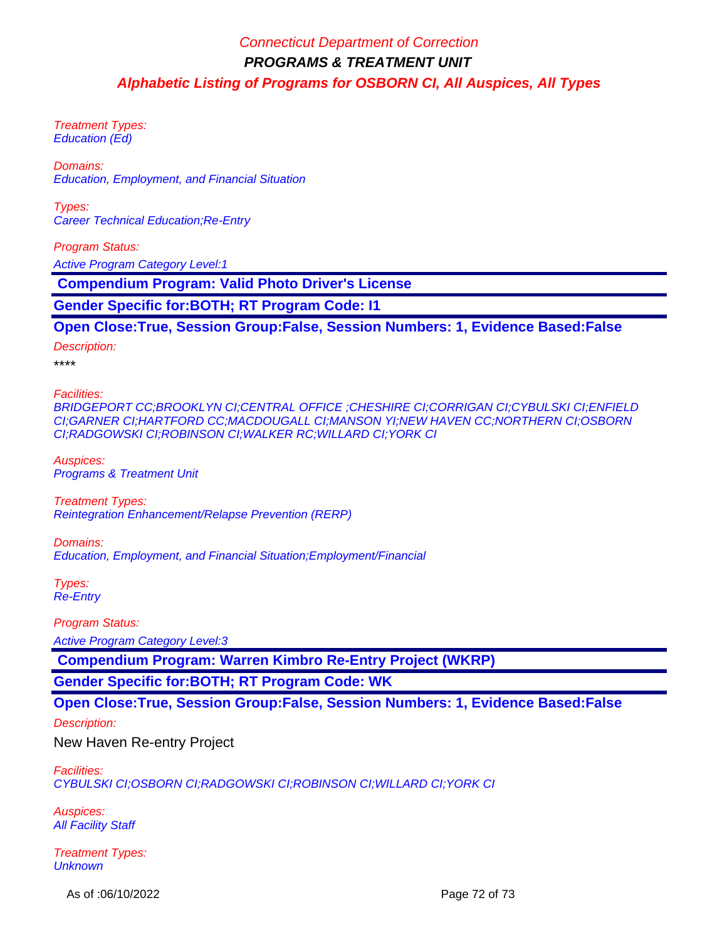Treatment Types: Education (Ed)

Domains: Education, Employment, and Financial Situation

Types: Career Technical Education;Re-Entry

Program Status:

Active Program Category Level:1

 **Compendium Program: Valid Photo Driver's License**

**Gender Specific for:BOTH; RT Program Code: I1**

**Open Close:True, Session Group:False, Session Numbers: 1, Evidence Based:False**

Description:

\*\*\*\*

Facilities: BRIDGEPORT CC;BROOKLYN CI;CENTRAL OFFICE ;CHESHIRE CI;CORRIGAN CI;CYBULSKI CI;ENFIELD CI;GARNER CI;HARTFORD CC;MACDOUGALL CI;MANSON YI;NEW HAVEN CC;NORTHERN CI;OSBORN CI;RADGOWSKI CI;ROBINSON CI;WALKER RC;WILLARD CI;YORK CI

Auspices: Programs & Treatment Unit

Treatment Types: Reintegration Enhancement/Relapse Prevention (RERP)

Domains: Education, Employment, and Financial Situation;Employment/Financial

Types: Re-Entry

Program Status:

Active Program Category Level:3

 **Compendium Program: Warren Kimbro Re-Entry Project (WKRP)**

**Gender Specific for:BOTH; RT Program Code: WK**

**Open Close:True, Session Group:False, Session Numbers: 1, Evidence Based:False**

Description:

New Haven Re-entry Project

Facilities: CYBULSKI CI;OSBORN CI;RADGOWSKI CI;ROBINSON CI;WILLARD CI;YORK CI

Auspices: **All Facility Staff** 

Treatment Types: **Unknown** 

As of :06/10/2022 **Page 72 of 73**